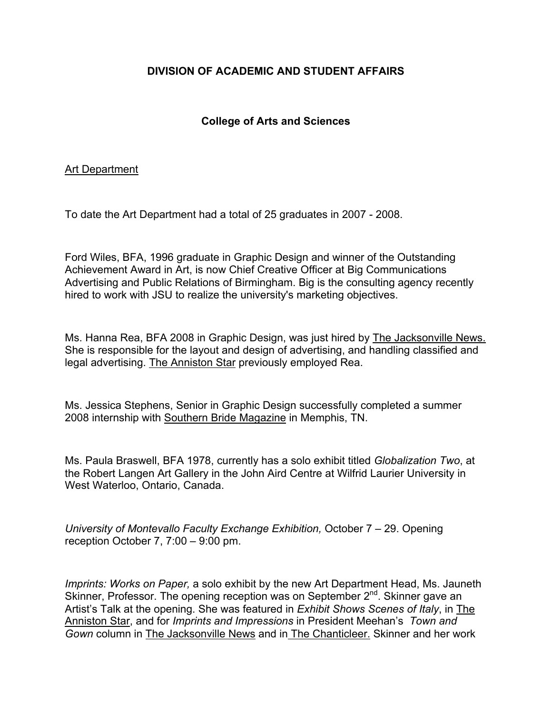## **DIVISION OF ACADEMIC AND STUDENT AFFAIRS**

### **College of Arts and Sciences**

#### Art Department

To date the Art Department had a total of 25 graduates in 2007 - 2008.

Ford Wiles, BFA, 1996 graduate in Graphic Design and winner of the Outstanding Achievement Award in Art, is now Chief Creative Officer at Big Communications Advertising and Public Relations of Birmingham. Big is the consulting agency recently hired to work with JSU to realize the university's marketing objectives.

Ms. Hanna Rea, BFA 2008 in Graphic Design, was just hired by The Jacksonville News. She is responsible for the layout and design of advertising, and handling classified and legal advertising. The Anniston Star previously employed Rea.

Ms. Jessica Stephens, Senior in Graphic Design successfully completed a summer 2008 internship with Southern Bride Magazine in Memphis, TN.

Ms. Paula Braswell, BFA 1978, currently has a solo exhibit titled *Globalization Two*, at the Robert Langen Art Gallery in the John Aird Centre at Wilfrid Laurier University in West Waterloo, Ontario, Canada.

*University of Montevallo Faculty Exchange Exhibition,* October 7 – 29. Opening reception October 7, 7:00 – 9:00 pm.

*Imprints: Works on Paper,* a solo exhibit by the new Art Department Head, Ms. Jauneth Skinner, Professor. The opening reception was on September 2<sup>nd</sup>. Skinner gave an Artist's Talk at the opening. She was featured in *Exhibit Shows Scenes of Italy*, in The Anniston Star, and for *Imprints and Impressions* in President Meehan's *Town and Gown* column in The Jacksonville News and in The Chanticleer. Skinner and her work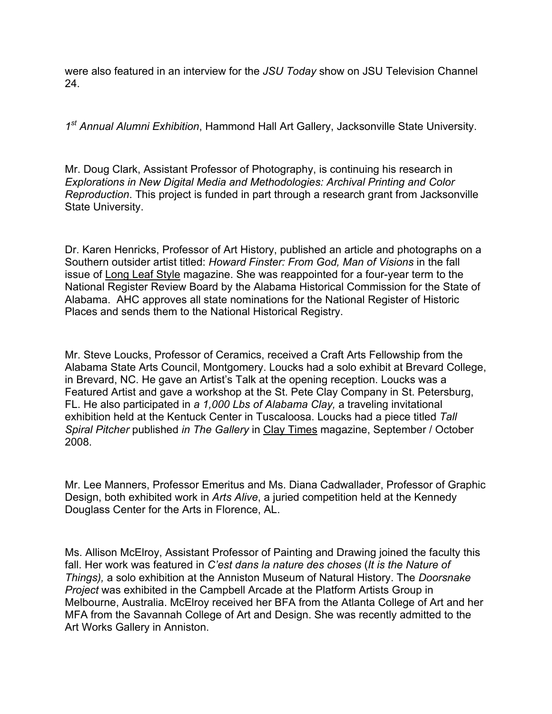were also featured in an interview for the *JSU Today* show on JSU Television Channel 24.

*1st Annual Alumni Exhibition*, Hammond Hall Art Gallery, Jacksonville State University.

Mr. Doug Clark, Assistant Professor of Photography, is continuing his research in *Explorations in New Digital Media and Methodologies: Archival Printing and Color Reproduction*. This project is funded in part through a research grant from Jacksonville State University.

Dr. Karen Henricks, Professor of Art History, published an article and photographs on a Southern outsider artist titled: *Howard Finster: From God, Man of Visions* in the fall issue of Long Leaf Style magazine. She was reappointed for a four-year term to the National Register Review Board by the Alabama Historical Commission for the State of Alabama. AHC approves all state nominations for the National Register of Historic Places and sends them to the National Historical Registry.

Mr. Steve Loucks, Professor of Ceramics, received a Craft Arts Fellowship from the Alabama State Arts Council, Montgomery. Loucks had a solo exhibit at Brevard College, in Brevard, NC. He gave an Artist's Talk at the opening reception. Loucks was a Featured Artist and gave a workshop at the St. Pete Clay Company in St. Petersburg, FL. He also participated in *a 1,000 Lbs of Alabama Clay,* a traveling invitational exhibition held at the Kentuck Center in Tuscaloosa. Loucks had a piece titled *Tall Spiral Pitcher* published *in The Gallery* in Clay Times magazine, September / October 2008.

Mr. Lee Manners, Professor Emeritus and Ms. Diana Cadwallader, Professor of Graphic Design, both exhibited work in *Arts Alive*, a juried competition held at the Kennedy Douglass Center for the Arts in Florence, AL.

Ms. Allison McElroy, Assistant Professor of Painting and Drawing joined the faculty this fall. Her work was featured in *C'est dans la nature des choses* (*It is the Nature of Things),* a solo exhibition at the Anniston Museum of Natural History. The *Doorsnake Project* was exhibited in the Campbell Arcade at the Platform Artists Group in Melbourne, Australia. McElroy received her BFA from the Atlanta College of Art and her MFA from the Savannah College of Art and Design. She was recently admitted to the Art Works Gallery in Anniston.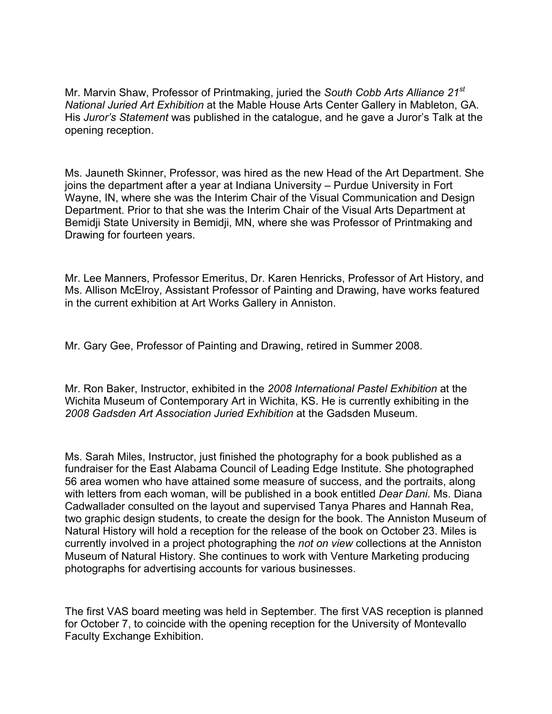Mr. Marvin Shaw, Professor of Printmaking, juried the *South Cobb Arts Alliance 21st National Juried Art Exhibition* at the Mable House Arts Center Gallery in Mableton, GA. His *Juror's Statement* was published in the catalogue, and he gave a Juror's Talk at the opening reception.

Ms. Jauneth Skinner, Professor, was hired as the new Head of the Art Department. She joins the department after a year at Indiana University – Purdue University in Fort Wayne, IN, where she was the Interim Chair of the Visual Communication and Design Department. Prior to that she was the Interim Chair of the Visual Arts Department at Bemidji State University in Bemidji, MN, where she was Professor of Printmaking and Drawing for fourteen years.

Mr. Lee Manners, Professor Emeritus, Dr. Karen Henricks, Professor of Art History, and Ms. Allison McElroy, Assistant Professor of Painting and Drawing, have works featured in the current exhibition at Art Works Gallery in Anniston.

Mr. Gary Gee, Professor of Painting and Drawing, retired in Summer 2008.

Mr. Ron Baker, Instructor, exhibited in the *2008 International Pastel Exhibition* at the Wichita Museum of Contemporary Art in Wichita, KS. He is currently exhibiting in the *2008 Gadsden Art Association Juried Exhibition* at the Gadsden Museum.

Ms. Sarah Miles, Instructor, just finished the photography for a book published as a fundraiser for the East Alabama Council of Leading Edge Institute. She photographed 56 area women who have attained some measure of success, and the portraits, along with letters from each woman, will be published in a book entitled *Dear Dani*. Ms. Diana Cadwallader consulted on the layout and supervised Tanya Phares and Hannah Rea, two graphic design students, to create the design for the book. The Anniston Museum of Natural History will hold a reception for the release of the book on October 23. Miles is currently involved in a project photographing the *not on view* collections at the Anniston Museum of Natural History. She continues to work with Venture Marketing producing photographs for advertising accounts for various businesses.

The first VAS board meeting was held in September. The first VAS reception is planned for October 7, to coincide with the opening reception for the University of Montevallo Faculty Exchange Exhibition.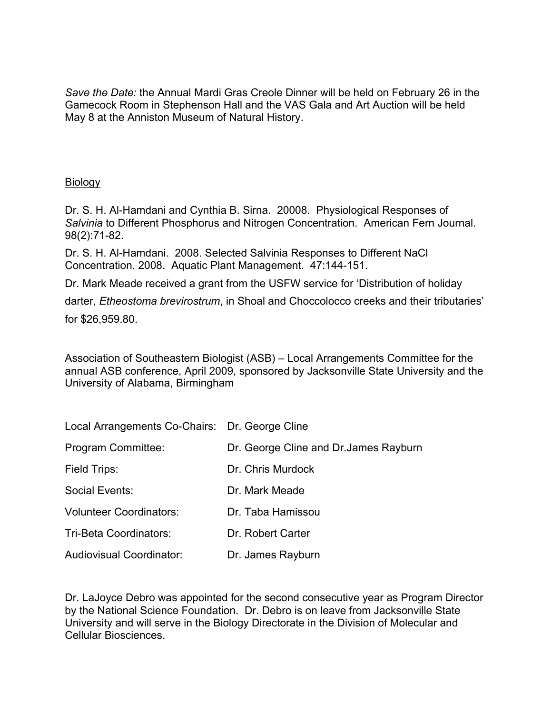*Save the Date:* the Annual Mardi Gras Creole Dinner will be held on February 26 in the Gamecock Room in Stephenson Hall and the VAS Gala and Art Auction will be held May 8 at the Anniston Museum of Natural History.

#### **Biology**

Dr. S. H. Al-Hamdani and Cynthia B. Sirna. 20008. Physiological Responses of *Salvinia* to Different Phosphorus and Nitrogen Concentration. American Fern Journal. 98(2):71-82.

Dr. S. H. Al-Hamdani. 2008. Selected Salvinia Responses to Different NaCl Concentration. 2008. Aquatic Plant Management. 47:144-151.

Dr. Mark Meade received a grant from the USFW service for 'Distribution of holiday

darter, *Etheostoma brevirostrum*, in Shoal and Choccolocco creeks and their tributaries'

for \$26,959.80.

Association of Southeastern Biologist (ASB) – Local Arrangements Committee for the annual ASB conference, April 2009, sponsored by Jacksonville State University and the University of Alabama, Birmingham

| Local Arrangements Co-Chairs: Dr. George Cline |                                        |
|------------------------------------------------|----------------------------------------|
| Program Committee:                             | Dr. George Cline and Dr. James Rayburn |
| Field Trips:                                   | Dr. Chris Murdock                      |
| Social Events:                                 | Dr. Mark Meade                         |
| <b>Volunteer Coordinators:</b>                 | Dr. Taba Hamissou                      |
| Tri-Beta Coordinators:                         | Dr. Robert Carter                      |
| <b>Audiovisual Coordinator:</b>                | Dr. James Rayburn                      |

Dr. LaJoyce Debro was appointed for the second consecutive year as Program Director by the National Science Foundation. Dr. Debro is on leave from Jacksonville State University and will serve in the Biology Directorate in the Division of Molecular and Cellular Biosciences.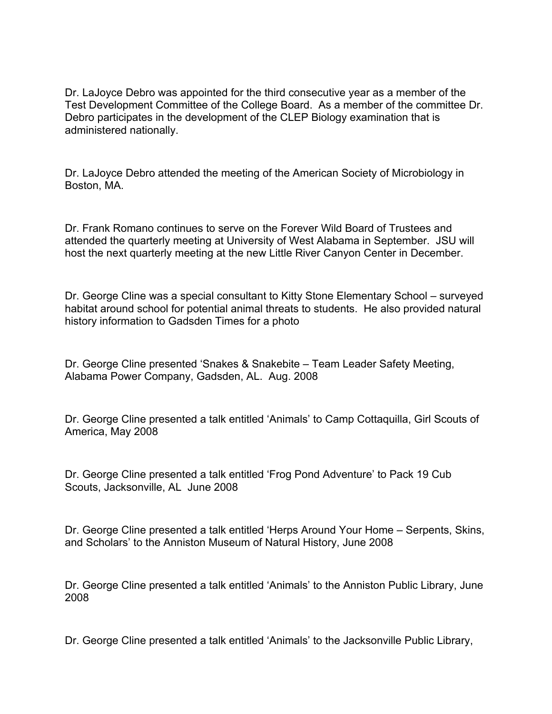Dr. LaJoyce Debro was appointed for the third consecutive year as a member of the Test Development Committee of the College Board. As a member of the committee Dr. Debro participates in the development of the CLEP Biology examination that is administered nationally.

Dr. LaJoyce Debro attended the meeting of the American Society of Microbiology in Boston, MA.

Dr. Frank Romano continues to serve on the Forever Wild Board of Trustees and attended the quarterly meeting at University of West Alabama in September. JSU will host the next quarterly meeting at the new Little River Canyon Center in December.

Dr. George Cline was a special consultant to Kitty Stone Elementary School – surveyed habitat around school for potential animal threats to students. He also provided natural history information to Gadsden Times for a photo

Dr. George Cline presented 'Snakes & Snakebite – Team Leader Safety Meeting, Alabama Power Company, Gadsden, AL. Aug. 2008

Dr. George Cline presented a talk entitled 'Animals' to Camp Cottaquilla, Girl Scouts of America, May 2008

Dr. George Cline presented a talk entitled 'Frog Pond Adventure' to Pack 19 Cub Scouts, Jacksonville, AL June 2008

Dr. George Cline presented a talk entitled 'Herps Around Your Home – Serpents, Skins, and Scholars' to the Anniston Museum of Natural History, June 2008

Dr. George Cline presented a talk entitled 'Animals' to the Anniston Public Library, June 2008

Dr. George Cline presented a talk entitled 'Animals' to the Jacksonville Public Library,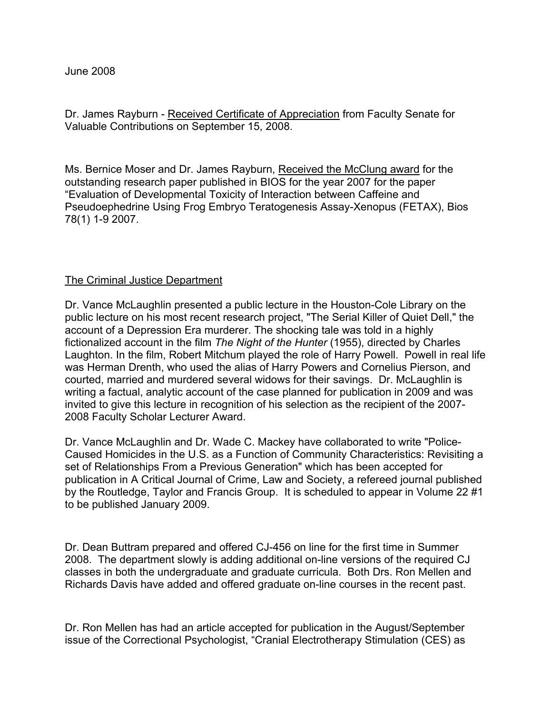Dr. James Rayburn - Received Certificate of Appreciation from Faculty Senate for Valuable Contributions on September 15, 2008.

Ms. Bernice Moser and Dr. James Rayburn, Received the McClung award for the outstanding research paper published in BIOS for the year 2007 for the paper "Evaluation of Developmental Toxicity of Interaction between Caffeine and Pseudoephedrine Using Frog Embryo Teratogenesis Assay-Xenopus (FETAX), Bios 78(1) 1-9 2007.

#### The Criminal Justice Department

Dr. Vance McLaughlin presented a public lecture in the Houston-Cole Library on the public lecture on his most recent research project, "The Serial Killer of Quiet Dell," the account of a Depression Era murderer. The shocking tale was told in a highly fictionalized account in the film *The Night of the Hunter* (1955), directed by Charles Laughton. In the film, Robert Mitchum played the role of Harry Powell. Powell in real life was Herman Drenth, who used the alias of Harry Powers and Cornelius Pierson, and courted, married and murdered several widows for their savings. Dr. McLaughlin is writing a factual, analytic account of the case planned for publication in 2009 and was invited to give this lecture in recognition of his selection as the recipient of the 2007- 2008 Faculty Scholar Lecturer Award.

Dr. Vance McLaughlin and Dr. Wade C. Mackey have collaborated to write "Police-Caused Homicides in the U.S. as a Function of Community Characteristics: Revisiting a set of Relationships From a Previous Generation" which has been accepted for publication in A Critical Journal of Crime, Law and Society, a refereed journal published by the Routledge, Taylor and Francis Group. It is scheduled to appear in Volume 22 #1 to be published January 2009.

Dr. Dean Buttram prepared and offered CJ-456 on line for the first time in Summer 2008. The department slowly is adding additional on-line versions of the required CJ classes in both the undergraduate and graduate curricula. Both Drs. Ron Mellen and Richards Davis have added and offered graduate on-line courses in the recent past.

Dr. Ron Mellen has had an article accepted for publication in the August/September issue of the Correctional Psychologist, "Cranial Electrotherapy Stimulation (CES) as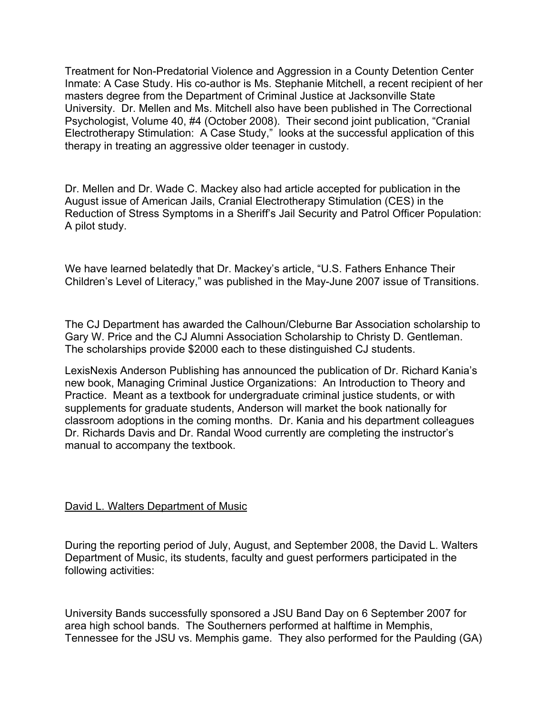Treatment for Non-Predatorial Violence and Aggression in a County Detention Center Inmate: A Case Study. His co-author is Ms. Stephanie Mitchell, a recent recipient of her masters degree from the Department of Criminal Justice at Jacksonville State University. Dr. Mellen and Ms. Mitchell also have been published in The Correctional Psychologist, Volume 40, #4 (October 2008). Their second joint publication, "Cranial Electrotherapy Stimulation: A Case Study," looks at the successful application of this therapy in treating an aggressive older teenager in custody.

Dr. Mellen and Dr. Wade C. Mackey also had article accepted for publication in the August issue of American Jails, Cranial Electrotherapy Stimulation (CES) in the Reduction of Stress Symptoms in a Sheriff's Jail Security and Patrol Officer Population: A pilot study.

We have learned belatedly that Dr. Mackey's article, "U.S. Fathers Enhance Their Children's Level of Literacy," was published in the May-June 2007 issue of Transitions.

The CJ Department has awarded the Calhoun/Cleburne Bar Association scholarship to Gary W. Price and the CJ Alumni Association Scholarship to Christy D. Gentleman. The scholarships provide \$2000 each to these distinguished CJ students.

LexisNexis Anderson Publishing has announced the publication of Dr. Richard Kania's new book, Managing Criminal Justice Organizations: An Introduction to Theory and Practice. Meant as a textbook for undergraduate criminal justice students, or with supplements for graduate students, Anderson will market the book nationally for classroom adoptions in the coming months. Dr. Kania and his department colleagues Dr. Richards Davis and Dr. Randal Wood currently are completing the instructor's manual to accompany the textbook.

#### David L. Walters Department of Music

During the reporting period of July, August, and September 2008, the David L. Walters Department of Music, its students, faculty and guest performers participated in the following activities:

University Bands successfully sponsored a JSU Band Day on 6 September 2007 for area high school bands. The Southerners performed at halftime in Memphis, Tennessee for the JSU vs. Memphis game. They also performed for the Paulding (GA)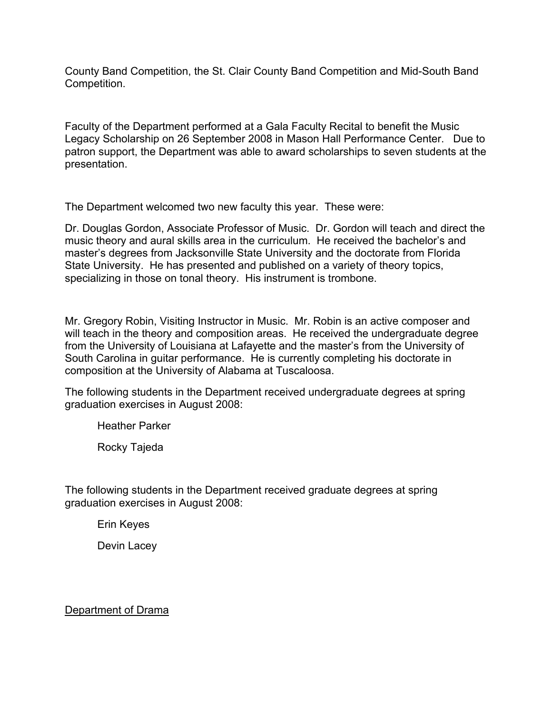County Band Competition, the St. Clair County Band Competition and Mid-South Band Competition.

Faculty of the Department performed at a Gala Faculty Recital to benefit the Music Legacy Scholarship on 26 September 2008 in Mason Hall Performance Center. Due to patron support, the Department was able to award scholarships to seven students at the presentation.

The Department welcomed two new faculty this year. These were:

Dr. Douglas Gordon, Associate Professor of Music. Dr. Gordon will teach and direct the music theory and aural skills area in the curriculum. He received the bachelor's and master's degrees from Jacksonville State University and the doctorate from Florida State University. He has presented and published on a variety of theory topics, specializing in those on tonal theory. His instrument is trombone.

Mr. Gregory Robin, Visiting Instructor in Music. Mr. Robin is an active composer and will teach in the theory and composition areas. He received the undergraduate degree from the University of Louisiana at Lafayette and the master's from the University of South Carolina in guitar performance. He is currently completing his doctorate in composition at the University of Alabama at Tuscaloosa.

The following students in the Department received undergraduate degrees at spring graduation exercises in August 2008:

Heather Parker

Rocky Tajeda

The following students in the Department received graduate degrees at spring graduation exercises in August 2008:

Erin Keyes

Devin Lacey

Department of Drama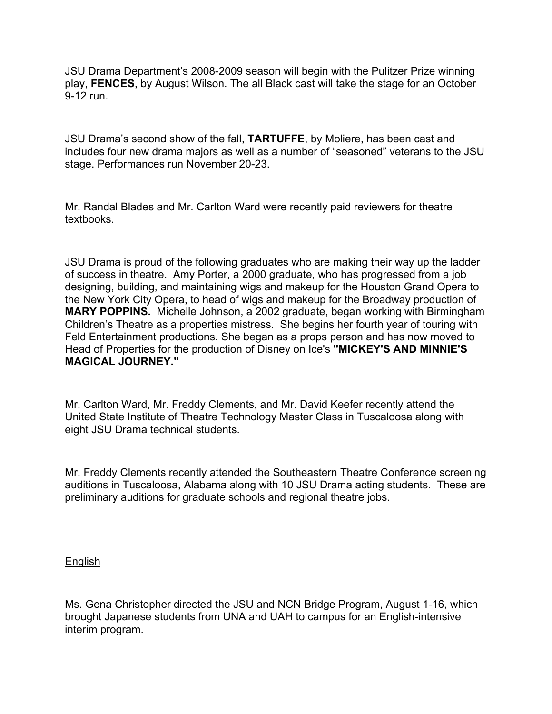JSU Drama Department's 2008-2009 season will begin with the Pulitzer Prize winning play, **FENCES**, by August Wilson. The all Black cast will take the stage for an October 9-12 run.

JSU Drama's second show of the fall, **TARTUFFE**, by Moliere, has been cast and includes four new drama majors as well as a number of "seasoned" veterans to the JSU stage. Performances run November 20-23.

Mr. Randal Blades and Mr. Carlton Ward were recently paid reviewers for theatre textbooks.

JSU Drama is proud of the following graduates who are making their way up the ladder of success in theatre. Amy Porter, a 2000 graduate, who has progressed from a job designing, building, and maintaining wigs and makeup for the Houston Grand Opera to the New York City Opera, to head of wigs and makeup for the Broadway production of **MARY POPPINS.** Michelle Johnson, a 2002 graduate, began working with Birmingham Children's Theatre as a properties mistress. She begins her fourth year of touring with Feld Entertainment productions. She began as a props person and has now moved to Head of Properties for the production of Disney on Ice's **"MICKEY'S AND MINNIE'S MAGICAL JOURNEY."**

Mr. Carlton Ward, Mr. Freddy Clements, and Mr. David Keefer recently attend the United State Institute of Theatre Technology Master Class in Tuscaloosa along with eight JSU Drama technical students.

Mr. Freddy Clements recently attended the Southeastern Theatre Conference screening auditions in Tuscaloosa, Alabama along with 10 JSU Drama acting students. These are preliminary auditions for graduate schools and regional theatre jobs.

#### English

Ms. Gena Christopher directed the JSU and NCN Bridge Program, August 1-16, which brought Japanese students from UNA and UAH to campus for an English-intensive interim program.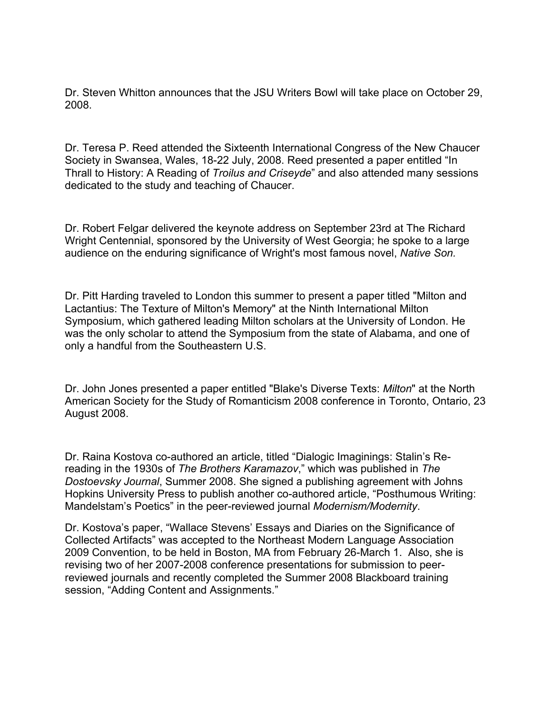Dr. Steven Whitton announces that the JSU Writers Bowl will take place on October 29, 2008.

Dr. Teresa P. Reed attended the Sixteenth International Congress of the New Chaucer Society in Swansea, Wales, 18-22 July, 2008. Reed presented a paper entitled "In Thrall to History: A Reading of *Troilus and Criseyde*" and also attended many sessions dedicated to the study and teaching of Chaucer.

Dr. Robert Felgar delivered the keynote address on September 23rd at The Richard Wright Centennial, sponsored by the University of West Georgia; he spoke to a large audience on the enduring significance of Wright's most famous novel, *Native Son.*

Dr. Pitt Harding traveled to London this summer to present a paper titled "Milton and Lactantius: The Texture of Milton's Memory" at the Ninth International Milton Symposium, which gathered leading Milton scholars at the University of London. He was the only scholar to attend the Symposium from the state of Alabama, and one of only a handful from the Southeastern U.S.

Dr. John Jones presented a paper entitled "Blake's Diverse Texts: *Milton*" at the North American Society for the Study of Romanticism 2008 conference in Toronto, Ontario, 23 August 2008.

Dr. Raina Kostova co-authored an article, titled "Dialogic Imaginings: Stalin's Rereading in the 1930s of *The Brothers Karamazov*," which was published in *The Dostoevsky Journal*, Summer 2008. She signed a publishing agreement with Johns Hopkins University Press to publish another co-authored article, "Posthumous Writing: Mandelstam's Poetics" in the peer-reviewed journal *Modernism/Modernity*.

Dr. Kostova's paper, "Wallace Stevens' Essays and Diaries on the Significance of Collected Artifacts" was accepted to the Northeast Modern Language Association 2009 Convention, to be held in Boston, MA from February 26-March 1. Also, she is revising two of her 2007-2008 conference presentations for submission to peerreviewed journals and recently completed the Summer 2008 Blackboard training session, "Adding Content and Assignments."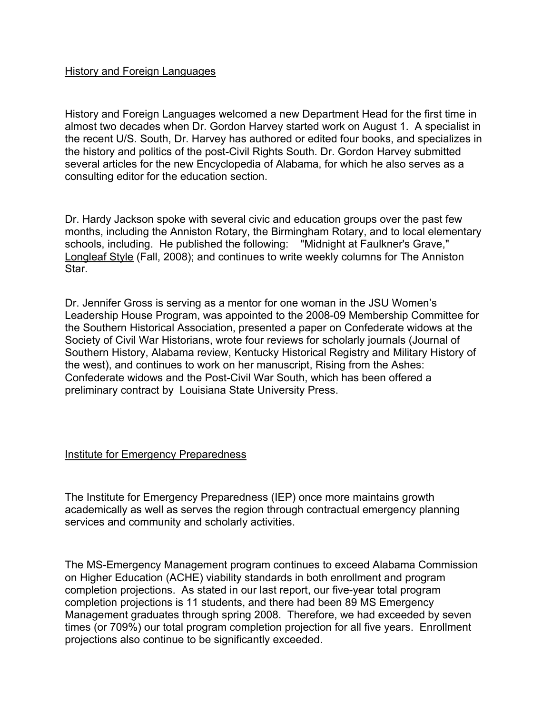#### History and Foreign Languages

History and Foreign Languages welcomed a new Department Head for the first time in almost two decades when Dr. Gordon Harvey started work on August 1. A specialist in the recent U/S. South, Dr. Harvey has authored or edited four books, and specializes in the history and politics of the post-Civil Rights South. Dr. Gordon Harvey submitted several articles for the new Encyclopedia of Alabama, for which he also serves as a consulting editor for the education section.

Dr. Hardy Jackson spoke with several civic and education groups over the past few months, including the Anniston Rotary, the Birmingham Rotary, and to local elementary schools, including. He published the following: "Midnight at Faulkner's Grave," Longleaf Style (Fall, 2008); and continues to write weekly columns for The Anniston Star.

Dr. Jennifer Gross is serving as a mentor for one woman in the JSU Women's Leadership House Program, was appointed to the 2008-09 Membership Committee for the Southern Historical Association, presented a paper on Confederate widows at the Society of Civil War Historians, wrote four reviews for scholarly journals (Journal of Southern History, Alabama review, Kentucky Historical Registry and Military History of the west), and continues to work on her manuscript, Rising from the Ashes: Confederate widows and the Post-Civil War South, which has been offered a preliminary contract by Louisiana State University Press.

#### Institute for Emergency Preparedness

The Institute for Emergency Preparedness (IEP) once more maintains growth academically as well as serves the region through contractual emergency planning services and community and scholarly activities.

The MS-Emergency Management program continues to exceed Alabama Commission on Higher Education (ACHE) viability standards in both enrollment and program completion projections. As stated in our last report, our five-year total program completion projections is 11 students, and there had been 89 MS Emergency Management graduates through spring 2008. Therefore, we had exceeded by seven times (or 709%) our total program completion projection for all five years. Enrollment projections also continue to be significantly exceeded.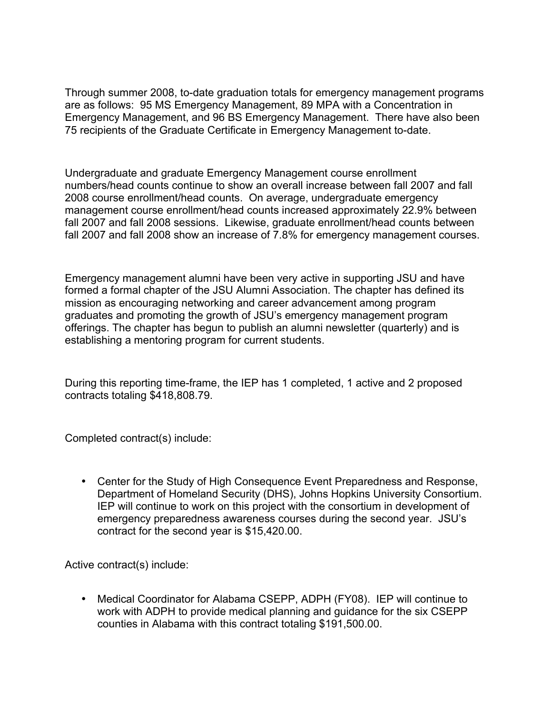Through summer 2008, to-date graduation totals for emergency management programs are as follows: 95 MS Emergency Management, 89 MPA with a Concentration in Emergency Management, and 96 BS Emergency Management. There have also been 75 recipients of the Graduate Certificate in Emergency Management to-date.

Undergraduate and graduate Emergency Management course enrollment numbers/head counts continue to show an overall increase between fall 2007 and fall 2008 course enrollment/head counts. On average, undergraduate emergency management course enrollment/head counts increased approximately 22.9% between fall 2007 and fall 2008 sessions. Likewise, graduate enrollment/head counts between fall 2007 and fall 2008 show an increase of 7.8% for emergency management courses.

Emergency management alumni have been very active in supporting JSU and have formed a formal chapter of the JSU Alumni Association. The chapter has defined its mission as encouraging networking and career advancement among program graduates and promoting the growth of JSU's emergency management program offerings. The chapter has begun to publish an alumni newsletter (quarterly) and is establishing a mentoring program for current students.

During this reporting time-frame, the IEP has 1 completed, 1 active and 2 proposed contracts totaling \$418,808.79.

Completed contract(s) include:

• Center for the Study of High Consequence Event Preparedness and Response, Department of Homeland Security (DHS), Johns Hopkins University Consortium. IEP will continue to work on this project with the consortium in development of emergency preparedness awareness courses during the second year. JSU's contract for the second year is \$15,420.00.

Active contract(s) include:

• Medical Coordinator for Alabama CSEPP, ADPH (FY08). IEP will continue to work with ADPH to provide medical planning and guidance for the six CSEPP counties in Alabama with this contract totaling \$191,500.00.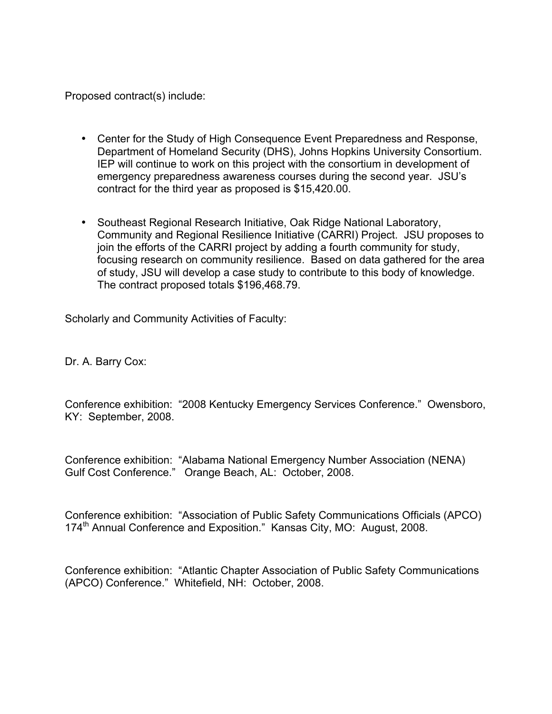Proposed contract(s) include:

- Center for the Study of High Consequence Event Preparedness and Response, Department of Homeland Security (DHS), Johns Hopkins University Consortium. IEP will continue to work on this project with the consortium in development of emergency preparedness awareness courses during the second year. JSU's contract for the third year as proposed is \$15,420.00.
- Southeast Regional Research Initiative, Oak Ridge National Laboratory, Community and Regional Resilience Initiative (CARRI) Project. JSU proposes to join the efforts of the CARRI project by adding a fourth community for study, focusing research on community resilience. Based on data gathered for the area of study, JSU will develop a case study to contribute to this body of knowledge. The contract proposed totals \$196,468.79.

Scholarly and Community Activities of Faculty:

Dr. A. Barry Cox:

Conference exhibition: "2008 Kentucky Emergency Services Conference." Owensboro, KY: September, 2008.

Conference exhibition: "Alabama National Emergency Number Association (NENA) Gulf Cost Conference." Orange Beach, AL: October, 2008.

Conference exhibition: "Association of Public Safety Communications Officials (APCO) 174<sup>th</sup> Annual Conference and Exposition." Kansas City, MO: August, 2008.

Conference exhibition: "Atlantic Chapter Association of Public Safety Communications (APCO) Conference." Whitefield, NH: October, 2008.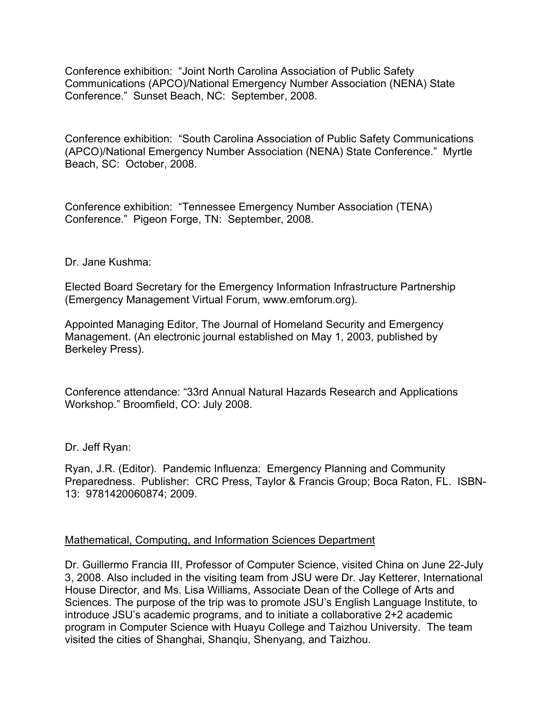Conference exhibition: "Joint North Carolina Association of Public Safety Communications (APCO)/National Emergency Number Association (NENA) State Conference." Sunset Beach, NC: September, 2008.

Conference exhibition: "South Carolina Association of Public Safety Communications (APCO)/National Emergency Number Association (NENA) State Conference." Myrtle Beach, SC: October, 2008.

Conference exhibition: "Tennessee Emergency Number Association (TENA) Conference." Pigeon Forge, TN: September, 2008.

#### Dr. Jane Kushma:

Elected Board Secretary for the Emergency Information Infrastructure Partnership (Emergency Management Virtual Forum, www.emforum.org).

Appointed Managing Editor, The Journal of Homeland Security and Emergency Management. (An electronic journal established on May 1, 2003, published by Berkeley Press).

Conference attendance: "33rd Annual Natural Hazards Research and Applications Workshop." Broomfield, CO: July 2008.

Dr. Jeff Ryan:

Ryan, J.R. (Editor). Pandemic Influenza: Emergency Planning and Community Preparedness. Publisher: CRC Press, Taylor & Francis Group; Boca Raton, FL. ISBN-13: 9781420060874; 2009.

#### Mathematical, Computing, and Information Sciences Department

Dr. Guillermo Francia III, Professor of Computer Science, visited China on June 22-July 3, 2008. Also included in the visiting team from JSU were Dr. Jay Ketterer, International House Director, and Ms. Lisa Williams, Associate Dean of the College of Arts and Sciences. The purpose of the trip was to promote JSU's English Language Institute, to introduce JSU's academic programs, and to initiate a collaborative 2+2 academic program in Computer Science with Huayu College and Taizhou University. The team visited the cities of Shanghai, Shanqiu, Shenyang, and Taizhou.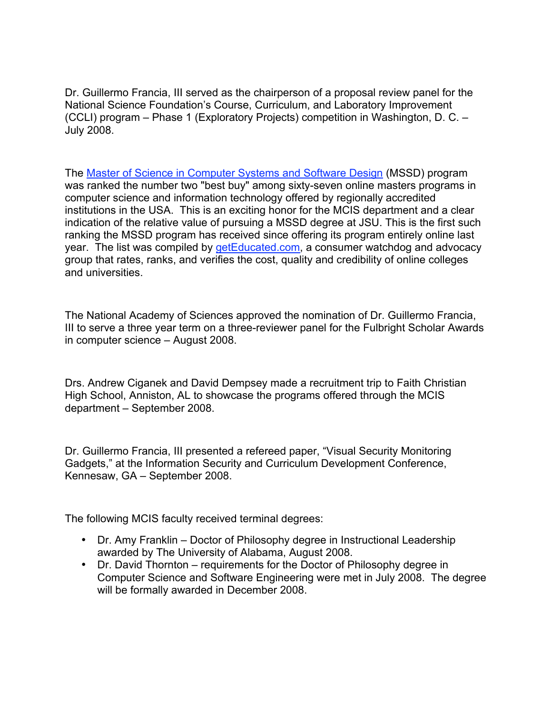Dr. Guillermo Francia, III served as the chairperson of a proposal review panel for the National Science Foundation's Course, Curriculum, and Laboratory Improvement (CCLI) program – Phase 1 (Exploratory Projects) competition in Washington, D. C. – July 2008.

The Master of Science in Computer Systems and Software Design (MSSD) program was ranked the number two "best buy" among sixty-seven online masters programs in computer science and information technology offered by regionally accredited institutions in the USA. This is an exciting honor for the MCIS department and a clear indication of the relative value of pursuing a MSSD degree at JSU. This is the first such ranking the MSSD program has received since offering its program entirely online last year. The list was compiled by getEducated.com, a consumer watchdog and advocacy group that rates, ranks, and verifies the cost, quality and credibility of online colleges and universities.

The National Academy of Sciences approved the nomination of Dr. Guillermo Francia, III to serve a three year term on a three-reviewer panel for the Fulbright Scholar Awards in computer science – August 2008.

Drs. Andrew Ciganek and David Dempsey made a recruitment trip to Faith Christian High School, Anniston, AL to showcase the programs offered through the MCIS department – September 2008.

Dr. Guillermo Francia, III presented a refereed paper, "Visual Security Monitoring Gadgets," at the Information Security and Curriculum Development Conference, Kennesaw, GA – September 2008.

The following MCIS faculty received terminal degrees:

- Dr. Amy Franklin Doctor of Philosophy degree in Instructional Leadership awarded by The University of Alabama, August 2008.
- Dr. David Thornton requirements for the Doctor of Philosophy degree in Computer Science and Software Engineering were met in July 2008. The degree will be formally awarded in December 2008.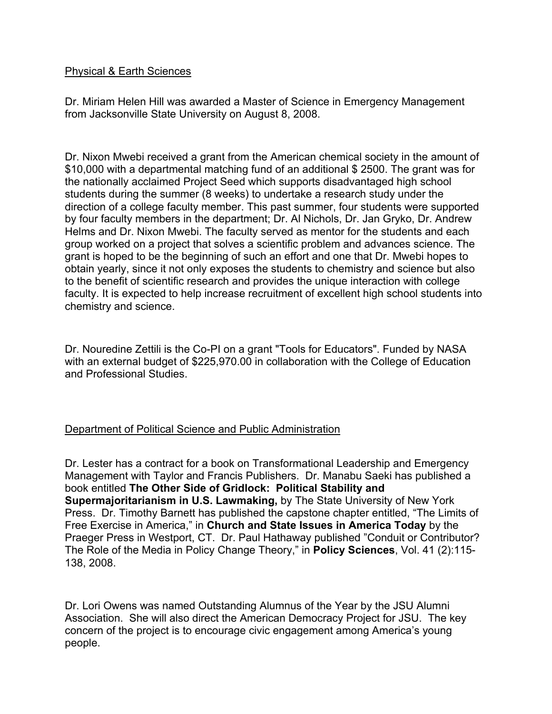#### Physical & Earth Sciences

Dr. Miriam Helen Hill was awarded a Master of Science in Emergency Management from Jacksonville State University on August 8, 2008.

Dr. Nixon Mwebi received a grant from the American chemical society in the amount of \$10,000 with a departmental matching fund of an additional \$ 2500. The grant was for the nationally acclaimed Project Seed which supports disadvantaged high school students during the summer (8 weeks) to undertake a research study under the direction of a college faculty member. This past summer, four students were supported by four faculty members in the department; Dr. Al Nichols, Dr. Jan Gryko, Dr. Andrew Helms and Dr. Nixon Mwebi. The faculty served as mentor for the students and each group worked on a project that solves a scientific problem and advances science. The grant is hoped to be the beginning of such an effort and one that Dr. Mwebi hopes to obtain yearly, since it not only exposes the students to chemistry and science but also to the benefit of scientific research and provides the unique interaction with college faculty. It is expected to help increase recruitment of excellent high school students into chemistry and science.

Dr. Nouredine Zettili is the Co-PI on a grant "Tools for Educators". Funded by NASA with an external budget of \$225,970.00 in collaboration with the College of Education and Professional Studies.

## Department of Political Science and Public Administration

Dr. Lester has a contract for a book on Transformational Leadership and Emergency Management with Taylor and Francis Publishers. Dr. Manabu Saeki has published a book entitled **The Other Side of Gridlock: Political Stability and Supermajoritarianism in U.S. Lawmaking,** by The State University of New York Press. Dr. Timothy Barnett has published the capstone chapter entitled, "The Limits of Free Exercise in America," in **Church and State Issues in America Today** by the Praeger Press in Westport, CT. Dr. Paul Hathaway published "Conduit or Contributor? The Role of the Media in Policy Change Theory," in **Policy Sciences**, Vol. 41 (2):115- 138, 2008.

Dr. Lori Owens was named Outstanding Alumnus of the Year by the JSU Alumni Association. She will also direct the American Democracy Project for JSU. The key concern of the project is to encourage civic engagement among America's young people.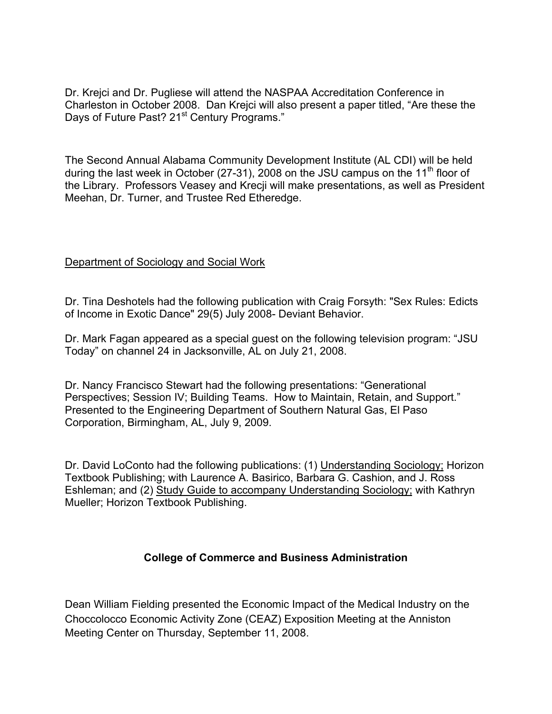Dr. Krejci and Dr. Pugliese will attend the NASPAA Accreditation Conference in Charleston in October 2008. Dan Krejci will also present a paper titled, "Are these the Days of Future Past? 21<sup>st</sup> Century Programs."

The Second Annual Alabama Community Development Institute (AL CDI) will be held during the last week in October (27-31), 2008 on the JSU campus on the 11<sup>th</sup> floor of the Library. Professors Veasey and Krecji will make presentations, as well as President Meehan, Dr. Turner, and Trustee Red Etheredge.

#### Department of Sociology and Social Work

Dr. Tina Deshotels had the following publication with Craig Forsyth: "Sex Rules: Edicts of Income in Exotic Dance" 29(5) July 2008- Deviant Behavior.

Dr. Mark Fagan appeared as a special guest on the following television program: "JSU Today" on channel 24 in Jacksonville, AL on July 21, 2008.

Dr. Nancy Francisco Stewart had the following presentations: "Generational Perspectives; Session IV; Building Teams. How to Maintain, Retain, and Support." Presented to the Engineering Department of Southern Natural Gas, El Paso Corporation, Birmingham, AL, July 9, 2009.

Dr. David LoConto had the following publications: (1) Understanding Sociology; Horizon Textbook Publishing; with Laurence A. Basirico, Barbara G. Cashion, and J. Ross Eshleman; and (2) Study Guide to accompany Understanding Sociology; with Kathryn Mueller; Horizon Textbook Publishing.

## **College of Commerce and Business Administration**

Dean William Fielding presented the Economic Impact of the Medical Industry on the Choccolocco Economic Activity Zone (CEAZ) Exposition Meeting at the Anniston Meeting Center on Thursday, September 11, 2008.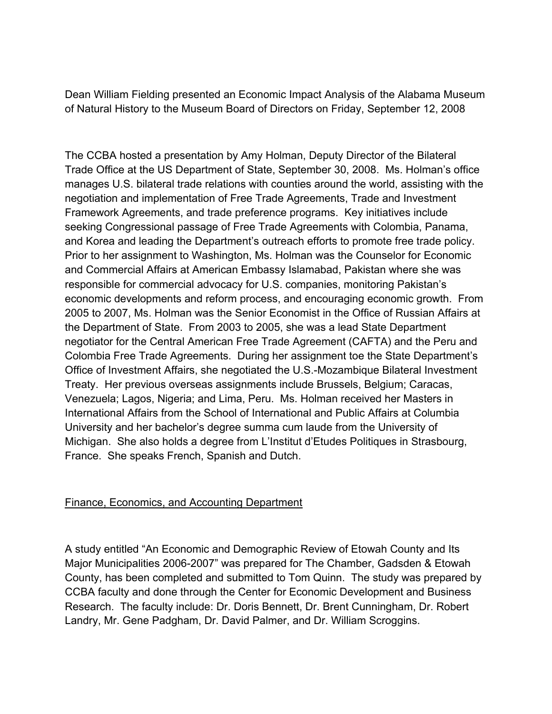Dean William Fielding presented an Economic Impact Analysis of the Alabama Museum of Natural History to the Museum Board of Directors on Friday, September 12, 2008

The CCBA hosted a presentation by Amy Holman, Deputy Director of the Bilateral Trade Office at the US Department of State, September 30, 2008. Ms. Holman's office manages U.S. bilateral trade relations with counties around the world, assisting with the negotiation and implementation of Free Trade Agreements, Trade and Investment Framework Agreements, and trade preference programs. Key initiatives include seeking Congressional passage of Free Trade Agreements with Colombia, Panama, and Korea and leading the Department's outreach efforts to promote free trade policy. Prior to her assignment to Washington, Ms. Holman was the Counselor for Economic and Commercial Affairs at American Embassy Islamabad, Pakistan where she was responsible for commercial advocacy for U.S. companies, monitoring Pakistan's economic developments and reform process, and encouraging economic growth. From 2005 to 2007, Ms. Holman was the Senior Economist in the Office of Russian Affairs at the Department of State. From 2003 to 2005, she was a lead State Department negotiator for the Central American Free Trade Agreement (CAFTA) and the Peru and Colombia Free Trade Agreements. During her assignment toe the State Department's Office of Investment Affairs, she negotiated the U.S.-Mozambique Bilateral Investment Treaty. Her previous overseas assignments include Brussels, Belgium; Caracas, Venezuela; Lagos, Nigeria; and Lima, Peru. Ms. Holman received her Masters in International Affairs from the School of International and Public Affairs at Columbia University and her bachelor's degree summa cum laude from the University of Michigan. She also holds a degree from L'Institut d'Etudes Politiques in Strasbourg, France. She speaks French, Spanish and Dutch.

## Finance, Economics, and Accounting Department

A study entitled "An Economic and Demographic Review of Etowah County and Its Major Municipalities 2006-2007" was prepared for The Chamber, Gadsden & Etowah County, has been completed and submitted to Tom Quinn. The study was prepared by CCBA faculty and done through the Center for Economic Development and Business Research. The faculty include: Dr. Doris Bennett, Dr. Brent Cunningham, Dr. Robert Landry, Mr. Gene Padgham, Dr. David Palmer, and Dr. William Scroggins.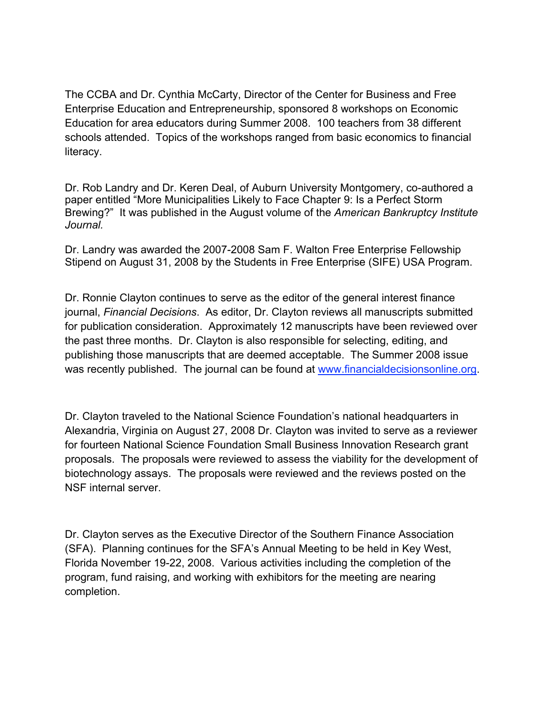The CCBA and Dr. Cynthia McCarty, Director of the Center for Business and Free Enterprise Education and Entrepreneurship, sponsored 8 workshops on Economic Education for area educators during Summer 2008. 100 teachers from 38 different schools attended. Topics of the workshops ranged from basic economics to financial literacy.

Dr. Rob Landry and Dr. Keren Deal, of Auburn University Montgomery, co-authored a paper entitled "More Municipalities Likely to Face Chapter 9: Is a Perfect Storm Brewing?" It was published in the August volume of the *American Bankruptcy Institute Journal.*

Dr. Landry was awarded the 2007-2008 Sam F. Walton Free Enterprise Fellowship Stipend on August 31, 2008 by the Students in Free Enterprise (SIFE) USA Program.

Dr. Ronnie Clayton continues to serve as the editor of the general interest finance journal, *Financial Decisions*. As editor, Dr. Clayton reviews all manuscripts submitted for publication consideration. Approximately 12 manuscripts have been reviewed over the past three months. Dr. Clayton is also responsible for selecting, editing, and publishing those manuscripts that are deemed acceptable. The Summer 2008 issue was recently published. The journal can be found at www.financialdecisionsonline.org.

Dr. Clayton traveled to the National Science Foundation's national headquarters in Alexandria, Virginia on August 27, 2008 Dr. Clayton was invited to serve as a reviewer for fourteen National Science Foundation Small Business Innovation Research grant proposals. The proposals were reviewed to assess the viability for the development of biotechnology assays. The proposals were reviewed and the reviews posted on the NSF internal server.

Dr. Clayton serves as the Executive Director of the Southern Finance Association (SFA). Planning continues for the SFA's Annual Meeting to be held in Key West, Florida November 19-22, 2008. Various activities including the completion of the program, fund raising, and working with exhibitors for the meeting are nearing completion.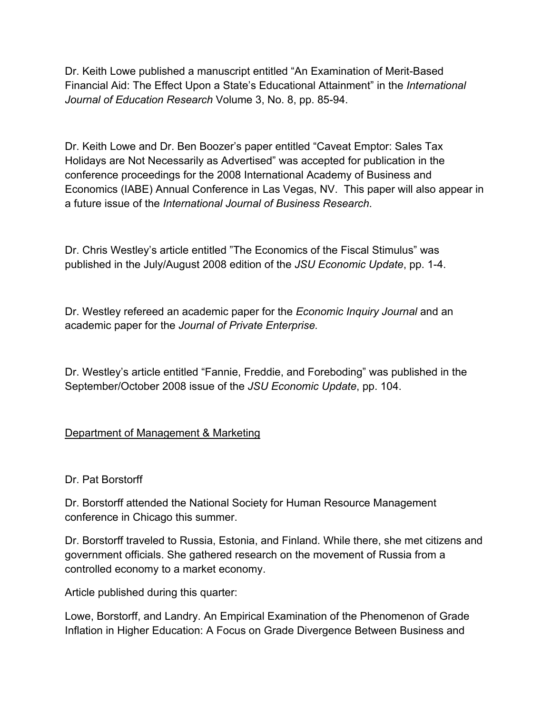Dr. Keith Lowe published a manuscript entitled "An Examination of Merit-Based Financial Aid: The Effect Upon a State's Educational Attainment" in the *International Journal of Education Research* Volume 3, No. 8, pp. 85-94.

Dr. Keith Lowe and Dr. Ben Boozer's paper entitled "Caveat Emptor: Sales Tax Holidays are Not Necessarily as Advertised" was accepted for publication in the conference proceedings for the 2008 International Academy of Business and Economics (IABE) Annual Conference in Las Vegas, NV. This paper will also appear in a future issue of the *International Journal of Business Research*.

Dr. Chris Westley's article entitled "The Economics of the Fiscal Stimulus" was published in the July/August 2008 edition of the *JSU Economic Update*, pp. 1-4.

Dr. Westley refereed an academic paper for the *Economic Inquiry Journal* and an academic paper for the *Journal of Private Enterprise.*

Dr. Westley's article entitled "Fannie, Freddie, and Foreboding" was published in the September/October 2008 issue of the *JSU Economic Update*, pp. 104.

## Department of Management & Marketing

## Dr. Pat Borstorff

Dr. Borstorff attended the National Society for Human Resource Management conference in Chicago this summer.

Dr. Borstorff traveled to Russia, Estonia, and Finland. While there, she met citizens and government officials. She gathered research on the movement of Russia from a controlled economy to a market economy.

Article published during this quarter:

Lowe, Borstorff, and Landry. An Empirical Examination of the Phenomenon of Grade Inflation in Higher Education: A Focus on Grade Divergence Between Business and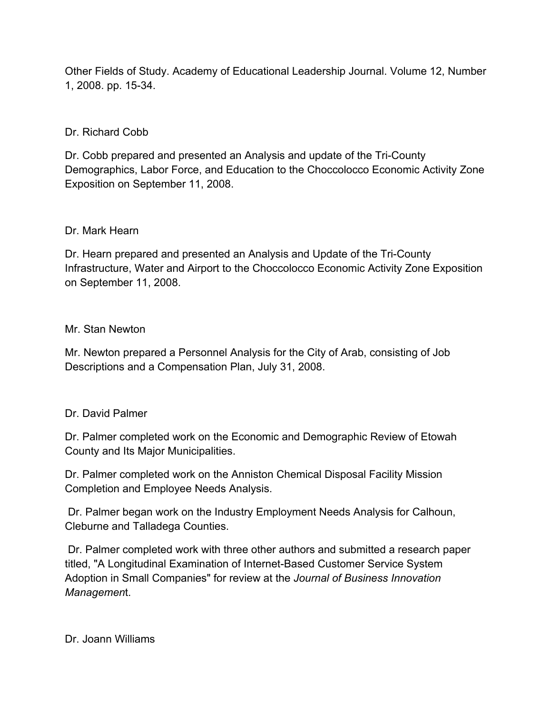Other Fields of Study. Academy of Educational Leadership Journal. Volume 12, Number 1, 2008. pp. 15-34.

### Dr. Richard Cobb

Dr. Cobb prepared and presented an Analysis and update of the Tri-County Demographics, Labor Force, and Education to the Choccolocco Economic Activity Zone Exposition on September 11, 2008.

#### Dr. Mark Hearn

Dr. Hearn prepared and presented an Analysis and Update of the Tri-County Infrastructure, Water and Airport to the Choccolocco Economic Activity Zone Exposition on September 11, 2008.

#### Mr. Stan Newton

Mr. Newton prepared a Personnel Analysis for the City of Arab, consisting of Job Descriptions and a Compensation Plan, July 31, 2008.

#### Dr. David Palmer

Dr. Palmer completed work on the Economic and Demographic Review of Etowah County and Its Major Municipalities.

Dr. Palmer completed work on the Anniston Chemical Disposal Facility Mission Completion and Employee Needs Analysis.

Dr. Palmer began work on the Industry Employment Needs Analysis for Calhoun, Cleburne and Talladega Counties.

Dr. Palmer completed work with three other authors and submitted a research paper titled, "A Longitudinal Examination of Internet-Based Customer Service System Adoption in Small Companies" for review at the *Journal of Business Innovation Managemen*t.

Dr. Joann Williams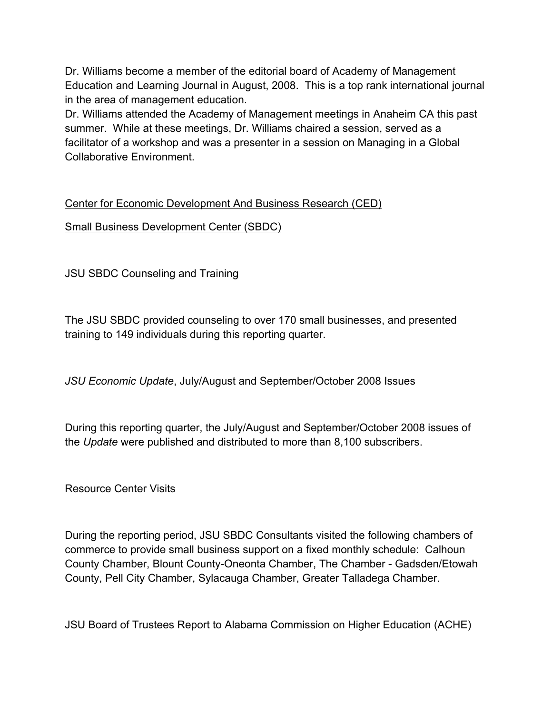Dr. Williams become a member of the editorial board of Academy of Management Education and Learning Journal in August, 2008. This is a top rank international journal in the area of management education.

Dr. Williams attended the Academy of Management meetings in Anaheim CA this past summer. While at these meetings, Dr. Williams chaired a session, served as a facilitator of a workshop and was a presenter in a session on Managing in a Global Collaborative Environment.

# Center for Economic Development And Business Research (CED)

Small Business Development Center (SBDC)

JSU SBDC Counseling and Training

The JSU SBDC provided counseling to over 170 small businesses, and presented training to 149 individuals during this reporting quarter.

*JSU Economic Update*, July/August and September/October 2008 Issues

During this reporting quarter, the July/August and September/October 2008 issues of the *Update* were published and distributed to more than 8,100 subscribers.

Resource Center Visits

During the reporting period, JSU SBDC Consultants visited the following chambers of commerce to provide small business support on a fixed monthly schedule: Calhoun County Chamber, Blount County-Oneonta Chamber, The Chamber - Gadsden/Etowah County, Pell City Chamber, Sylacauga Chamber, Greater Talladega Chamber.

JSU Board of Trustees Report to Alabama Commission on Higher Education (ACHE)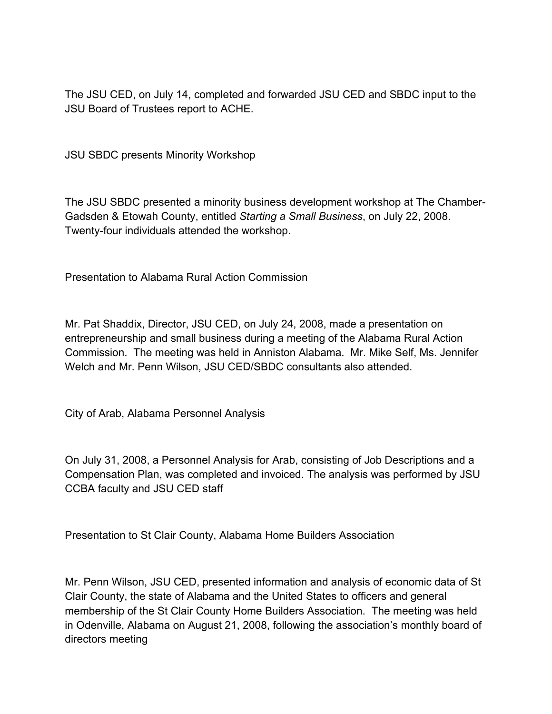The JSU CED, on July 14, completed and forwarded JSU CED and SBDC input to the JSU Board of Trustees report to ACHE.

JSU SBDC presents Minority Workshop

The JSU SBDC presented a minority business development workshop at The Chamber-Gadsden & Etowah County, entitled *Starting a Small Business*, on July 22, 2008. Twenty-four individuals attended the workshop.

Presentation to Alabama Rural Action Commission

Mr. Pat Shaddix, Director, JSU CED, on July 24, 2008, made a presentation on entrepreneurship and small business during a meeting of the Alabama Rural Action Commission. The meeting was held in Anniston Alabama. Mr. Mike Self, Ms. Jennifer Welch and Mr. Penn Wilson, JSU CED/SBDC consultants also attended.

City of Arab, Alabama Personnel Analysis

On July 31, 2008, a Personnel Analysis for Arab, consisting of Job Descriptions and a Compensation Plan, was completed and invoiced. The analysis was performed by JSU CCBA faculty and JSU CED staff

Presentation to St Clair County, Alabama Home Builders Association

Mr. Penn Wilson, JSU CED, presented information and analysis of economic data of St Clair County, the state of Alabama and the United States to officers and general membership of the St Clair County Home Builders Association. The meeting was held in Odenville, Alabama on August 21, 2008, following the association's monthly board of directors meeting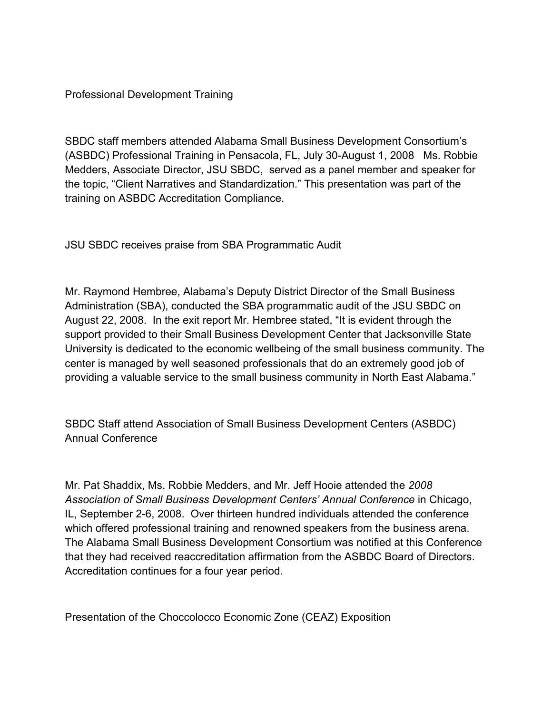Professional Development Training

SBDC staff members attended Alabama Small Business Development Consortium's (ASBDC) Professional Training in Pensacola, FL, July 30-August 1, 2008 Ms. Robbie Medders, Associate Director, JSU SBDC, served as a panel member and speaker for the topic, "Client Narratives and Standardization." This presentation was part of the training on ASBDC Accreditation Compliance.

JSU SBDC receives praise from SBA Programmatic Audit

Mr. Raymond Hembree, Alabama's Deputy District Director of the Small Business Administration (SBA), conducted the SBA programmatic audit of the JSU SBDC on August 22, 2008. In the exit report Mr. Hembree stated, "It is evident through the support provided to their Small Business Development Center that Jacksonville State University is dedicated to the economic wellbeing of the small business community. The center is managed by well seasoned professionals that do an extremely good job of providing a valuable service to the small business community in North East Alabama."

SBDC Staff attend Association of Small Business Development Centers (ASBDC) Annual Conference

Mr. Pat Shaddix, Ms. Robbie Medders, and Mr. Jeff Hooie attended the *2008 Association of Small Business Development Centers' Annual Conference* in Chicago, IL, September 2-6, 2008. Over thirteen hundred individuals attended the conference which offered professional training and renowned speakers from the business arena. The Alabama Small Business Development Consortium was notified at this Conference that they had received reaccreditation affirmation from the ASBDC Board of Directors. Accreditation continues for a four year period.

Presentation of the Choccolocco Economic Zone (CEAZ) Exposition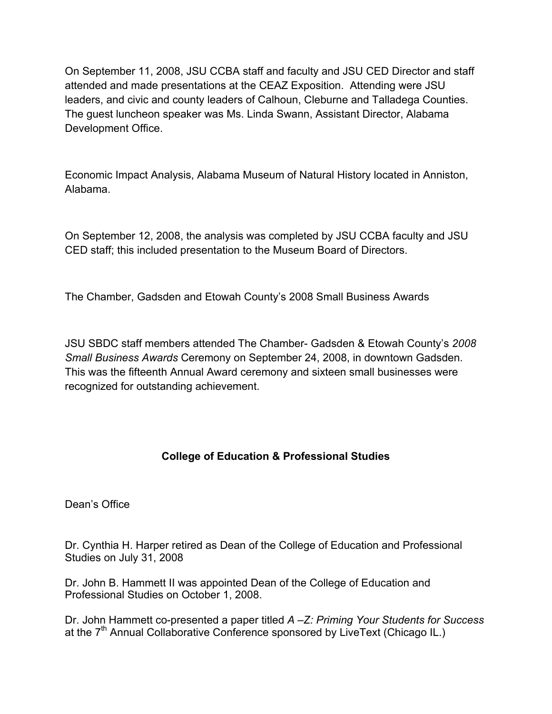On September 11, 2008, JSU CCBA staff and faculty and JSU CED Director and staff attended and made presentations at the CEAZ Exposition. Attending were JSU leaders, and civic and county leaders of Calhoun, Cleburne and Talladega Counties. The guest luncheon speaker was Ms. Linda Swann, Assistant Director, Alabama Development Office.

Economic Impact Analysis, Alabama Museum of Natural History located in Anniston, Alabama.

On September 12, 2008, the analysis was completed by JSU CCBA faculty and JSU CED staff; this included presentation to the Museum Board of Directors.

The Chamber, Gadsden and Etowah County's 2008 Small Business Awards

JSU SBDC staff members attended The Chamber- Gadsden & Etowah County's *2008 Small Business Awards* Ceremony on September 24, 2008, in downtown Gadsden. This was the fifteenth Annual Award ceremony and sixteen small businesses were recognized for outstanding achievement.

# **College of Education & Professional Studies**

Dean's Office

Dr. Cynthia H. Harper retired as Dean of the College of Education and Professional Studies on July 31, 2008

Dr. John B. Hammett II was appointed Dean of the College of Education and Professional Studies on October 1, 2008.

Dr. John Hammett co-presented a paper titled *A –Z: Priming Your Students for Success* at the 7<sup>th</sup> Annual Collaborative Conference sponsored by LiveText (Chicago IL.)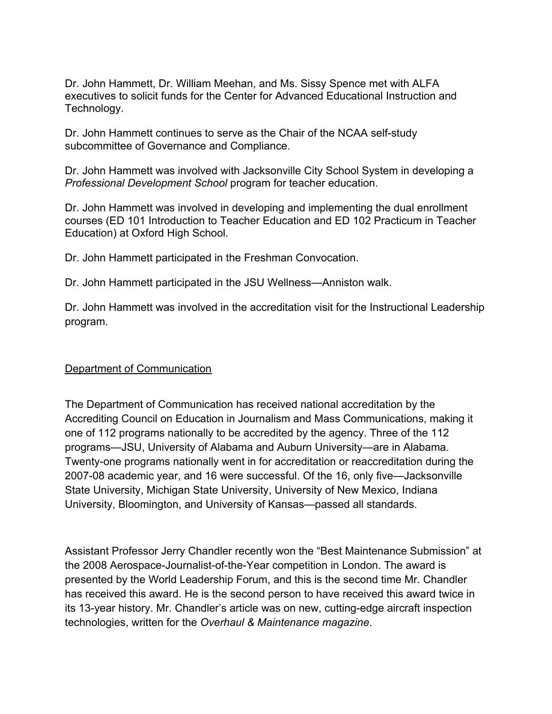Dr. John Hammett, Dr. William Meehan, and Ms. Sissy Spence met with ALFA executives to solicit funds for the Center for Advanced Educational Instruction and Technology.

Dr. John Hammett continues to serve as the Chair of the NCAA self-study subcommittee of Governance and Compliance.

Dr. John Hammett was involved with Jacksonville City School System in developing a *Professional Development School* program for teacher education.

Dr. John Hammett was involved in developing and implementing the dual enrollment courses (ED 101 Introduction to Teacher Education and ED 102 Practicum in Teacher Education) at Oxford High School.

Dr. John Hammett participated in the Freshman Convocation.

Dr. John Hammett participated in the JSU Wellness—Anniston walk.

Dr. John Hammett was involved in the accreditation visit for the Instructional Leadership program.

## Department of Communication

The Department of Communication has received national accreditation by the Accrediting Council on Education in Journalism and Mass Communications, making it one of 112 programs nationally to be accredited by the agency. Three of the 112 programs—JSU, University of Alabama and Auburn University—are in Alabama. Twenty-one programs nationally went in for accreditation or reaccreditation during the 2007-08 academic year, and 16 were successful. Of the 16, only five—Jacksonville State University, Michigan State University, University of New Mexico, Indiana University, Bloomington, and University of Kansas—passed all standards.

Assistant Professor Jerry Chandler recently won the "Best Maintenance Submission" at the 2008 Aerospace-Journalist-of-the-Year competition in London. The award is presented by the World Leadership Forum, and this is the second time Mr. Chandler has received this award. He is the second person to have received this award twice in its 13-year history. Mr. Chandler's article was on new, cutting-edge aircraft inspection technologies, written for the *Overhaul & Maintenance magazine*.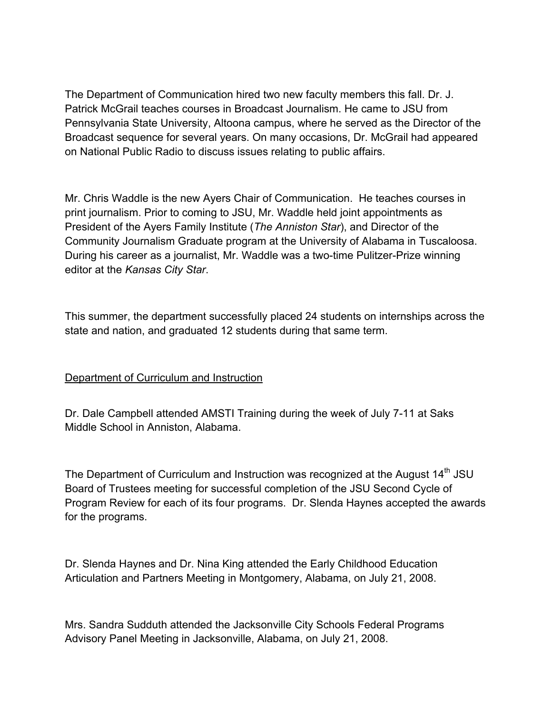The Department of Communication hired two new faculty members this fall. Dr. J. Patrick McGrail teaches courses in Broadcast Journalism. He came to JSU from Pennsylvania State University, Altoona campus, where he served as the Director of the Broadcast sequence for several years. On many occasions, Dr. McGrail had appeared on National Public Radio to discuss issues relating to public affairs.

Mr. Chris Waddle is the new Ayers Chair of Communication. He teaches courses in print journalism. Prior to coming to JSU, Mr. Waddle held joint appointments as President of the Ayers Family Institute (*The Anniston Star*), and Director of the Community Journalism Graduate program at the University of Alabama in Tuscaloosa. During his career as a journalist, Mr. Waddle was a two-time Pulitzer-Prize winning editor at the *Kansas City Star*.

This summer, the department successfully placed 24 students on internships across the state and nation, and graduated 12 students during that same term.

## Department of Curriculum and Instruction

Dr. Dale Campbell attended AMSTI Training during the week of July 7-11 at Saks Middle School in Anniston, Alabama.

The Department of Curriculum and Instruction was recognized at the August  $14<sup>th</sup>$  JSU Board of Trustees meeting for successful completion of the JSU Second Cycle of Program Review for each of its four programs. Dr. Slenda Haynes accepted the awards for the programs.

Dr. Slenda Haynes and Dr. Nina King attended the Early Childhood Education Articulation and Partners Meeting in Montgomery, Alabama, on July 21, 2008.

Mrs. Sandra Sudduth attended the Jacksonville City Schools Federal Programs Advisory Panel Meeting in Jacksonville, Alabama, on July 21, 2008.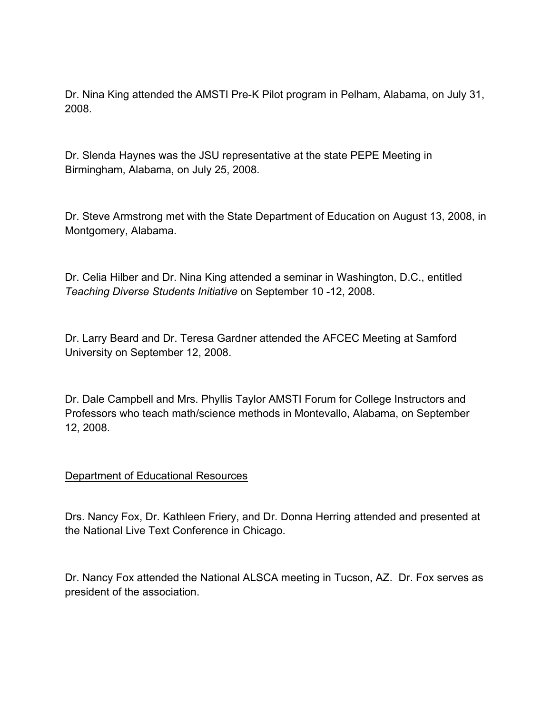Dr. Nina King attended the AMSTI Pre-K Pilot program in Pelham, Alabama, on July 31, 2008.

Dr. Slenda Haynes was the JSU representative at the state PEPE Meeting in Birmingham, Alabama, on July 25, 2008.

Dr. Steve Armstrong met with the State Department of Education on August 13, 2008, in Montgomery, Alabama.

Dr. Celia Hilber and Dr. Nina King attended a seminar in Washington, D.C., entitled *Teaching Diverse Students Initiative* on September 10 -12, 2008.

Dr. Larry Beard and Dr. Teresa Gardner attended the AFCEC Meeting at Samford University on September 12, 2008.

Dr. Dale Campbell and Mrs. Phyllis Taylor AMSTI Forum for College Instructors and Professors who teach math/science methods in Montevallo, Alabama, on September 12, 2008.

#### Department of Educational Resources

Drs. Nancy Fox, Dr. Kathleen Friery, and Dr. Donna Herring attended and presented at the National Live Text Conference in Chicago.

Dr. Nancy Fox attended the National ALSCA meeting in Tucson, AZ. Dr. Fox serves as president of the association.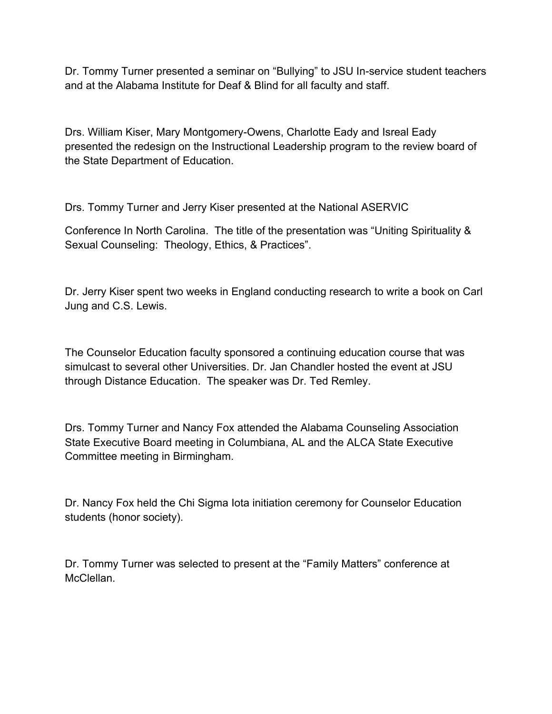Dr. Tommy Turner presented a seminar on "Bullying" to JSU In-service student teachers and at the Alabama Institute for Deaf & Blind for all faculty and staff.

Drs. William Kiser, Mary Montgomery-Owens, Charlotte Eady and Isreal Eady presented the redesign on the Instructional Leadership program to the review board of the State Department of Education.

Drs. Tommy Turner and Jerry Kiser presented at the National ASERVIC

Conference In North Carolina. The title of the presentation was "Uniting Spirituality & Sexual Counseling: Theology, Ethics, & Practices".

Dr. Jerry Kiser spent two weeks in England conducting research to write a book on Carl Jung and C.S. Lewis.

The Counselor Education faculty sponsored a continuing education course that was simulcast to several other Universities. Dr. Jan Chandler hosted the event at JSU through Distance Education. The speaker was Dr. Ted Remley.

Drs. Tommy Turner and Nancy Fox attended the Alabama Counseling Association State Executive Board meeting in Columbiana, AL and the ALCA State Executive Committee meeting in Birmingham.

Dr. Nancy Fox held the Chi Sigma Iota initiation ceremony for Counselor Education students (honor society).

Dr. Tommy Turner was selected to present at the "Family Matters" conference at McClellan.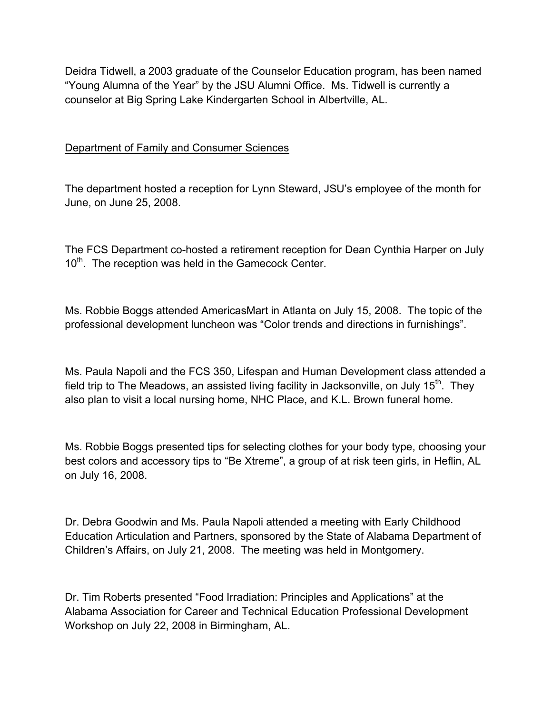Deidra Tidwell, a 2003 graduate of the Counselor Education program, has been named "Young Alumna of the Year" by the JSU Alumni Office. Ms. Tidwell is currently a counselor at Big Spring Lake Kindergarten School in Albertville, AL.

### Department of Family and Consumer Sciences

The department hosted a reception for Lynn Steward, JSU's employee of the month for June, on June 25, 2008.

The FCS Department co-hosted a retirement reception for Dean Cynthia Harper on July 10<sup>th</sup>. The reception was held in the Gamecock Center.

Ms. Robbie Boggs attended AmericasMart in Atlanta on July 15, 2008. The topic of the professional development luncheon was "Color trends and directions in furnishings".

Ms. Paula Napoli and the FCS 350, Lifespan and Human Development class attended a field trip to The Meadows, an assisted living facility in Jacksonville, on July  $15<sup>th</sup>$ . They also plan to visit a local nursing home, NHC Place, and K.L. Brown funeral home.

Ms. Robbie Boggs presented tips for selecting clothes for your body type, choosing your best colors and accessory tips to "Be Xtreme", a group of at risk teen girls, in Heflin, AL on July 16, 2008.

Dr. Debra Goodwin and Ms. Paula Napoli attended a meeting with Early Childhood Education Articulation and Partners, sponsored by the State of Alabama Department of Children's Affairs, on July 21, 2008. The meeting was held in Montgomery.

Dr. Tim Roberts presented "Food Irradiation: Principles and Applications" at the Alabama Association for Career and Technical Education Professional Development Workshop on July 22, 2008 in Birmingham, AL.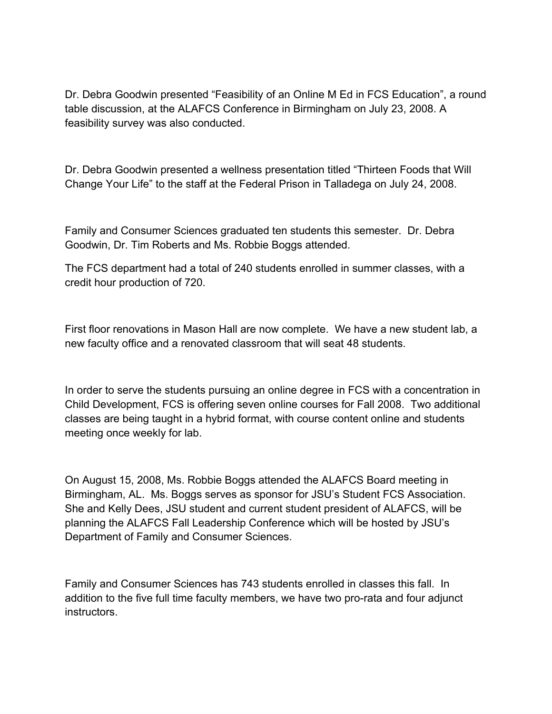Dr. Debra Goodwin presented "Feasibility of an Online M Ed in FCS Education", a round table discussion, at the ALAFCS Conference in Birmingham on July 23, 2008. A feasibility survey was also conducted.

Dr. Debra Goodwin presented a wellness presentation titled "Thirteen Foods that Will Change Your Life" to the staff at the Federal Prison in Talladega on July 24, 2008.

Family and Consumer Sciences graduated ten students this semester. Dr. Debra Goodwin, Dr. Tim Roberts and Ms. Robbie Boggs attended.

The FCS department had a total of 240 students enrolled in summer classes, with a credit hour production of 720.

First floor renovations in Mason Hall are now complete. We have a new student lab, a new faculty office and a renovated classroom that will seat 48 students.

In order to serve the students pursuing an online degree in FCS with a concentration in Child Development, FCS is offering seven online courses for Fall 2008. Two additional classes are being taught in a hybrid format, with course content online and students meeting once weekly for lab.

On August 15, 2008, Ms. Robbie Boggs attended the ALAFCS Board meeting in Birmingham, AL. Ms. Boggs serves as sponsor for JSU's Student FCS Association. She and Kelly Dees, JSU student and current student president of ALAFCS, will be planning the ALAFCS Fall Leadership Conference which will be hosted by JSU's Department of Family and Consumer Sciences.

Family and Consumer Sciences has 743 students enrolled in classes this fall. In addition to the five full time faculty members, we have two pro-rata and four adjunct instructors.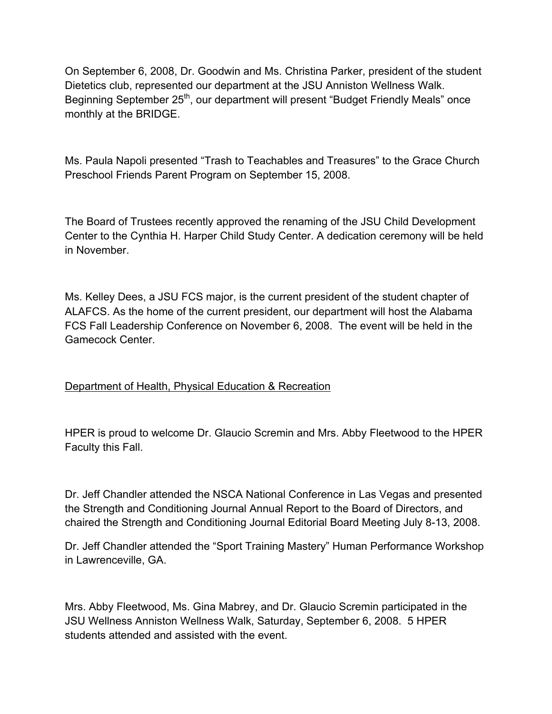On September 6, 2008, Dr. Goodwin and Ms. Christina Parker, president of the student Dietetics club, represented our department at the JSU Anniston Wellness Walk. Beginning September 25<sup>th</sup>, our department will present "Budget Friendly Meals" once monthly at the BRIDGE.

Ms. Paula Napoli presented "Trash to Teachables and Treasures" to the Grace Church Preschool Friends Parent Program on September 15, 2008.

The Board of Trustees recently approved the renaming of the JSU Child Development Center to the Cynthia H. Harper Child Study Center. A dedication ceremony will be held in November.

Ms. Kelley Dees, a JSU FCS major, is the current president of the student chapter of ALAFCS. As the home of the current president, our department will host the Alabama FCS Fall Leadership Conference on November 6, 2008. The event will be held in the Gamecock Center.

## Department of Health, Physical Education & Recreation

HPER is proud to welcome Dr. Glaucio Scremin and Mrs. Abby Fleetwood to the HPER Faculty this Fall.

Dr. Jeff Chandler attended the NSCA National Conference in Las Vegas and presented the Strength and Conditioning Journal Annual Report to the Board of Directors, and chaired the Strength and Conditioning Journal Editorial Board Meeting July 8-13, 2008.

Dr. Jeff Chandler attended the "Sport Training Mastery" Human Performance Workshop in Lawrenceville, GA.

Mrs. Abby Fleetwood, Ms. Gina Mabrey, and Dr. Glaucio Scremin participated in the JSU Wellness Anniston Wellness Walk, Saturday, September 6, 2008. 5 HPER students attended and assisted with the event.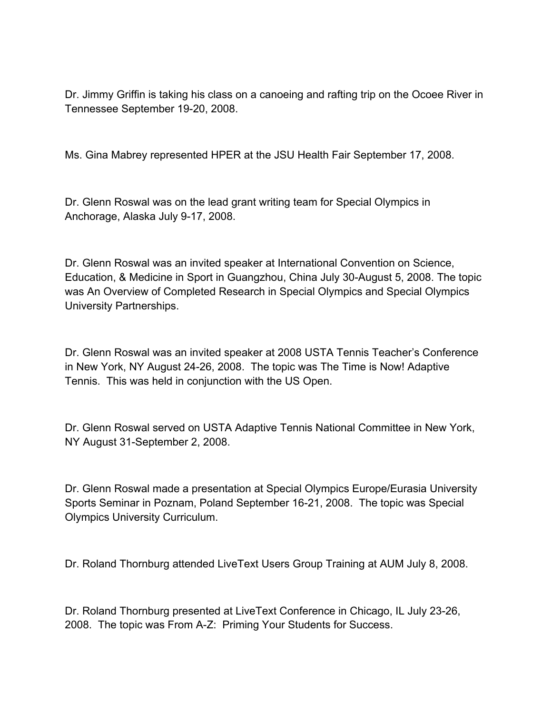Dr. Jimmy Griffin is taking his class on a canoeing and rafting trip on the Ocoee River in Tennessee September 19-20, 2008.

Ms. Gina Mabrey represented HPER at the JSU Health Fair September 17, 2008.

Dr. Glenn Roswal was on the lead grant writing team for Special Olympics in Anchorage, Alaska July 9-17, 2008.

Dr. Glenn Roswal was an invited speaker at International Convention on Science, Education, & Medicine in Sport in Guangzhou, China July 30-August 5, 2008. The topic was An Overview of Completed Research in Special Olympics and Special Olympics University Partnerships.

Dr. Glenn Roswal was an invited speaker at 2008 USTA Tennis Teacher's Conference in New York, NY August 24-26, 2008. The topic was The Time is Now! Adaptive Tennis. This was held in conjunction with the US Open.

Dr. Glenn Roswal served on USTA Adaptive Tennis National Committee in New York, NY August 31-September 2, 2008.

Dr. Glenn Roswal made a presentation at Special Olympics Europe/Eurasia University Sports Seminar in Poznam, Poland September 16-21, 2008. The topic was Special Olympics University Curriculum.

Dr. Roland Thornburg attended LiveText Users Group Training at AUM July 8, 2008.

Dr. Roland Thornburg presented at LiveText Conference in Chicago, IL July 23-26, 2008. The topic was From A-Z: Priming Your Students for Success.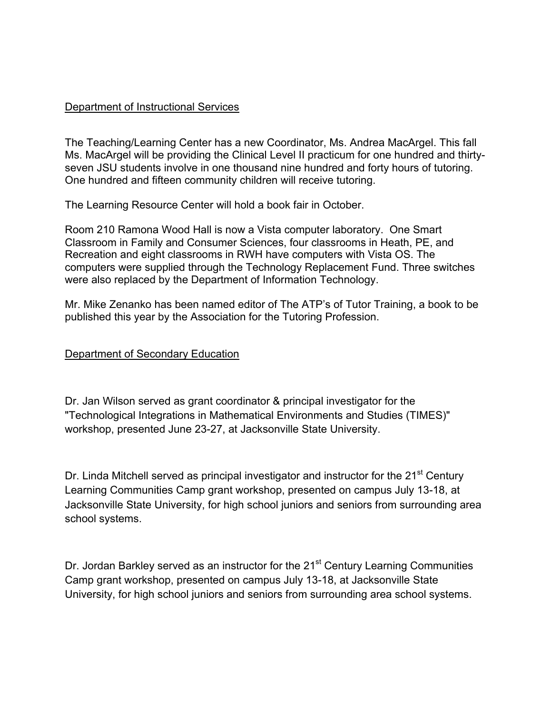#### Department of Instructional Services

The Teaching/Learning Center has a new Coordinator, Ms. Andrea MacArgel. This fall Ms. MacArgel will be providing the Clinical Level II practicum for one hundred and thirtyseven JSU students involve in one thousand nine hundred and forty hours of tutoring. One hundred and fifteen community children will receive tutoring.

The Learning Resource Center will hold a book fair in October.

Room 210 Ramona Wood Hall is now a Vista computer laboratory. One Smart Classroom in Family and Consumer Sciences, four classrooms in Heath, PE, and Recreation and eight classrooms in RWH have computers with Vista OS. The computers were supplied through the Technology Replacement Fund. Three switches were also replaced by the Department of Information Technology.

Mr. Mike Zenanko has been named editor of The ATP's of Tutor Training, a book to be published this year by the Association for the Tutoring Profession.

### Department of Secondary Education

Dr. Jan Wilson served as grant coordinator & principal investigator for the "Technological Integrations in Mathematical Environments and Studies (TIMES)" workshop, presented June 23-27, at Jacksonville State University.

Dr. Linda Mitchell served as principal investigator and instructor for the 21<sup>st</sup> Century Learning Communities Camp grant workshop, presented on campus July 13-18, at Jacksonville State University, for high school juniors and seniors from surrounding area school systems.

Dr. Jordan Barkley served as an instructor for the 21<sup>st</sup> Century Learning Communities Camp grant workshop, presented on campus July 13-18, at Jacksonville State University, for high school juniors and seniors from surrounding area school systems.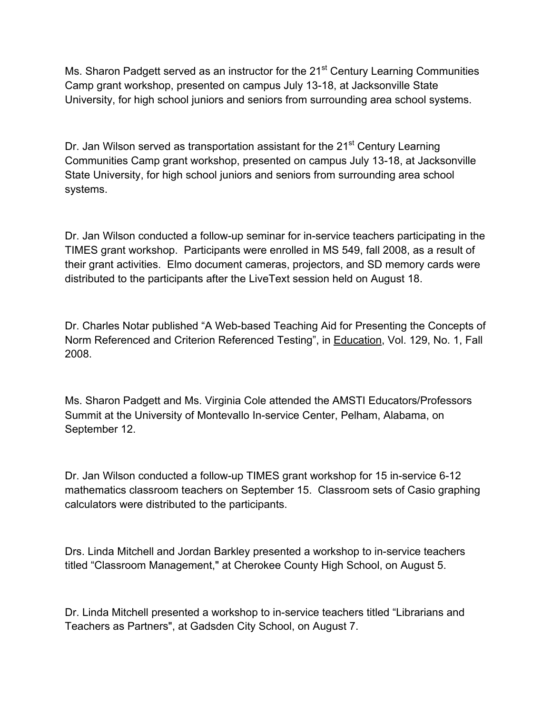Ms. Sharon Padgett served as an instructor for the  $21<sup>st</sup>$  Century Learning Communities Camp grant workshop, presented on campus July 13-18, at Jacksonville State University, for high school juniors and seniors from surrounding area school systems.

Dr. Jan Wilson served as transportation assistant for the 21<sup>st</sup> Century Learning Communities Camp grant workshop, presented on campus July 13-18, at Jacksonville State University, for high school juniors and seniors from surrounding area school systems.

Dr. Jan Wilson conducted a follow-up seminar for in-service teachers participating in the TIMES grant workshop. Participants were enrolled in MS 549, fall 2008, as a result of their grant activities. Elmo document cameras, projectors, and SD memory cards were distributed to the participants after the LiveText session held on August 18.

Dr. Charles Notar published "A Web-based Teaching Aid for Presenting the Concepts of Norm Referenced and Criterion Referenced Testing", in Education, Vol. 129, No. 1, Fall 2008.

Ms. Sharon Padgett and Ms. Virginia Cole attended the AMSTI Educators/Professors Summit at the University of Montevallo In-service Center, Pelham, Alabama, on September 12.

Dr. Jan Wilson conducted a follow-up TIMES grant workshop for 15 in-service 6-12 mathematics classroom teachers on September 15. Classroom sets of Casio graphing calculators were distributed to the participants.

Drs. Linda Mitchell and Jordan Barkley presented a workshop to in-service teachers titled "Classroom Management," at Cherokee County High School, on August 5.

Dr. Linda Mitchell presented a workshop to in-service teachers titled "Librarians and Teachers as Partners", at Gadsden City School, on August 7.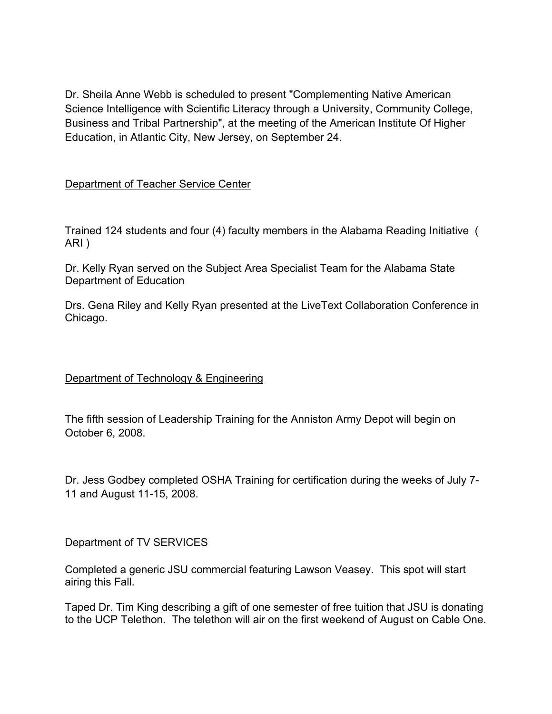Dr. Sheila Anne Webb is scheduled to present "Complementing Native American Science Intelligence with Scientific Literacy through a University, Community College, Business and Tribal Partnership", at the meeting of the American Institute Of Higher Education, in Atlantic City, New Jersey, on September 24.

Department of Teacher Service Center

Trained 124 students and four (4) faculty members in the Alabama Reading Initiative ( ARI )

Dr. Kelly Ryan served on the Subject Area Specialist Team for the Alabama State Department of Education

Drs. Gena Riley and Kelly Ryan presented at the LiveText Collaboration Conference in Chicago.

## Department of Technology & Engineering

The fifth session of Leadership Training for the Anniston Army Depot will begin on October 6, 2008.

Dr. Jess Godbey completed OSHA Training for certification during the weeks of July 7- 11 and August 11-15, 2008.

Department of TV SERVICES

Completed a generic JSU commercial featuring Lawson Veasey. This spot will start airing this Fall.

Taped Dr. Tim King describing a gift of one semester of free tuition that JSU is donating to the UCP Telethon. The telethon will air on the first weekend of August on Cable One.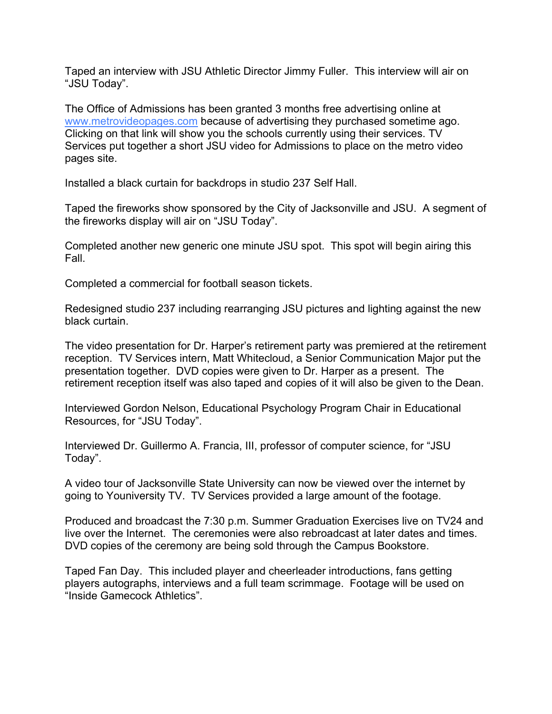Taped an interview with JSU Athletic Director Jimmy Fuller. This interview will air on "JSU Today".

The Office of Admissions has been granted 3 months free advertising online at www.metrovideopages.com because of advertising they purchased sometime ago. Clicking on that link will show you the schools currently using their services. TV Services put together a short JSU video for Admissions to place on the metro video pages site.

Installed a black curtain for backdrops in studio 237 Self Hall.

Taped the fireworks show sponsored by the City of Jacksonville and JSU. A segment of the fireworks display will air on "JSU Today".

Completed another new generic one minute JSU spot. This spot will begin airing this Fall.

Completed a commercial for football season tickets.

Redesigned studio 237 including rearranging JSU pictures and lighting against the new black curtain.

The video presentation for Dr. Harper's retirement party was premiered at the retirement reception. TV Services intern, Matt Whitecloud, a Senior Communication Major put the presentation together. DVD copies were given to Dr. Harper as a present. The retirement reception itself was also taped and copies of it will also be given to the Dean.

Interviewed Gordon Nelson, Educational Psychology Program Chair in Educational Resources, for "JSU Today".

Interviewed Dr. Guillermo A. Francia, III, professor of computer science, for "JSU Today".

A video tour of Jacksonville State University can now be viewed over the internet by going to Youniversity TV. TV Services provided a large amount of the footage.

Produced and broadcast the 7:30 p.m. Summer Graduation Exercises live on TV24 and live over the Internet. The ceremonies were also rebroadcast at later dates and times. DVD copies of the ceremony are being sold through the Campus Bookstore.

Taped Fan Day. This included player and cheerleader introductions, fans getting players autographs, interviews and a full team scrimmage. Footage will be used on "Inside Gamecock Athletics".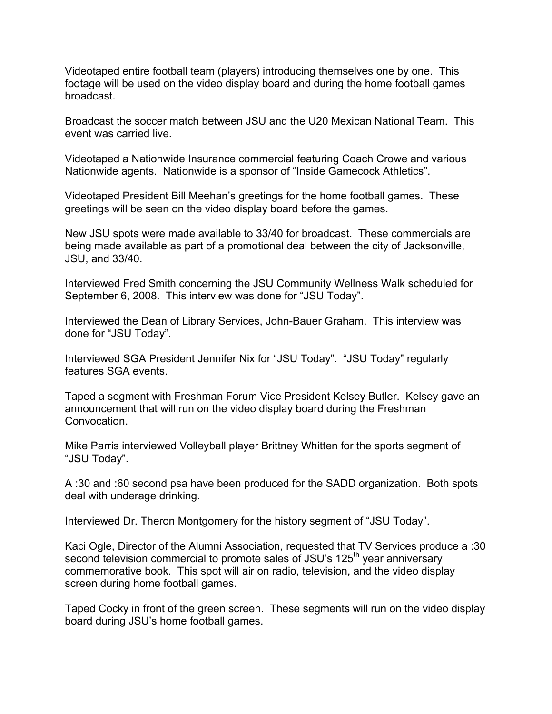Videotaped entire football team (players) introducing themselves one by one. This footage will be used on the video display board and during the home football games broadcast.

Broadcast the soccer match between JSU and the U20 Mexican National Team. This event was carried live.

Videotaped a Nationwide Insurance commercial featuring Coach Crowe and various Nationwide agents. Nationwide is a sponsor of "Inside Gamecock Athletics".

Videotaped President Bill Meehan's greetings for the home football games. These greetings will be seen on the video display board before the games.

New JSU spots were made available to 33/40 for broadcast. These commercials are being made available as part of a promotional deal between the city of Jacksonville, JSU, and 33/40.

Interviewed Fred Smith concerning the JSU Community Wellness Walk scheduled for September 6, 2008. This interview was done for "JSU Today".

Interviewed the Dean of Library Services, John-Bauer Graham. This interview was done for "JSU Today".

Interviewed SGA President Jennifer Nix for "JSU Today". "JSU Today" regularly features SGA events.

Taped a segment with Freshman Forum Vice President Kelsey Butler. Kelsey gave an announcement that will run on the video display board during the Freshman Convocation.

Mike Parris interviewed Volleyball player Brittney Whitten for the sports segment of "JSU Today".

A :30 and :60 second psa have been produced for the SADD organization. Both spots deal with underage drinking.

Interviewed Dr. Theron Montgomery for the history segment of "JSU Today".

Kaci Ogle, Director of the Alumni Association, requested that TV Services produce a :30 second television commercial to promote sales of JSU's 125<sup>th</sup> year anniversary commemorative book. This spot will air on radio, television, and the video display screen during home football games.

Taped Cocky in front of the green screen. These segments will run on the video display board during JSU's home football games.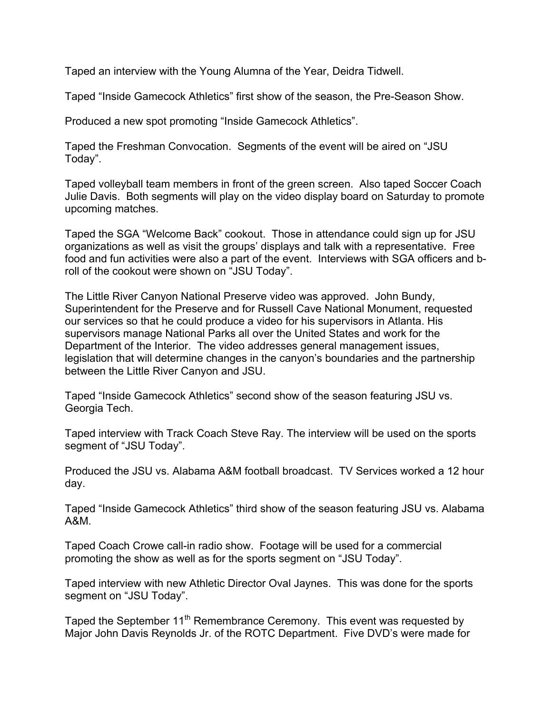Taped an interview with the Young Alumna of the Year, Deidra Tidwell.

Taped "Inside Gamecock Athletics" first show of the season, the Pre-Season Show.

Produced a new spot promoting "Inside Gamecock Athletics".

Taped the Freshman Convocation. Segments of the event will be aired on "JSU Today".

Taped volleyball team members in front of the green screen. Also taped Soccer Coach Julie Davis. Both segments will play on the video display board on Saturday to promote upcoming matches.

Taped the SGA "Welcome Back" cookout. Those in attendance could sign up for JSU organizations as well as visit the groups' displays and talk with a representative. Free food and fun activities were also a part of the event. Interviews with SGA officers and broll of the cookout were shown on "JSU Today".

The Little River Canyon National Preserve video was approved. John Bundy, Superintendent for the Preserve and for Russell Cave National Monument, requested our services so that he could produce a video for his supervisors in Atlanta. His supervisors manage National Parks all over the United States and work for the Department of the Interior. The video addresses general management issues, legislation that will determine changes in the canyon's boundaries and the partnership between the Little River Canyon and JSU.

Taped "Inside Gamecock Athletics" second show of the season featuring JSU vs. Georgia Tech.

Taped interview with Track Coach Steve Ray. The interview will be used on the sports segment of "JSU Today".

Produced the JSU vs. Alabama A&M football broadcast. TV Services worked a 12 hour day.

Taped "Inside Gamecock Athletics" third show of the season featuring JSU vs. Alabama A&M.

Taped Coach Crowe call-in radio show. Footage will be used for a commercial promoting the show as well as for the sports segment on "JSU Today".

Taped interview with new Athletic Director Oval Jaynes. This was done for the sports segment on "JSU Today".

Taped the September 11<sup>th</sup> Remembrance Ceremony. This event was requested by Major John Davis Reynolds Jr. of the ROTC Department. Five DVD's were made for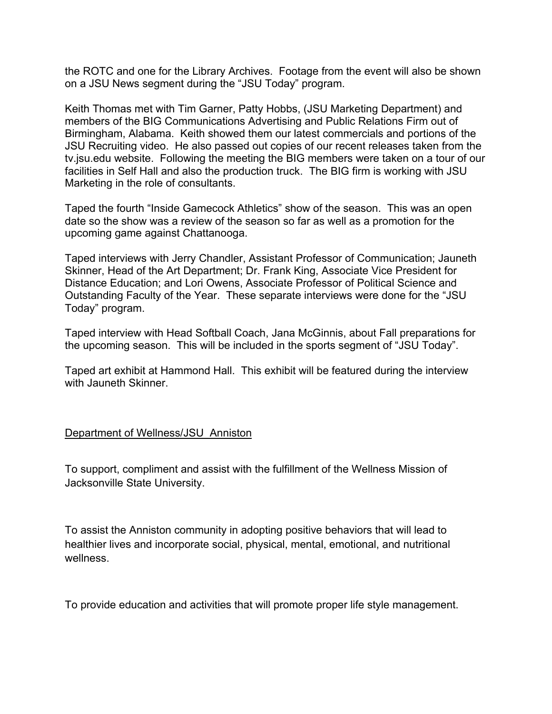the ROTC and one for the Library Archives. Footage from the event will also be shown on a JSU News segment during the "JSU Today" program.

Keith Thomas met with Tim Garner, Patty Hobbs, (JSU Marketing Department) and members of the BIG Communications Advertising and Public Relations Firm out of Birmingham, Alabama. Keith showed them our latest commercials and portions of the JSU Recruiting video. He also passed out copies of our recent releases taken from the tv.jsu.edu website. Following the meeting the BIG members were taken on a tour of our facilities in Self Hall and also the production truck. The BIG firm is working with JSU Marketing in the role of consultants.

Taped the fourth "Inside Gamecock Athletics" show of the season. This was an open date so the show was a review of the season so far as well as a promotion for the upcoming game against Chattanooga.

Taped interviews with Jerry Chandler, Assistant Professor of Communication; Jauneth Skinner, Head of the Art Department; Dr. Frank King, Associate Vice President for Distance Education; and Lori Owens, Associate Professor of Political Science and Outstanding Faculty of the Year. These separate interviews were done for the "JSU Today" program.

Taped interview with Head Softball Coach, Jana McGinnis, about Fall preparations for the upcoming season. This will be included in the sports segment of "JSU Today".

Taped art exhibit at Hammond Hall. This exhibit will be featured during the interview with Jauneth Skinner.

### Department of Wellness/JSU Anniston

To support, compliment and assist with the fulfillment of the Wellness Mission of Jacksonville State University.

To assist the Anniston community in adopting positive behaviors that will lead to healthier lives and incorporate social, physical, mental, emotional, and nutritional wellness.

To provide education and activities that will promote proper life style management.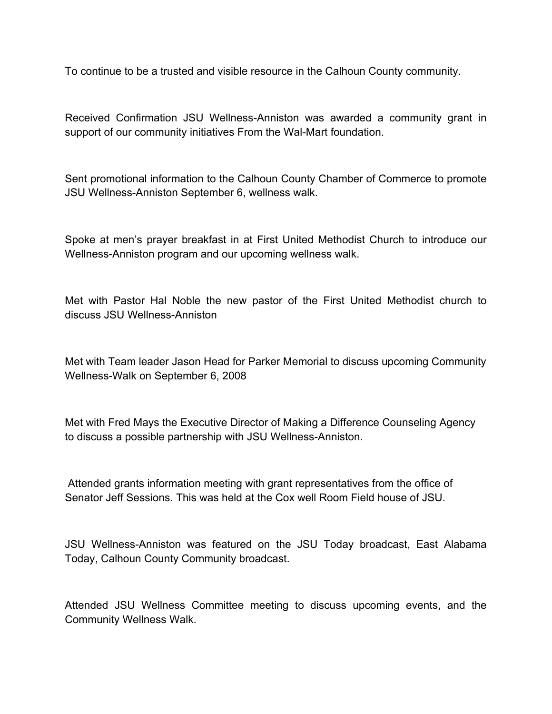To continue to be a trusted and visible resource in the Calhoun County community.

Received Confirmation JSU Wellness-Anniston was awarded a community grant in support of our community initiatives From the Wal-Mart foundation.

Sent promotional information to the Calhoun County Chamber of Commerce to promote JSU Wellness-Anniston September 6, wellness walk.

Spoke at men's prayer breakfast in at First United Methodist Church to introduce our Wellness-Anniston program and our upcoming wellness walk.

Met with Pastor Hal Noble the new pastor of the First United Methodist church to discuss JSU Wellness-Anniston

Met with Team leader Jason Head for Parker Memorial to discuss upcoming Community Wellness-Walk on September 6, 2008

Met with Fred Mays the Executive Director of Making a Difference Counseling Agency to discuss a possible partnership with JSU Wellness-Anniston.

 Attended grants information meeting with grant representatives from the office of Senator Jeff Sessions. This was held at the Cox well Room Field house of JSU.

JSU Wellness-Anniston was featured on the JSU Today broadcast, East Alabama Today, Calhoun County Community broadcast.

Attended JSU Wellness Committee meeting to discuss upcoming events, and the Community Wellness Walk.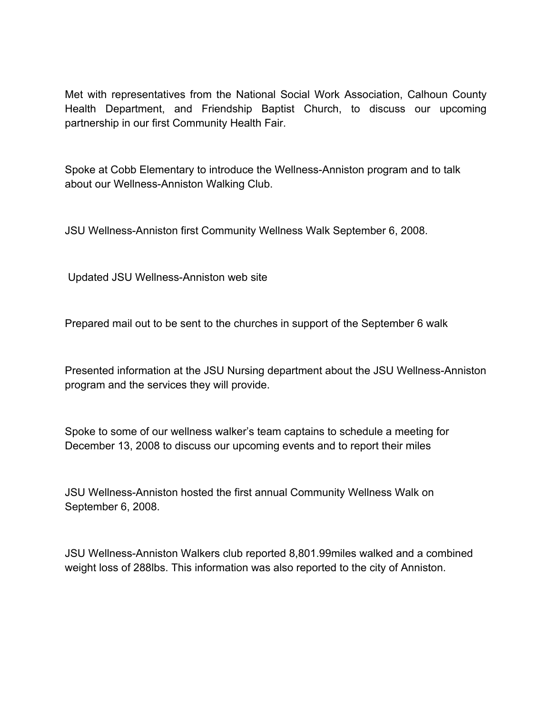Met with representatives from the National Social Work Association, Calhoun County Health Department, and Friendship Baptist Church, to discuss our upcoming partnership in our first Community Health Fair.

Spoke at Cobb Elementary to introduce the Wellness-Anniston program and to talk about our Wellness-Anniston Walking Club.

JSU Wellness-Anniston first Community Wellness Walk September 6, 2008.

Updated JSU Wellness-Anniston web site

Prepared mail out to be sent to the churches in support of the September 6 walk

Presented information at the JSU Nursing department about the JSU Wellness-Anniston program and the services they will provide.

Spoke to some of our wellness walker's team captains to schedule a meeting for December 13, 2008 to discuss our upcoming events and to report their miles

JSU Wellness-Anniston hosted the first annual Community Wellness Walk on September 6, 2008.

JSU Wellness-Anniston Walkers club reported 8,801.99miles walked and a combined weight loss of 288lbs. This information was also reported to the city of Anniston.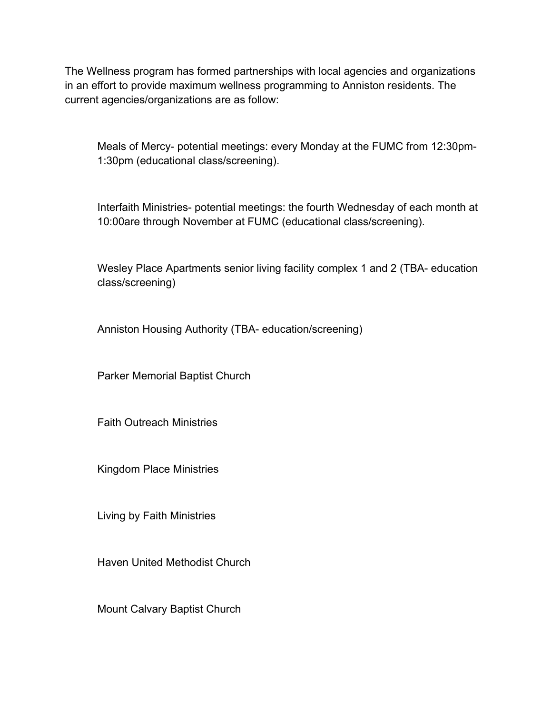The Wellness program has formed partnerships with local agencies and organizations in an effort to provide maximum wellness programming to Anniston residents. The current agencies/organizations are as follow:

Meals of Mercy- potential meetings: every Monday at the FUMC from 12:30pm-1:30pm (educational class/screening).

Interfaith Ministries- potential meetings: the fourth Wednesday of each month at 10:00are through November at FUMC (educational class/screening).

Wesley Place Apartments senior living facility complex 1 and 2 (TBA- education class/screening)

Anniston Housing Authority (TBA- education/screening)

Parker Memorial Baptist Church

Faith Outreach Ministries

Kingdom Place Ministries

Living by Faith Ministries

Haven United Methodist Church

Mount Calvary Baptist Church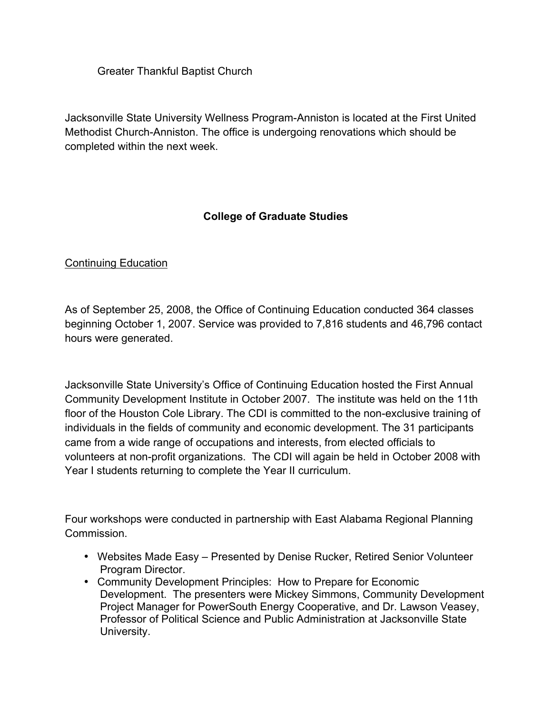Greater Thankful Baptist Church

Jacksonville State University Wellness Program-Anniston is located at the First United Methodist Church-Anniston. The office is undergoing renovations which should be completed within the next week.

# **College of Graduate Studies**

# Continuing Education

As of September 25, 2008, the Office of Continuing Education conducted 364 classes beginning October 1, 2007. Service was provided to 7,816 students and 46,796 contact hours were generated.

Jacksonville State University's Office of Continuing Education hosted the First Annual Community Development Institute in October 2007. The institute was held on the 11th floor of the Houston Cole Library. The CDI is committed to the non-exclusive training of individuals in the fields of community and economic development. The 31 participants came from a wide range of occupations and interests, from elected officials to volunteers at non-profit organizations. The CDI will again be held in October 2008 with Year I students returning to complete the Year II curriculum.

Four workshops were conducted in partnership with East Alabama Regional Planning **Commission** 

- Websites Made Easy Presented by Denise Rucker, Retired Senior Volunteer Program Director.
- Community Development Principles: How to Prepare for Economic Development. The presenters were Mickey Simmons, Community Development Project Manager for PowerSouth Energy Cooperative, and Dr. Lawson Veasey, Professor of Political Science and Public Administration at Jacksonville State University.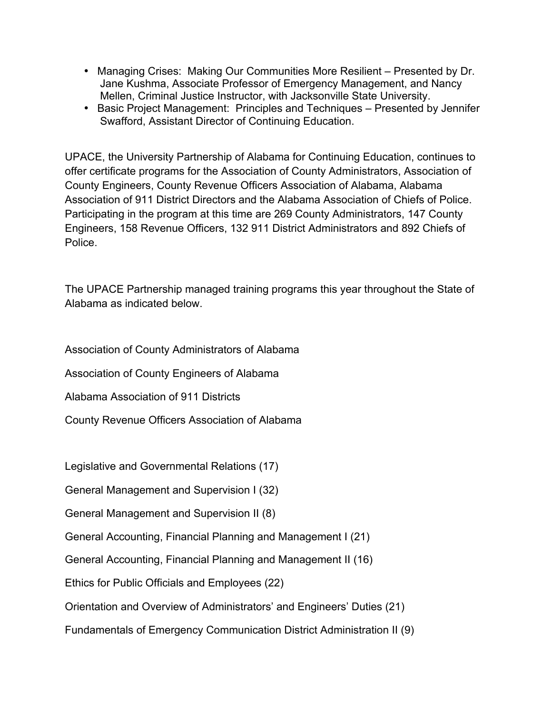- Managing Crises: Making Our Communities More Resilient Presented by Dr. Jane Kushma, Associate Professor of Emergency Management, and Nancy Mellen, Criminal Justice Instructor, with Jacksonville State University.
- Basic Project Management: Principles and Techniques Presented by Jennifer Swafford, Assistant Director of Continuing Education.

UPACE, the University Partnership of Alabama for Continuing Education, continues to offer certificate programs for the Association of County Administrators, Association of County Engineers, County Revenue Officers Association of Alabama, Alabama Association of 911 District Directors and the Alabama Association of Chiefs of Police. Participating in the program at this time are 269 County Administrators, 147 County Engineers, 158 Revenue Officers, 132 911 District Administrators and 892 Chiefs of Police.

The UPACE Partnership managed training programs this year throughout the State of Alabama as indicated below.

Association of County Administrators of Alabama

Association of County Engineers of Alabama

Alabama Association of 911 Districts

County Revenue Officers Association of Alabama

Legislative and Governmental Relations (17)

General Management and Supervision I (32)

General Management and Supervision II (8)

General Accounting, Financial Planning and Management I (21)

General Accounting, Financial Planning and Management II (16)

Ethics for Public Officials and Employees (22)

Orientation and Overview of Administrators' and Engineers' Duties (21)

Fundamentals of Emergency Communication District Administration II (9)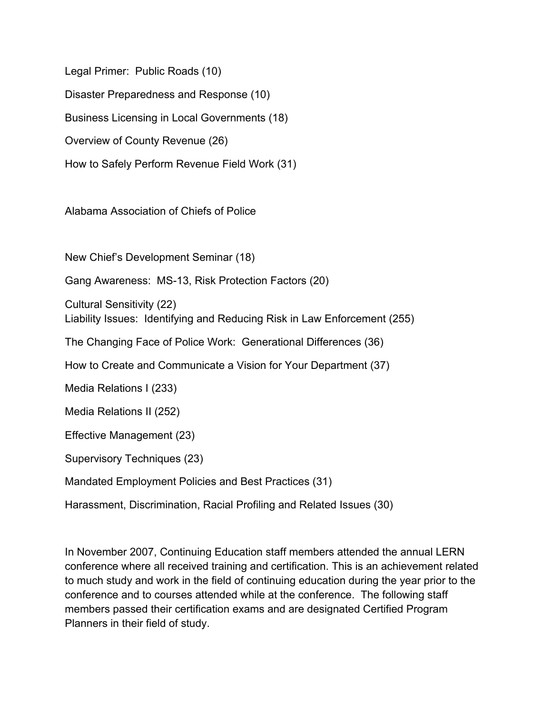Legal Primer: Public Roads (10) Disaster Preparedness and Response (10) Business Licensing in Local Governments (18) Overview of County Revenue (26) How to Safely Perform Revenue Field Work (31)

Alabama Association of Chiefs of Police

New Chief's Development Seminar (18)

Gang Awareness: MS-13, Risk Protection Factors (20)

Cultural Sensitivity (22) Liability Issues: Identifying and Reducing Risk in Law Enforcement (255)

The Changing Face of Police Work: Generational Differences (36)

How to Create and Communicate a Vision for Your Department (37)

Media Relations I (233)

Media Relations II (252)

Effective Management (23)

Supervisory Techniques (23)

Mandated Employment Policies and Best Practices (31)

Harassment, Discrimination, Racial Profiling and Related Issues (30)

In November 2007, Continuing Education staff members attended the annual LERN conference where all received training and certification. This is an achievement related to much study and work in the field of continuing education during the year prior to the conference and to courses attended while at the conference. The following staff members passed their certification exams and are designated Certified Program Planners in their field of study.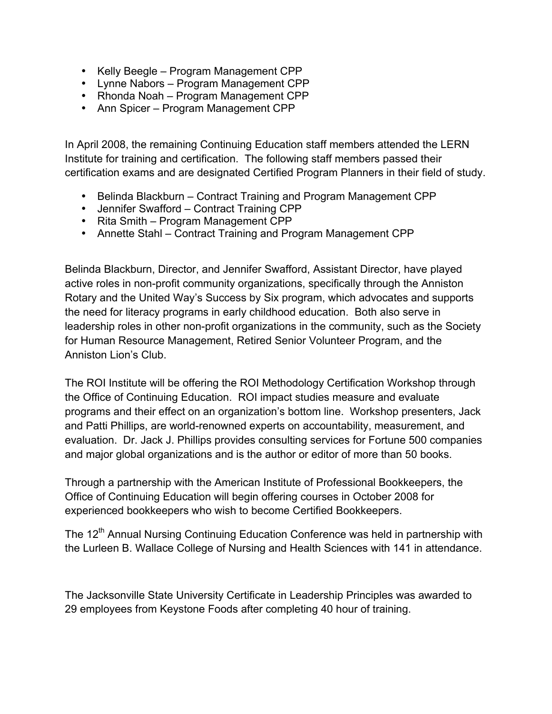- Kelly Beegle Program Management CPP
- Lynne Nabors Program Management CPP
- Rhonda Noah Program Management CPP
- Ann Spicer Program Management CPP

In April 2008, the remaining Continuing Education staff members attended the LERN Institute for training and certification. The following staff members passed their certification exams and are designated Certified Program Planners in their field of study.

- Belinda Blackburn Contract Training and Program Management CPP
- Jennifer Swafford Contract Training CPP
- Rita Smith Program Management CPP
- Annette Stahl Contract Training and Program Management CPP

Belinda Blackburn, Director, and Jennifer Swafford, Assistant Director, have played active roles in non-profit community organizations, specifically through the Anniston Rotary and the United Way's Success by Six program, which advocates and supports the need for literacy programs in early childhood education. Both also serve in leadership roles in other non-profit organizations in the community, such as the Society for Human Resource Management, Retired Senior Volunteer Program, and the Anniston Lion's Club.

The ROI Institute will be offering the ROI Methodology Certification Workshop through the Office of Continuing Education. ROI impact studies measure and evaluate programs and their effect on an organization's bottom line. Workshop presenters, Jack and Patti Phillips, are world-renowned experts on accountability, measurement, and evaluation. Dr. Jack J. Phillips provides consulting services for Fortune 500 companies and major global organizations and is the author or editor of more than 50 books.

Through a partnership with the American Institute of Professional Bookkeepers, the Office of Continuing Education will begin offering courses in October 2008 for experienced bookkeepers who wish to become Certified Bookkeepers.

The 12<sup>th</sup> Annual Nursing Continuing Education Conference was held in partnership with the Lurleen B. Wallace College of Nursing and Health Sciences with 141 in attendance.

The Jacksonville State University Certificate in Leadership Principles was awarded to 29 employees from Keystone Foods after completing 40 hour of training.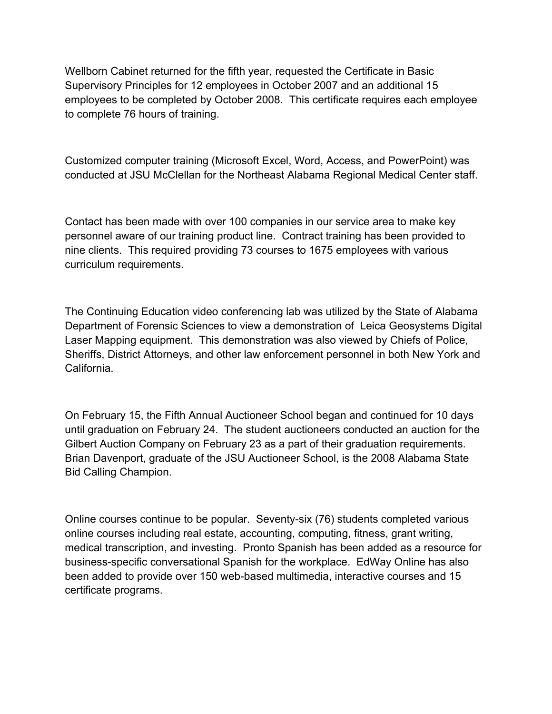Wellborn Cabinet returned for the fifth year, requested the Certificate in Basic Supervisory Principles for 12 employees in October 2007 and an additional 15 employees to be completed by October 2008. This certificate requires each employee to complete 76 hours of training.

Customized computer training (Microsoft Excel, Word, Access, and PowerPoint) was conducted at JSU McClellan for the Northeast Alabama Regional Medical Center staff.

Contact has been made with over 100 companies in our service area to make key personnel aware of our training product line. Contract training has been provided to nine clients. This required providing 73 courses to 1675 employees with various curriculum requirements.

The Continuing Education video conferencing lab was utilized by the State of Alabama Department of Forensic Sciences to view a demonstration of Leica Geosystems Digital Laser Mapping equipment. This demonstration was also viewed by Chiefs of Police, Sheriffs, District Attorneys, and other law enforcement personnel in both New York and California.

On February 15, the Fifth Annual Auctioneer School began and continued for 10 days until graduation on February 24. The student auctioneers conducted an auction for the Gilbert Auction Company on February 23 as a part of their graduation requirements. Brian Davenport, graduate of the JSU Auctioneer School, is the 2008 Alabama State Bid Calling Champion.

Online courses continue to be popular. Seventy-six (76) students completed various online courses including real estate, accounting, computing, fitness, grant writing, medical transcription, and investing. Pronto Spanish has been added as a resource for business-specific conversational Spanish for the workplace. EdWay Online has also been added to provide over 150 web-based multimedia, interactive courses and 15 certificate programs.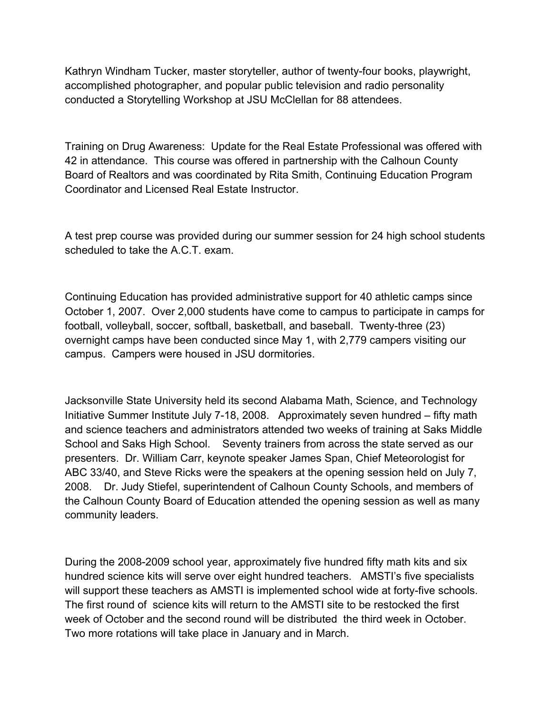Kathryn Windham Tucker, master storyteller, author of twenty-four books, playwright, accomplished photographer, and popular public television and radio personality conducted a Storytelling Workshop at JSU McClellan for 88 attendees.

Training on Drug Awareness: Update for the Real Estate Professional was offered with 42 in attendance. This course was offered in partnership with the Calhoun County Board of Realtors and was coordinated by Rita Smith, Continuing Education Program Coordinator and Licensed Real Estate Instructor.

A test prep course was provided during our summer session for 24 high school students scheduled to take the A.C.T. exam.

Continuing Education has provided administrative support for 40 athletic camps since October 1, 2007. Over 2,000 students have come to campus to participate in camps for football, volleyball, soccer, softball, basketball, and baseball. Twenty-three (23) overnight camps have been conducted since May 1, with 2,779 campers visiting our campus. Campers were housed in JSU dormitories.

Jacksonville State University held its second Alabama Math, Science, and Technology Initiative Summer Institute July 7-18, 2008. Approximately seven hundred – fifty math and science teachers and administrators attended two weeks of training at Saks Middle School and Saks High School. Seventy trainers from across the state served as our presenters. Dr. William Carr, keynote speaker James Span, Chief Meteorologist for ABC 33/40, and Steve Ricks were the speakers at the opening session held on July 7, 2008. Dr. Judy Stiefel, superintendent of Calhoun County Schools, and members of the Calhoun County Board of Education attended the opening session as well as many community leaders.

During the 2008-2009 school year, approximately five hundred fifty math kits and six hundred science kits will serve over eight hundred teachers. AMSTI's five specialists will support these teachers as AMSTI is implemented school wide at forty-five schools. The first round of science kits will return to the AMSTI site to be restocked the first week of October and the second round will be distributed the third week in October. Two more rotations will take place in January and in March.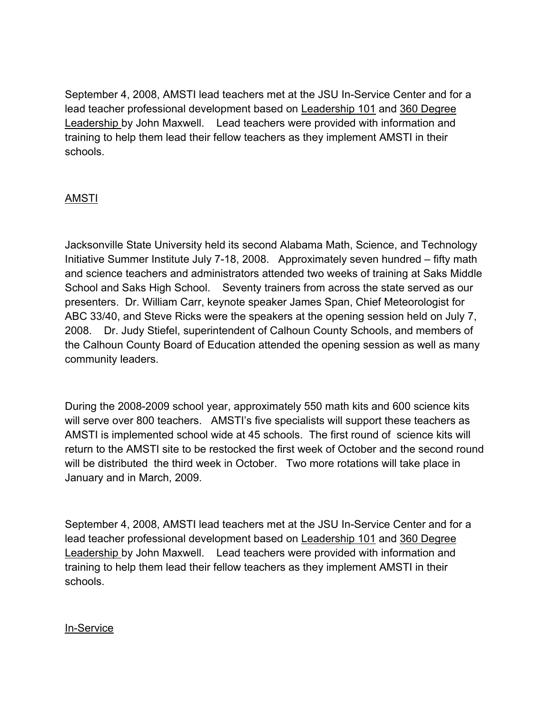September 4, 2008, AMSTI lead teachers met at the JSU In-Service Center and for a lead teacher professional development based on Leadership 101 and 360 Degree Leadership by John Maxwell. Lead teachers were provided with information and training to help them lead their fellow teachers as they implement AMSTI in their schools.

# AMSTI

Jacksonville State University held its second Alabama Math, Science, and Technology Initiative Summer Institute July 7-18, 2008. Approximately seven hundred – fifty math and science teachers and administrators attended two weeks of training at Saks Middle School and Saks High School. Seventy trainers from across the state served as our presenters. Dr. William Carr, keynote speaker James Span, Chief Meteorologist for ABC 33/40, and Steve Ricks were the speakers at the opening session held on July 7, 2008. Dr. Judy Stiefel, superintendent of Calhoun County Schools, and members of the Calhoun County Board of Education attended the opening session as well as many community leaders.

During the 2008-2009 school year, approximately 550 math kits and 600 science kits will serve over 800 teachers. AMSTI's five specialists will support these teachers as AMSTI is implemented school wide at 45 schools. The first round of science kits will return to the AMSTI site to be restocked the first week of October and the second round will be distributed the third week in October. Two more rotations will take place in January and in March, 2009.

September 4, 2008, AMSTI lead teachers met at the JSU In-Service Center and for a lead teacher professional development based on Leadership 101 and 360 Degree Leadership by John Maxwell. Lead teachers were provided with information and training to help them lead their fellow teachers as they implement AMSTI in their schools.

### In-Service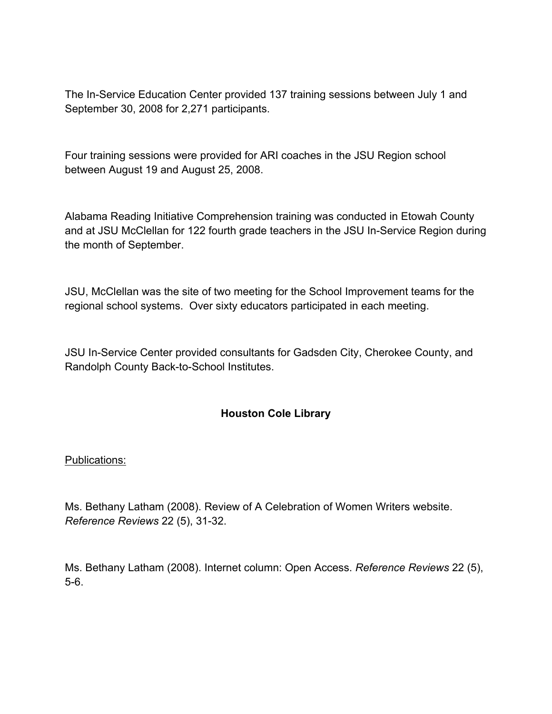The In-Service Education Center provided 137 training sessions between July 1 and September 30, 2008 for 2,271 participants.

Four training sessions were provided for ARI coaches in the JSU Region school between August 19 and August 25, 2008.

Alabama Reading Initiative Comprehension training was conducted in Etowah County and at JSU McClellan for 122 fourth grade teachers in the JSU In-Service Region during the month of September.

JSU, McClellan was the site of two meeting for the School Improvement teams for the regional school systems. Over sixty educators participated in each meeting.

JSU In-Service Center provided consultants for Gadsden City, Cherokee County, and Randolph County Back-to-School Institutes.

### **Houston Cole Library**

### Publications:

Ms. Bethany Latham (2008). Review of A Celebration of Women Writers website. *Reference Reviews* 22 (5), 31-32.

Ms. Bethany Latham (2008). Internet column: Open Access. *Reference Reviews* 22 (5), 5-6.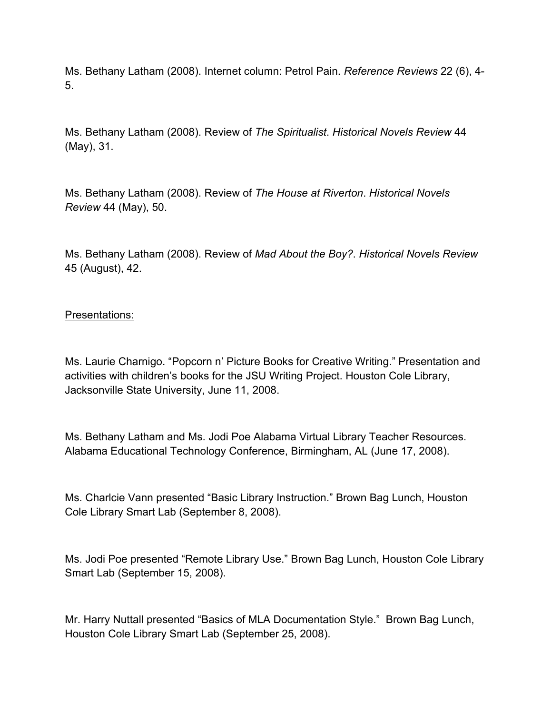Ms. Bethany Latham (2008). Internet column: Petrol Pain. *Reference Reviews* 22 (6), 4- 5.

Ms. Bethany Latham (2008). Review of *The Spiritualist*. *Historical Novels Review* 44 (May), 31.

Ms. Bethany Latham (2008). Review of *The House at Riverton*. *Historical Novels Review* 44 (May), 50.

Ms. Bethany Latham (2008). Review of *Mad About the Boy?*. *Historical Novels Review* 45 (August), 42.

### Presentations:

Ms. Laurie Charnigo. "Popcorn n' Picture Books for Creative Writing." Presentation and activities with children's books for the JSU Writing Project. Houston Cole Library, Jacksonville State University, June 11, 2008.

Ms. Bethany Latham and Ms. Jodi Poe Alabama Virtual Library Teacher Resources. Alabama Educational Technology Conference, Birmingham, AL (June 17, 2008).

Ms. Charlcie Vann presented "Basic Library Instruction." Brown Bag Lunch, Houston Cole Library Smart Lab (September 8, 2008).

Ms. Jodi Poe presented "Remote Library Use." Brown Bag Lunch, Houston Cole Library Smart Lab (September 15, 2008).

Mr. Harry Nuttall presented "Basics of MLA Documentation Style." Brown Bag Lunch, Houston Cole Library Smart Lab (September 25, 2008).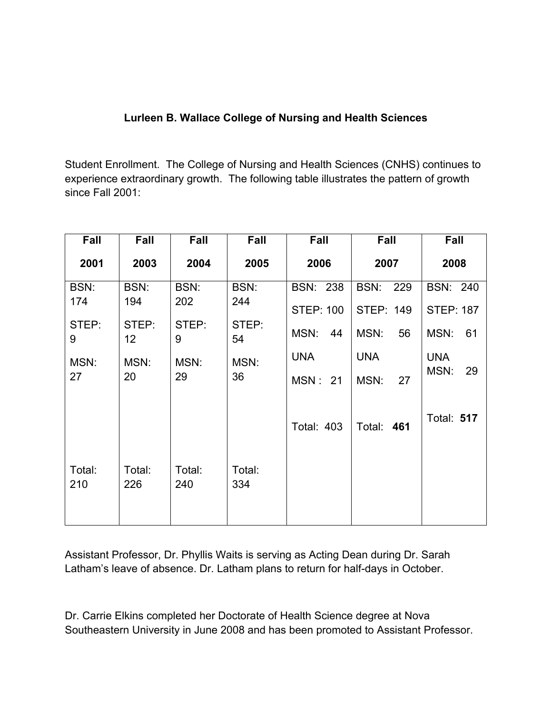# **Lurleen B. Wallace College of Nursing and Health Sciences**

Student Enrollment. The College of Nursing and Health Sciences (CNHS) continues to experience extraordinary growth. The following table illustrates the pattern of growth since Fall 2001:

| Fall          | Fall                     | Fall          | Fall          | <b>Fall</b>       | Fall              | Fall              |
|---------------|--------------------------|---------------|---------------|-------------------|-------------------|-------------------|
| 2001          | 2003                     | 2004          | 2005          | 2006              | 2007              | 2008              |
| BSN:          | BSN:                     | BSN:          | BSN:          | <b>BSN: 238</b>   | BSN: 229          | <b>BSN: 240</b>   |
| 174           | 194                      | 202           | 244           | <b>STEP: 100</b>  | <b>STEP: 149</b>  | <b>STEP: 187</b>  |
| STEP:<br>9    | STEP:<br>12 <sub>2</sub> | STEP:<br>9    | STEP:<br>54   | MSN:<br>44        | MSN:<br>56        | MSN:<br>61        |
| MSN:          | MSN:                     | MSN:          | MSN:          | <b>UNA</b>        | <b>UNA</b>        | <b>UNA</b>        |
| 27            | 20                       | 29            | 36            | <b>MSN: 21</b>    | MSN:<br>27        | MSN:<br>29        |
|               |                          |               |               | <b>Total: 403</b> | <b>Total: 461</b> | <b>Total: 517</b> |
| Total:<br>210 | Total:<br>226            | Total:<br>240 | Total:<br>334 |                   |                   |                   |

Assistant Professor, Dr. Phyllis Waits is serving as Acting Dean during Dr. Sarah Latham's leave of absence. Dr. Latham plans to return for half-days in October.

Dr. Carrie Elkins completed her Doctorate of Health Science degree at Nova Southeastern University in June 2008 and has been promoted to Assistant Professor.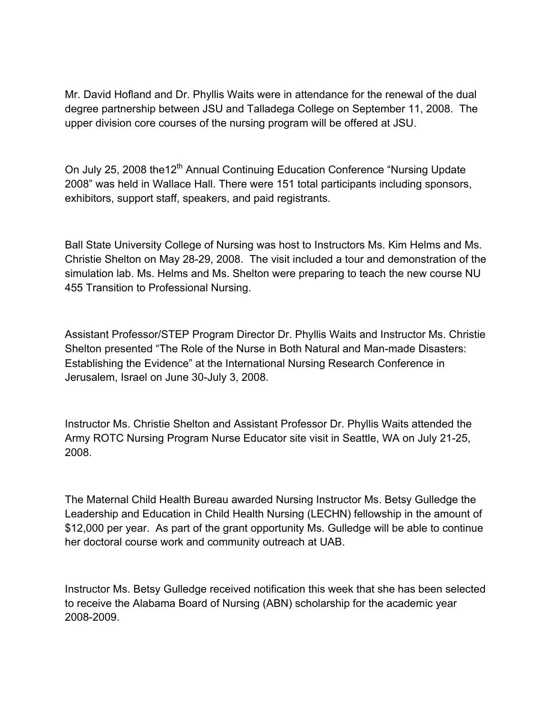Mr. David Hofland and Dr. Phyllis Waits were in attendance for the renewal of the dual degree partnership between JSU and Talladega College on September 11, 2008. The upper division core courses of the nursing program will be offered at JSU.

On July 25, 2008 the12<sup>th</sup> Annual Continuing Education Conference "Nursing Update 2008" was held in Wallace Hall. There were 151 total participants including sponsors, exhibitors, support staff, speakers, and paid registrants.

Ball State University College of Nursing was host to Instructors Ms. Kim Helms and Ms. Christie Shelton on May 28-29, 2008. The visit included a tour and demonstration of the simulation lab. Ms. Helms and Ms. Shelton were preparing to teach the new course NU 455 Transition to Professional Nursing.

Assistant Professor/STEP Program Director Dr. Phyllis Waits and Instructor Ms. Christie Shelton presented "The Role of the Nurse in Both Natural and Man-made Disasters: Establishing the Evidence" at the International Nursing Research Conference in Jerusalem, Israel on June 30-July 3, 2008.

Instructor Ms. Christie Shelton and Assistant Professor Dr. Phyllis Waits attended the Army ROTC Nursing Program Nurse Educator site visit in Seattle, WA on July 21-25, 2008.

The Maternal Child Health Bureau awarded Nursing Instructor Ms. Betsy Gulledge the Leadership and Education in Child Health Nursing (LECHN) fellowship in the amount of \$12,000 per year. As part of the grant opportunity Ms. Gulledge will be able to continue her doctoral course work and community outreach at UAB.

Instructor Ms. Betsy Gulledge received notification this week that she has been selected to receive the Alabama Board of Nursing (ABN) scholarship for the academic year 2008-2009.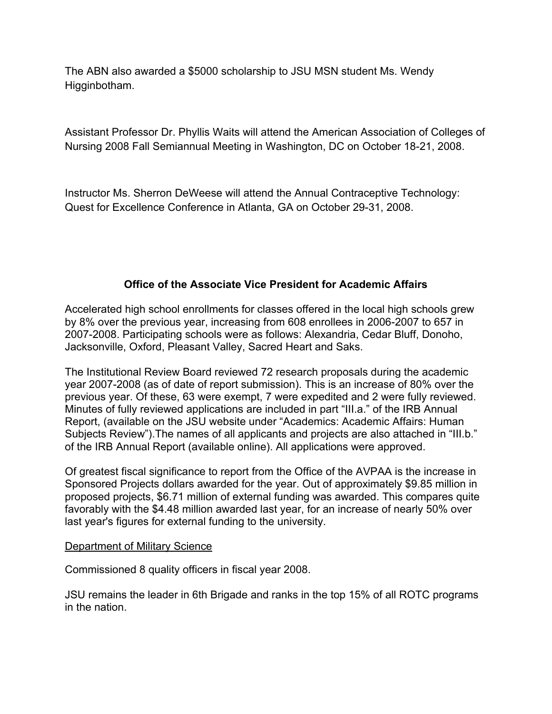The ABN also awarded a \$5000 scholarship to JSU MSN student Ms. Wendy Higginbotham.

Assistant Professor Dr. Phyllis Waits will attend the American Association of Colleges of Nursing 2008 Fall Semiannual Meeting in Washington, DC on October 18-21, 2008.

Instructor Ms. Sherron DeWeese will attend the Annual Contraceptive Technology: Quest for Excellence Conference in Atlanta, GA on October 29-31, 2008.

# **Office of the Associate Vice President for Academic Affairs**

Accelerated high school enrollments for classes offered in the local high schools grew by 8% over the previous year, increasing from 608 enrollees in 2006-2007 to 657 in 2007-2008. Participating schools were as follows: Alexandria, Cedar Bluff, Donoho, Jacksonville, Oxford, Pleasant Valley, Sacred Heart and Saks.

The Institutional Review Board reviewed 72 research proposals during the academic year 2007-2008 (as of date of report submission). This is an increase of 80% over the previous year. Of these, 63 were exempt, 7 were expedited and 2 were fully reviewed. Minutes of fully reviewed applications are included in part "III.a." of the IRB Annual Report, (available on the JSU website under "Academics: Academic Affairs: Human Subjects Review").The names of all applicants and projects are also attached in "III.b." of the IRB Annual Report (available online). All applications were approved.

Of greatest fiscal significance to report from the Office of the AVPAA is the increase in Sponsored Projects dollars awarded for the year. Out of approximately \$9.85 million in proposed projects, \$6.71 million of external funding was awarded. This compares quite favorably with the \$4.48 million awarded last year, for an increase of nearly 50% over last year's figures for external funding to the university.

### Department of Military Science

Commissioned 8 quality officers in fiscal year 2008.

JSU remains the leader in 6th Brigade and ranks in the top 15% of all ROTC programs in the nation.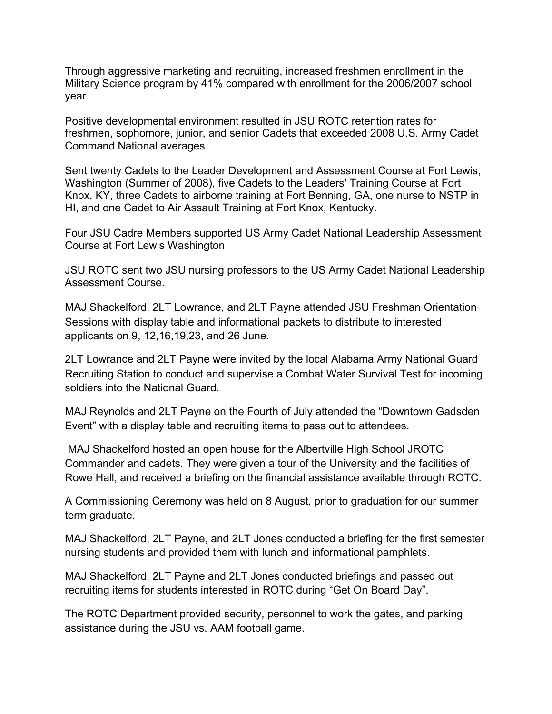Through aggressive marketing and recruiting, increased freshmen enrollment in the Military Science program by 41% compared with enrollment for the 2006/2007 school year.

Positive developmental environment resulted in JSU ROTC retention rates for freshmen, sophomore, junior, and senior Cadets that exceeded 2008 U.S. Army Cadet Command National averages.

Sent twenty Cadets to the Leader Development and Assessment Course at Fort Lewis, Washington (Summer of 2008), five Cadets to the Leaders' Training Course at Fort Knox, KY, three Cadets to airborne training at Fort Benning, GA, one nurse to NSTP in HI, and one Cadet to Air Assault Training at Fort Knox, Kentucky.

Four JSU Cadre Members supported US Army Cadet National Leadership Assessment Course at Fort Lewis Washington

JSU ROTC sent two JSU nursing professors to the US Army Cadet National Leadership Assessment Course.

MAJ Shackelford, 2LT Lowrance, and 2LT Payne attended JSU Freshman Orientation Sessions with display table and informational packets to distribute to interested applicants on 9, 12,16,19,23, and 26 June.

2LT Lowrance and 2LT Payne were invited by the local Alabama Army National Guard Recruiting Station to conduct and supervise a Combat Water Survival Test for incoming soldiers into the National Guard.

MAJ Reynolds and 2LT Payne on the Fourth of July attended the "Downtown Gadsden Event" with a display table and recruiting items to pass out to attendees.

 MAJ Shackelford hosted an open house for the Albertville High School JROTC Commander and cadets. They were given a tour of the University and the facilities of Rowe Hall, and received a briefing on the financial assistance available through ROTC.

A Commissioning Ceremony was held on 8 August, prior to graduation for our summer term graduate.

MAJ Shackelford, 2LT Payne, and 2LT Jones conducted a briefing for the first semester nursing students and provided them with lunch and informational pamphlets.

MAJ Shackelford, 2LT Payne and 2LT Jones conducted briefings and passed out recruiting items for students interested in ROTC during "Get On Board Day".

The ROTC Department provided security, personnel to work the gates, and parking assistance during the JSU vs. AAM football game.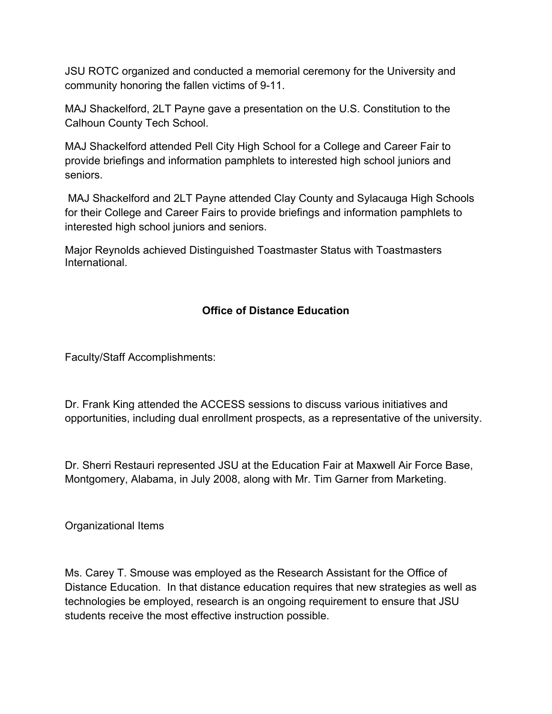JSU ROTC organized and conducted a memorial ceremony for the University and community honoring the fallen victims of 9-11.

MAJ Shackelford, 2LT Payne gave a presentation on the U.S. Constitution to the Calhoun County Tech School.

MAJ Shackelford attended Pell City High School for a College and Career Fair to provide briefings and information pamphlets to interested high school juniors and seniors.

 MAJ Shackelford and 2LT Payne attended Clay County and Sylacauga High Schools for their College and Career Fairs to provide briefings and information pamphlets to interested high school juniors and seniors.

Major Reynolds achieved Distinguished Toastmaster Status with Toastmasters International.

# **Office of Distance Education**

Faculty/Staff Accomplishments:

Dr. Frank King attended the ACCESS sessions to discuss various initiatives and opportunities, including dual enrollment prospects, as a representative of the university.

Dr. Sherri Restauri represented JSU at the Education Fair at Maxwell Air Force Base, Montgomery, Alabama, in July 2008, along with Mr. Tim Garner from Marketing.

Organizational Items

Ms. Carey T. Smouse was employed as the Research Assistant for the Office of Distance Education. In that distance education requires that new strategies as well as technologies be employed, research is an ongoing requirement to ensure that JSU students receive the most effective instruction possible.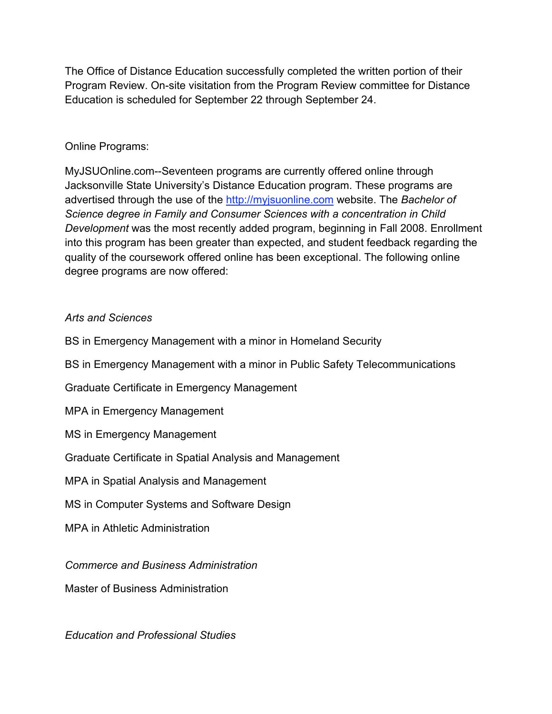The Office of Distance Education successfully completed the written portion of their Program Review. On-site visitation from the Program Review committee for Distance Education is scheduled for September 22 through September 24.

### Online Programs:

MyJSUOnline.com--Seventeen programs are currently offered online through Jacksonville State University's Distance Education program. These programs are advertised through the use of the http://myjsuonline.com website. The *Bachelor of Science degree in Family and Consumer Sciences with a concentration in Child Development* was the most recently added program, beginning in Fall 2008. Enrollment into this program has been greater than expected, and student feedback regarding the quality of the coursework offered online has been exceptional. The following online degree programs are now offered:

### *Arts and Sciences*

BS in Emergency Management with a minor in Homeland Security

BS in Emergency Management with a minor in Public Safety Telecommunications

Graduate Certificate in Emergency Management

MPA in Emergency Management

MS in Emergency Management

### Graduate Certificate in Spatial Analysis and Management

MPA in Spatial Analysis and Management

MS in Computer Systems and Software Design

MPA in Athletic Administration

*Commerce and Business Administration*

Master of Business Administration

*Education and Professional Studies*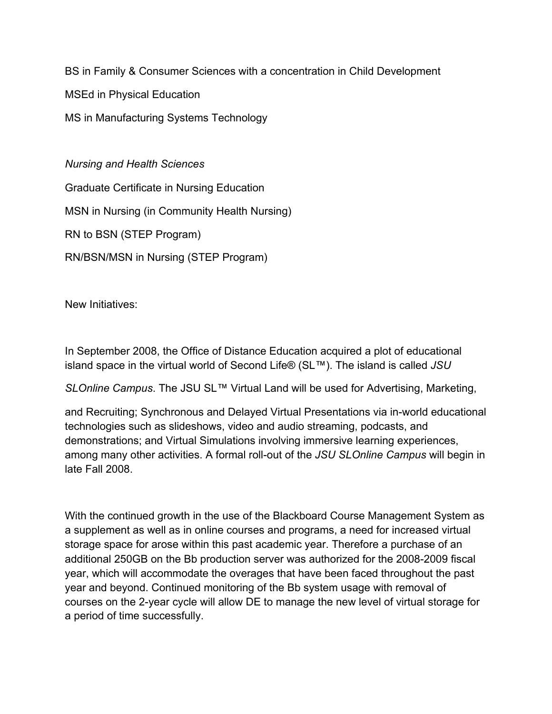BS in Family & Consumer Sciences with a concentration in Child Development

MSEd in Physical Education

MS in Manufacturing Systems Technology

*Nursing and Health Sciences*

Graduate Certificate in Nursing Education

MSN in Nursing (in Community Health Nursing)

RN to BSN (STEP Program)

RN/BSN/MSN in Nursing (STEP Program)

New Initiatives:

In September 2008, the Office of Distance Education acquired a plot of educational island space in the virtual world of Second Life® (SL™). The island is called *JSU*

*SLOnline Campus*. The JSU SL™ Virtual Land will be used for Advertising, Marketing,

and Recruiting; Synchronous and Delayed Virtual Presentations via in-world educational technologies such as slideshows, video and audio streaming, podcasts, and demonstrations; and Virtual Simulations involving immersive learning experiences, among many other activities. A formal roll-out of the *JSU SLOnline Campus* will begin in late Fall 2008.

With the continued growth in the use of the Blackboard Course Management System as a supplement as well as in online courses and programs, a need for increased virtual storage space for arose within this past academic year. Therefore a purchase of an additional 250GB on the Bb production server was authorized for the 2008-2009 fiscal year, which will accommodate the overages that have been faced throughout the past year and beyond. Continued monitoring of the Bb system usage with removal of courses on the 2-year cycle will allow DE to manage the new level of virtual storage for a period of time successfully.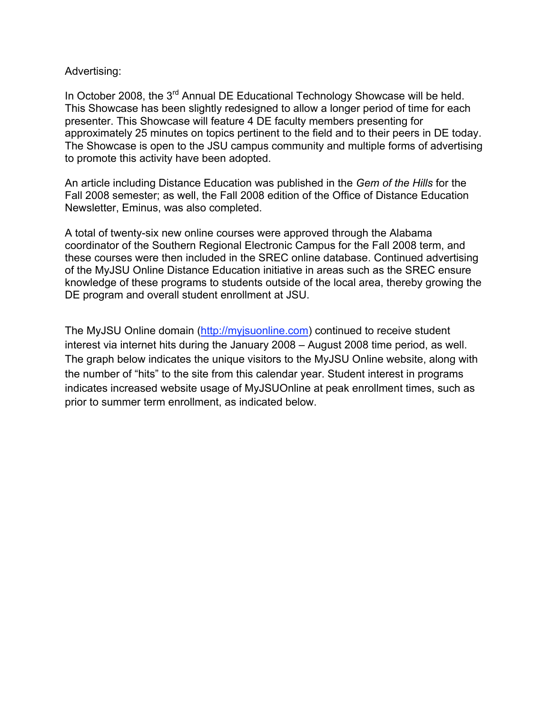#### Advertising:

In October 2008, the 3<sup>rd</sup> Annual DE Educational Technology Showcase will be held. This Showcase has been slightly redesigned to allow a longer period of time for each presenter. This Showcase will feature 4 DE faculty members presenting for approximately 25 minutes on topics pertinent to the field and to their peers in DE today. The Showcase is open to the JSU campus community and multiple forms of advertising to promote this activity have been adopted.

An article including Distance Education was published in the *Gem of the Hills* for the Fall 2008 semester; as well, the Fall 2008 edition of the Office of Distance Education Newsletter, Eminus, was also completed.

A total of twenty-six new online courses were approved through the Alabama coordinator of the Southern Regional Electronic Campus for the Fall 2008 term, and these courses were then included in the SREC online database. Continued advertising of the MyJSU Online Distance Education initiative in areas such as the SREC ensure knowledge of these programs to students outside of the local area, thereby growing the DE program and overall student enrollment at JSU.

The MyJSU Online domain (http://myjsuonline.com) continued to receive student interest via internet hits during the January 2008 – August 2008 time period, as well. The graph below indicates the unique visitors to the MyJSU Online website, along with the number of "hits" to the site from this calendar year. Student interest in programs indicates increased website usage of MyJSUOnline at peak enrollment times, such as prior to summer term enrollment, as indicated below.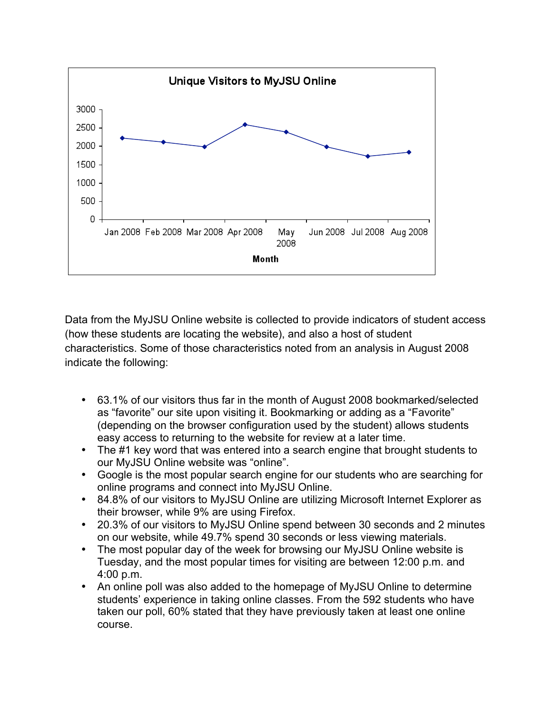

Data from the MyJSU Online website is collected to provide indicators of student access (how these students are locating the website), and also a host of student characteristics. Some of those characteristics noted from an analysis in August 2008 indicate the following:

- 63.1% of our visitors thus far in the month of August 2008 bookmarked/selected as "favorite" our site upon visiting it. Bookmarking or adding as a "Favorite" (depending on the browser configuration used by the student) allows students easy access to returning to the website for review at a later time.
- The #1 key word that was entered into a search engine that brought students to our MyJSU Online website was "online".
- Google is the most popular search engine for our students who are searching for online programs and connect into MyJSU Online.
- 84.8% of our visitors to MyJSU Online are utilizing Microsoft Internet Explorer as their browser, while 9% are using Firefox.
- 20.3% of our visitors to MyJSU Online spend between 30 seconds and 2 minutes on our website, while 49.7% spend 30 seconds or less viewing materials.
- The most popular day of the week for browsing our MyJSU Online website is Tuesday, and the most popular times for visiting are between 12:00 p.m. and 4:00 p.m.
- An online poll was also added to the homepage of MyJSU Online to determine students' experience in taking online classes. From the 592 students who have taken our poll, 60% stated that they have previously taken at least one online course.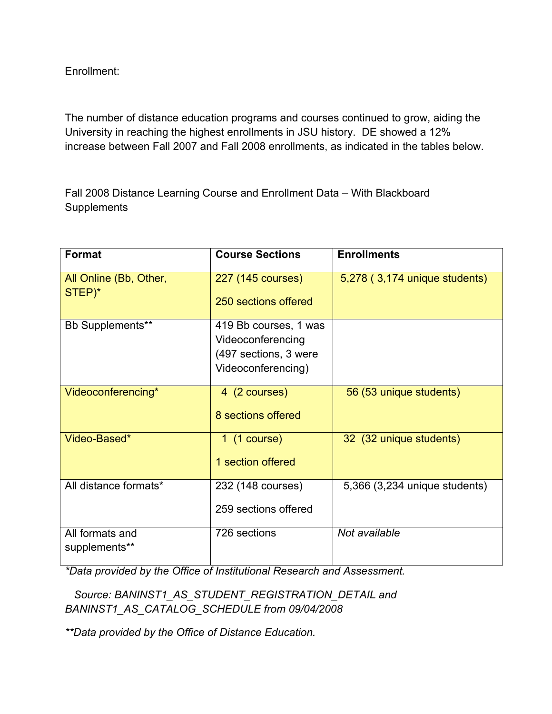Enrollment:

The number of distance education programs and courses continued to grow, aiding the University in reaching the highest enrollments in JSU history. DE showed a 12% increase between Fall 2007 and Fall 2008 enrollments, as indicated in the tables below.

Fall 2008 Distance Learning Course and Enrollment Data – With Blackboard **Supplements** 

| <b>Format</b>                    | <b>Course Sections</b>                                                                    | <b>Enrollments</b>            |
|----------------------------------|-------------------------------------------------------------------------------------------|-------------------------------|
| All Online (Bb, Other,<br>STEP)* | 227 (145 courses)<br>250 sections offered                                                 | 5,278 (3,174 unique students) |
| Bb Supplements**                 | 419 Bb courses, 1 was<br>Videoconferencing<br>(497 sections, 3 were<br>Videoconferencing) |                               |
| Videoconferencing*               | 4 (2 courses)<br>8 sections offered                                                       | 56 (53 unique students)       |
| Video-Based*                     | $1$ (1 course)<br>1 section offered                                                       | 32 (32 unique students)       |
| All distance formats*            | 232 (148 courses)<br>259 sections offered                                                 | 5,366 (3,234 unique students) |
| All formats and<br>supplements** | 726 sections                                                                              | Not available                 |

*\*Data provided by the Office of Institutional Research and Assessment.*

 *Source: BANINST1\_AS\_STUDENT\_REGISTRATION\_DETAIL and BANINST1\_AS\_CATALOG\_SCHEDULE from 09/04/2008*

*\*\*Data provided by the Office of Distance Education.*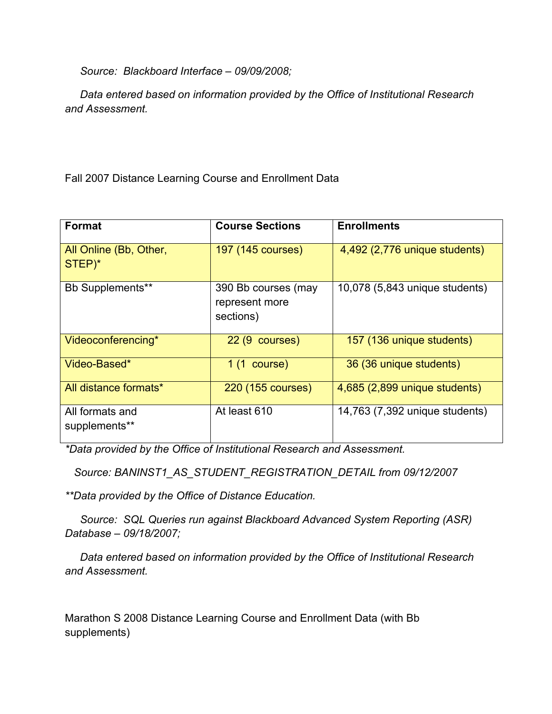*Source: Blackboard Interface – 09/09/2008;*

 *Data entered based on information provided by the Office of Institutional Research and Assessment.*

Fall 2007 Distance Learning Course and Enrollment Data

| <b>Format</b>                    | <b>Course Sections</b>                             | <b>Enrollments</b>             |
|----------------------------------|----------------------------------------------------|--------------------------------|
|                                  |                                                    |                                |
| All Online (Bb, Other,<br>STEP)* | 197 (145 courses)                                  | 4,492 (2,776 unique students)  |
| Bb Supplements**                 | 390 Bb courses (may<br>represent more<br>sections) | 10,078 (5,843 unique students) |
| Videoconferencing*               | $22(9 \text{ courses})$                            | 157 (136 unique students)      |
| Video-Based*                     | $1(1 \text{ course})$                              | 36 (36 unique students)        |
| All distance formats*            | 220 (155 courses)                                  | 4,685 (2,899 unique students)  |
| All formats and<br>supplements** | At least 610                                       | 14,763 (7,392 unique students) |

*\*Data provided by the Office of Institutional Research and Assessment.*

 *Source: BANINST1\_AS\_STUDENT\_REGISTRATION\_DETAIL from 09/12/2007*

*\*\*Data provided by the Office of Distance Education.*

 *Source: SQL Queries run against Blackboard Advanced System Reporting (ASR) Database – 09/18/2007;*

 *Data entered based on information provided by the Office of Institutional Research and Assessment.*

Marathon S 2008 Distance Learning Course and Enrollment Data (with Bb supplements)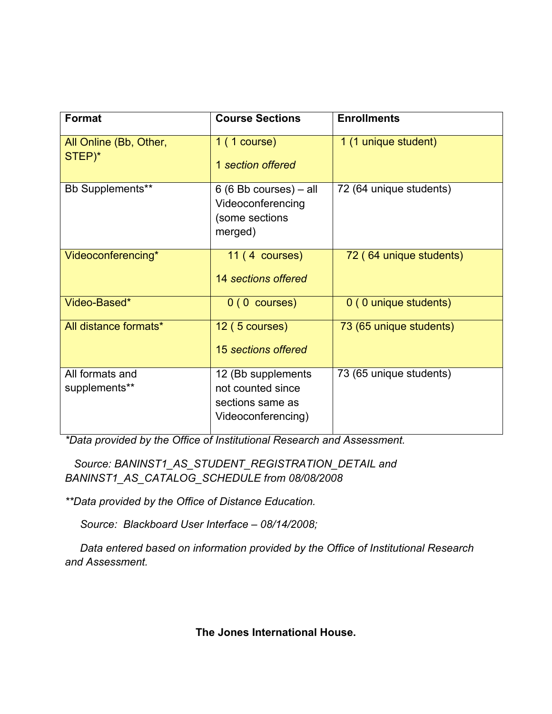| Format                           | <b>Course Sections</b>                                                            | <b>Enrollments</b>      |
|----------------------------------|-----------------------------------------------------------------------------------|-------------------------|
| All Online (Bb, Other,<br>STEP)* | 1(1 course)<br>1 section offered                                                  | 1 (1 unique student)    |
| <b>Bb Supplements**</b>          | $6(6Bb \text{ courses}) - all$<br>Videoconferencing<br>(some sections<br>merged)  | 72 (64 unique students) |
| Videoconferencing*               | $11(4 \text{ courses})$<br>14 sections offered                                    | 72 (64 unique students) |
| Video-Based*                     | $0(0 \text{ courses})$                                                            | 0 (0 unique students)   |
| All distance formats*            | 12 (5 courses)<br>15 sections offered                                             | 73 (65 unique students) |
| All formats and<br>supplements** | 12 (Bb supplements<br>not counted since<br>sections same as<br>Videoconferencing) | 73 (65 unique students) |

*\*Data provided by the Office of Institutional Research and Assessment.*

 *Source: BANINST1\_AS\_STUDENT\_REGISTRATION\_DETAIL and BANINST1\_AS\_CATALOG\_SCHEDULE from 08/08/2008*

*\*\*Data provided by the Office of Distance Education.*

 *Source: Blackboard User Interface – 08/14/2008;*

 *Data entered based on information provided by the Office of Institutional Research and Assessment.*

**The Jones International House.**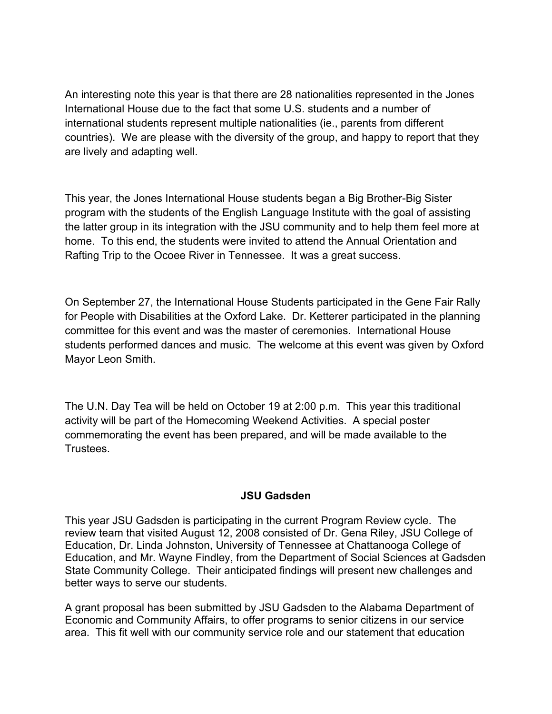An interesting note this year is that there are 28 nationalities represented in the Jones International House due to the fact that some U.S. students and a number of international students represent multiple nationalities (ie., parents from different countries). We are please with the diversity of the group, and happy to report that they are lively and adapting well.

This year, the Jones International House students began a Big Brother-Big Sister program with the students of the English Language Institute with the goal of assisting the latter group in its integration with the JSU community and to help them feel more at home. To this end, the students were invited to attend the Annual Orientation and Rafting Trip to the Ocoee River in Tennessee. It was a great success.

On September 27, the International House Students participated in the Gene Fair Rally for People with Disabilities at the Oxford Lake. Dr. Ketterer participated in the planning committee for this event and was the master of ceremonies. International House students performed dances and music. The welcome at this event was given by Oxford Mayor Leon Smith.

The U.N. Day Tea will be held on October 19 at 2:00 p.m. This year this traditional activity will be part of the Homecoming Weekend Activities. A special poster commemorating the event has been prepared, and will be made available to the **Trustees** 

### **JSU Gadsden**

This year JSU Gadsden is participating in the current Program Review cycle. The review team that visited August 12, 2008 consisted of Dr. Gena Riley, JSU College of Education, Dr. Linda Johnston, University of Tennessee at Chattanooga College of Education, and Mr. Wayne Findley, from the Department of Social Sciences at Gadsden State Community College. Their anticipated findings will present new challenges and better ways to serve our students.

A grant proposal has been submitted by JSU Gadsden to the Alabama Department of Economic and Community Affairs, to offer programs to senior citizens in our service area. This fit well with our community service role and our statement that education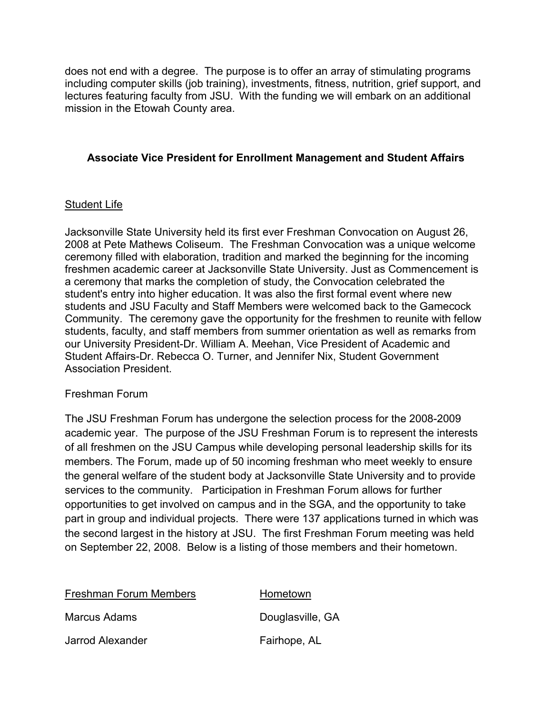does not end with a degree. The purpose is to offer an array of stimulating programs including computer skills (job training), investments, fitness, nutrition, grief support, and lectures featuring faculty from JSU. With the funding we will embark on an additional mission in the Etowah County area.

### **Associate Vice President for Enrollment Management and Student Affairs**

### Student Life

Jacksonville State University held its first ever Freshman Convocation on August 26, 2008 at Pete Mathews Coliseum. The Freshman Convocation was a unique welcome ceremony filled with elaboration, tradition and marked the beginning for the incoming freshmen academic career at Jacksonville State University. Just as Commencement is a ceremony that marks the completion of study, the Convocation celebrated the student's entry into higher education. It was also the first formal event where new students and JSU Faculty and Staff Members were welcomed back to the Gamecock Community. The ceremony gave the opportunity for the freshmen to reunite with fellow students, faculty, and staff members from summer orientation as well as remarks from our University President-Dr. William A. Meehan, Vice President of Academic and Student Affairs-Dr. Rebecca O. Turner, and Jennifer Nix, Student Government Association President.

### Freshman Forum

The JSU Freshman Forum has undergone the selection process for the 2008-2009 academic year. The purpose of the JSU Freshman Forum is to represent the interests of all freshmen on the JSU Campus while developing personal leadership skills for its members. The Forum, made up of 50 incoming freshman who meet weekly to ensure the general welfare of the student body at Jacksonville State University and to provide services to the community. Participation in Freshman Forum allows for further opportunities to get involved on campus and in the SGA, and the opportunity to take part in group and individual projects. There were 137 applications turned in which was the second largest in the history at JSU. The first Freshman Forum meeting was held on September 22, 2008. Below is a listing of those members and their hometown.

| <b>Freshman Forum Members</b> | Hometown         |
|-------------------------------|------------------|
| Marcus Adams                  | Douglasville, GA |
| Jarrod Alexander              | Fairhope, AL     |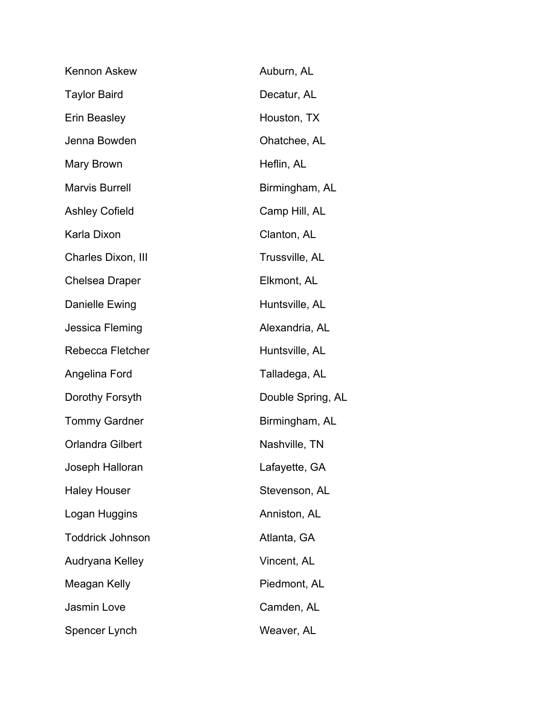| Kennon Askew            | Auburn, AL        |
|-------------------------|-------------------|
| <b>Taylor Baird</b>     | Decatur, AL       |
| Erin Beasley            | Houston, TX       |
| Jenna Bowden            | Ohatchee, AL      |
| Mary Brown              | Heflin, AL        |
| <b>Marvis Burrell</b>   | Birmingham, AL    |
| <b>Ashley Cofield</b>   | Camp Hill, AL     |
| Karla Dixon             | Clanton, AL       |
| Charles Dixon, III      | Trussville, AL    |
| <b>Chelsea Draper</b>   | Elkmont, AL       |
| Danielle Ewing          | Huntsville, AL    |
| Jessica Fleming         | Alexandria, AL    |
| Rebecca Fletcher        | Huntsville, AL    |
| Angelina Ford           | Talladega, AL     |
| Dorothy Forsyth         | Double Spring, AL |
| <b>Tommy Gardner</b>    | Birmingham, AL    |
| <b>Orlandra Gilbert</b> | Nashville, TN     |
| Joseph Halloran         | Lafayette, GA     |
| <b>Haley Houser</b>     | Stevenson, AL     |
| Logan Huggins           | Anniston, AL      |
| <b>Toddrick Johnson</b> | Atlanta, GA       |
| Audryana Kelley         | Vincent, AL       |
| Meagan Kelly            | Piedmont, AL      |
| Jasmin Love             | Camden, AL        |
| Spencer Lynch           | Weaver, AL        |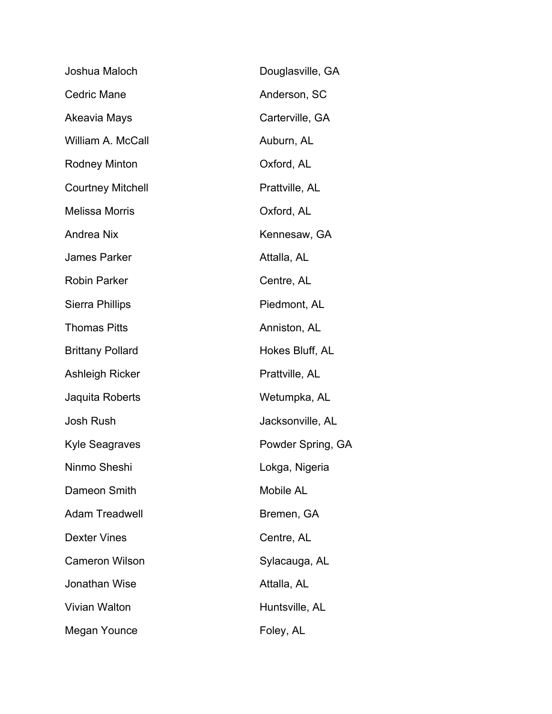| Joshua Maloch            | Douglasville, GA  |
|--------------------------|-------------------|
| <b>Cedric Mane</b>       | Anderson, SC      |
| Akeavia Mays             | Carterville, GA   |
| William A. McCall        | Auburn, AL        |
| <b>Rodney Minton</b>     | Oxford, AL        |
| <b>Courtney Mitchell</b> | Prattville, AL    |
| <b>Melissa Morris</b>    | Oxford, AL        |
| <b>Andrea Nix</b>        | Kennesaw, GA      |
| <b>James Parker</b>      | Attalla, AL       |
| <b>Robin Parker</b>      | Centre, AL        |
| <b>Sierra Phillips</b>   | Piedmont, AL      |
| <b>Thomas Pitts</b>      | Anniston, AL      |
| <b>Brittany Pollard</b>  | Hokes Bluff, AL   |
| Ashleigh Ricker          | Prattville, AL    |
| Jaquita Roberts          | Wetumpka, AL      |
| <b>Josh Rush</b>         | Jacksonville, AL  |
| Kyle Seagraves           | Powder Spring, GA |
| Ninmo Sheshi             | Lokga, Nigeria    |
| Dameon Smith             | <b>Mobile AL</b>  |
| <b>Adam Treadwell</b>    | Bremen, GA        |
| <b>Dexter Vines</b>      | Centre, AL        |
| <b>Cameron Wilson</b>    | Sylacauga, AL     |
| Jonathan Wise            | Attalla, AL       |
| Vivian Walton            | Huntsville, AL    |
| Megan Younce             | Foley, AL         |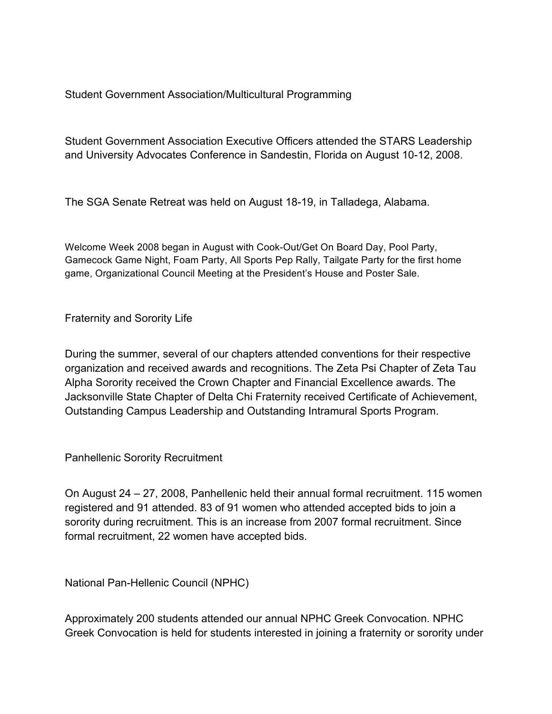Student Government Association/Multicultural Programming

Student Government Association Executive Officers attended the STARS Leadership and University Advocates Conference in Sandestin, Florida on August 10-12, 2008.

The SGA Senate Retreat was held on August 18-19, in Talladega, Alabama.

Welcome Week 2008 began in August with Cook-Out/Get On Board Day, Pool Party, Gamecock Game Night, Foam Party, All Sports Pep Rally, Tailgate Party for the first home game, Organizational Council Meeting at the President's House and Poster Sale.

Fraternity and Sorority Life

During the summer, several of our chapters attended conventions for their respective organization and received awards and recognitions. The Zeta Psi Chapter of Zeta Tau Alpha Sorority received the Crown Chapter and Financial Excellence awards. The Jacksonville State Chapter of Delta Chi Fraternity received Certificate of Achievement, Outstanding Campus Leadership and Outstanding Intramural Sports Program.

Panhellenic Sorority Recruitment

On August 24 – 27, 2008, Panhellenic held their annual formal recruitment. 115 women registered and 91 attended. 83 of 91 women who attended accepted bids to join a sorority during recruitment. This is an increase from 2007 formal recruitment. Since formal recruitment, 22 women have accepted bids.

National Pan-Hellenic Council (NPHC)

Approximately 200 students attended our annual NPHC Greek Convocation. NPHC Greek Convocation is held for students interested in joining a fraternity or sorority under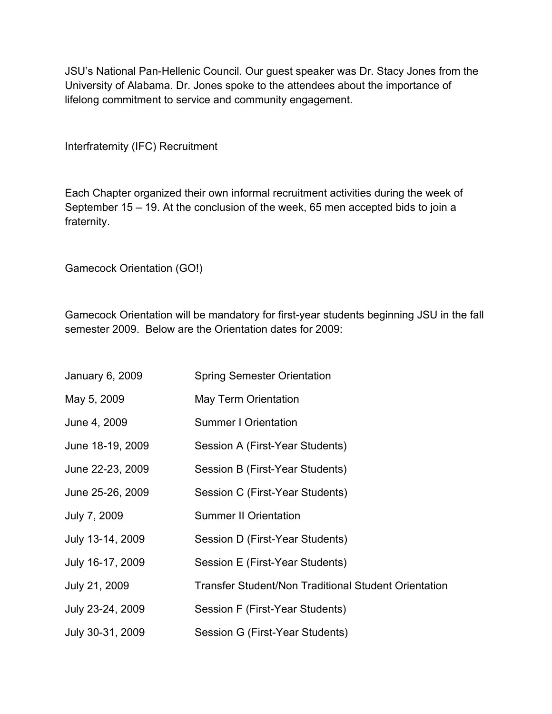JSU's National Pan-Hellenic Council. Our guest speaker was Dr. Stacy Jones from the University of Alabama. Dr. Jones spoke to the attendees about the importance of lifelong commitment to service and community engagement.

Interfraternity (IFC) Recruitment

Each Chapter organized their own informal recruitment activities during the week of September 15 – 19. At the conclusion of the week, 65 men accepted bids to join a fraternity.

Gamecock Orientation (GO!)

Gamecock Orientation will be mandatory for first-year students beginning JSU in the fall semester 2009. Below are the Orientation dates for 2009:

| January 6, 2009  | <b>Spring Semester Orientation</b>                          |
|------------------|-------------------------------------------------------------|
| May 5, 2009      | May Term Orientation                                        |
| June 4, 2009     | <b>Summer I Orientation</b>                                 |
| June 18-19, 2009 | Session A (First-Year Students)                             |
| June 22-23, 2009 | Session B (First-Year Students)                             |
| June 25-26, 2009 | Session C (First-Year Students)                             |
| July 7, 2009     | <b>Summer II Orientation</b>                                |
| July 13-14, 2009 | Session D (First-Year Students)                             |
| July 16-17, 2009 | Session E (First-Year Students)                             |
| July 21, 2009    | <b>Transfer Student/Non Traditional Student Orientation</b> |
| July 23-24, 2009 | Session F (First-Year Students)                             |
| July 30-31, 2009 | Session G (First-Year Students)                             |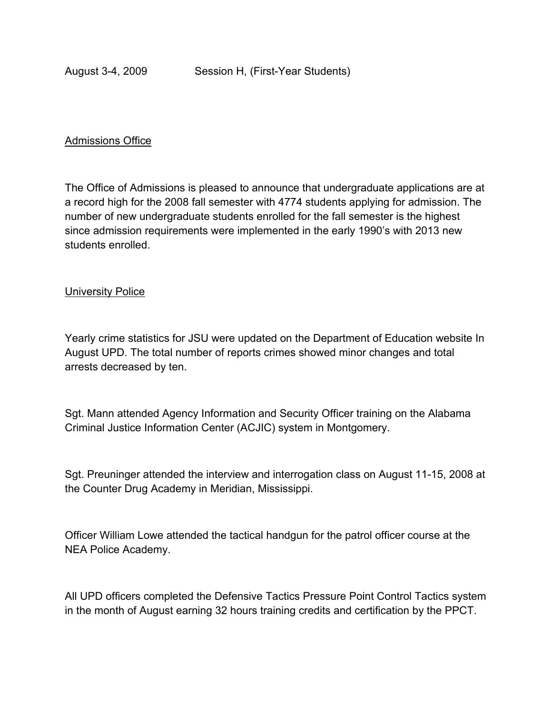#### Admissions Office

The Office of Admissions is pleased to announce that undergraduate applications are at a record high for the 2008 fall semester with 4774 students applying for admission. The number of new undergraduate students enrolled for the fall semester is the highest since admission requirements were implemented in the early 1990's with 2013 new students enrolled.

#### **University Police**

Yearly crime statistics for JSU were updated on the Department of Education website In August UPD. The total number of reports crimes showed minor changes and total arrests decreased by ten.

Sgt. Mann attended Agency Information and Security Officer training on the Alabama Criminal Justice Information Center (ACJIC) system in Montgomery.

Sgt. Preuninger attended the interview and interrogation class on August 11-15, 2008 at the Counter Drug Academy in Meridian, Mississippi.

Officer William Lowe attended the tactical handgun for the patrol officer course at the NEA Police Academy.

All UPD officers completed the Defensive Tactics Pressure Point Control Tactics system in the month of August earning 32 hours training credits and certification by the PPCT.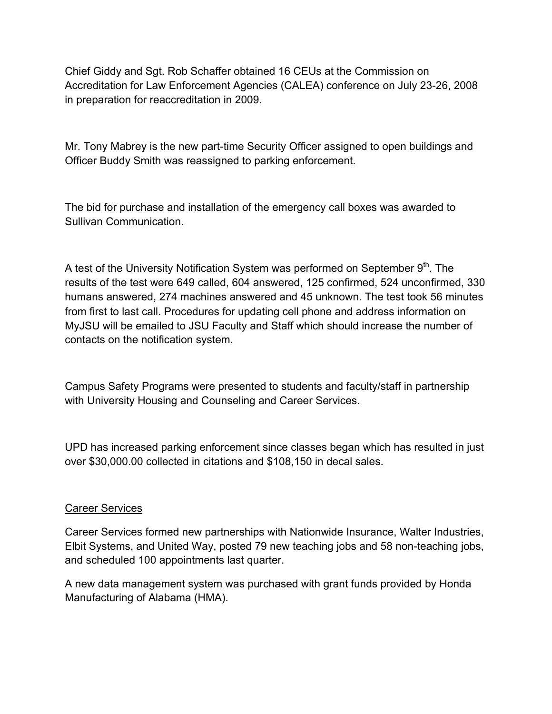Chief Giddy and Sgt. Rob Schaffer obtained 16 CEUs at the Commission on Accreditation for Law Enforcement Agencies (CALEA) conference on July 23-26, 2008 in preparation for reaccreditation in 2009.

Mr. Tony Mabrey is the new part-time Security Officer assigned to open buildings and Officer Buddy Smith was reassigned to parking enforcement.

The bid for purchase and installation of the emergency call boxes was awarded to Sullivan Communication.

A test of the University Notification System was performed on September  $9<sup>th</sup>$ . The results of the test were 649 called, 604 answered, 125 confirmed, 524 unconfirmed, 330 humans answered, 274 machines answered and 45 unknown. The test took 56 minutes from first to last call. Procedures for updating cell phone and address information on MyJSU will be emailed to JSU Faculty and Staff which should increase the number of contacts on the notification system.

Campus Safety Programs were presented to students and faculty/staff in partnership with University Housing and Counseling and Career Services.

UPD has increased parking enforcement since classes began which has resulted in just over \$30,000.00 collected in citations and \$108,150 in decal sales.

### Career Services

Career Services formed new partnerships with Nationwide Insurance, Walter Industries, Elbit Systems, and United Way, posted 79 new teaching jobs and 58 non-teaching jobs, and scheduled 100 appointments last quarter.

A new data management system was purchased with grant funds provided by Honda Manufacturing of Alabama (HMA).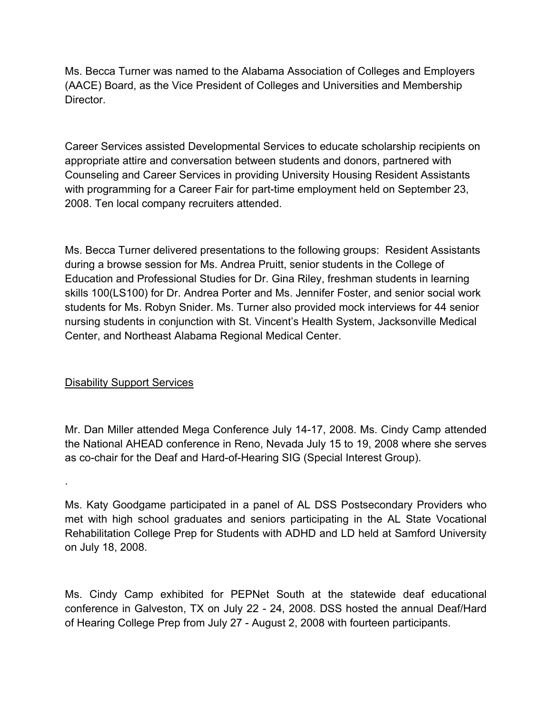Ms. Becca Turner was named to the Alabama Association of Colleges and Employers (AACE) Board, as the Vice President of Colleges and Universities and Membership Director.

Career Services assisted Developmental Services to educate scholarship recipients on appropriate attire and conversation between students and donors, partnered with Counseling and Career Services in providing University Housing Resident Assistants with programming for a Career Fair for part-time employment held on September 23, 2008. Ten local company recruiters attended.

Ms. Becca Turner delivered presentations to the following groups: Resident Assistants during a browse session for Ms. Andrea Pruitt, senior students in the College of Education and Professional Studies for Dr. Gina Riley, freshman students in learning skills 100(LS100) for Dr. Andrea Porter and Ms. Jennifer Foster, and senior social work students for Ms. Robyn Snider. Ms. Turner also provided mock interviews for 44 senior nursing students in conjunction with St. Vincent's Health System, Jacksonville Medical Center, and Northeast Alabama Regional Medical Center.

## Disability Support Services

.

Mr. Dan Miller attended Mega Conference July 14-17, 2008. Ms. Cindy Camp attended the National AHEAD conference in Reno, Nevada July 15 to 19, 2008 where she serves as co-chair for the Deaf and Hard-of-Hearing SIG (Special Interest Group).

Ms. Katy Goodgame participated in a panel of AL DSS Postsecondary Providers who met with high school graduates and seniors participating in the AL State Vocational Rehabilitation College Prep for Students with ADHD and LD held at Samford University on July 18, 2008.

Ms. Cindy Camp exhibited for PEPNet South at the statewide deaf educational conference in Galveston, TX on July 22 - 24, 2008. DSS hosted the annual Deaf/Hard of Hearing College Prep from July 27 - August 2, 2008 with fourteen participants.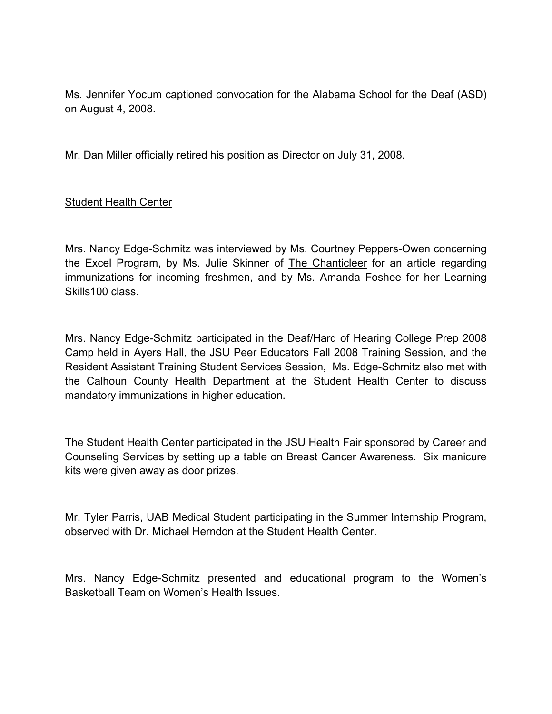Ms. Jennifer Yocum captioned convocation for the Alabama School for the Deaf (ASD) on August 4, 2008.

Mr. Dan Miller officially retired his position as Director on July 31, 2008.

## Student Health Center

Mrs. Nancy Edge-Schmitz was interviewed by Ms. Courtney Peppers-Owen concerning the Excel Program, by Ms. Julie Skinner of The Chanticleer for an article regarding immunizations for incoming freshmen, and by Ms. Amanda Foshee for her Learning Skills100 class.

Mrs. Nancy Edge-Schmitz participated in the Deaf/Hard of Hearing College Prep 2008 Camp held in Ayers Hall, the JSU Peer Educators Fall 2008 Training Session, and the Resident Assistant Training Student Services Session, Ms. Edge-Schmitz also met with the Calhoun County Health Department at the Student Health Center to discuss mandatory immunizations in higher education.

The Student Health Center participated in the JSU Health Fair sponsored by Career and Counseling Services by setting up a table on Breast Cancer Awareness. Six manicure kits were given away as door prizes.

Mr. Tyler Parris, UAB Medical Student participating in the Summer Internship Program, observed with Dr. Michael Herndon at the Student Health Center.

Mrs. Nancy Edge-Schmitz presented and educational program to the Women's Basketball Team on Women's Health Issues.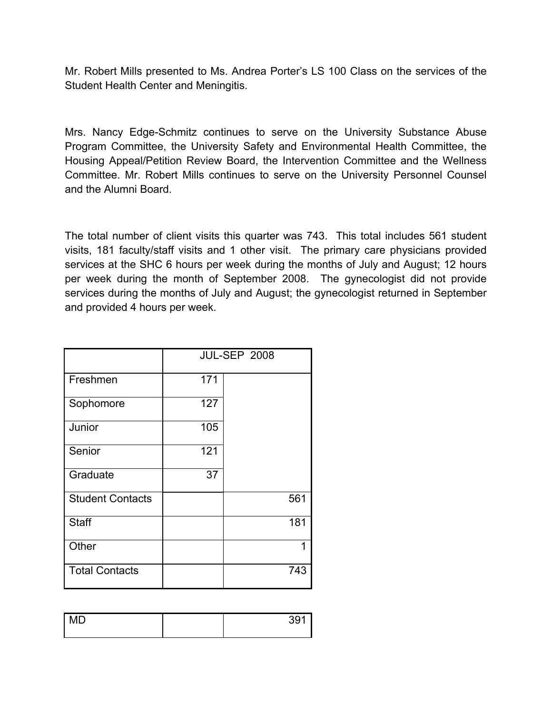Mr. Robert Mills presented to Ms. Andrea Porter's LS 100 Class on the services of the Student Health Center and Meningitis.

Mrs. Nancy Edge-Schmitz continues to serve on the University Substance Abuse Program Committee, the University Safety and Environmental Health Committee, the Housing Appeal/Petition Review Board, the Intervention Committee and the Wellness Committee. Mr. Robert Mills continues to serve on the University Personnel Counsel and the Alumni Board.

The total number of client visits this quarter was 743. This total includes 561 student visits, 181 faculty/staff visits and 1 other visit. The primary care physicians provided services at the SHC 6 hours per week during the months of July and August; 12 hours per week during the month of September 2008. The gynecologist did not provide services during the months of July and August; the gynecologist returned in September and provided 4 hours per week.

|                         | <b>JUL-SEP 2008</b> |     |  |
|-------------------------|---------------------|-----|--|
| Freshmen                | 171                 |     |  |
| Sophomore               | 127                 |     |  |
| Junior                  | 105                 |     |  |
| Senior                  | 121                 |     |  |
| Graduate                | 37                  |     |  |
| <b>Student Contacts</b> |                     | 561 |  |
| <b>Staff</b>            |                     | 181 |  |
| Other                   |                     | 1   |  |
| <b>Total Contacts</b>   |                     | 743 |  |

| $\overline{M}$<br>ᄢ | 301<br>◡◡ |
|---------------------|-----------|
|                     |           |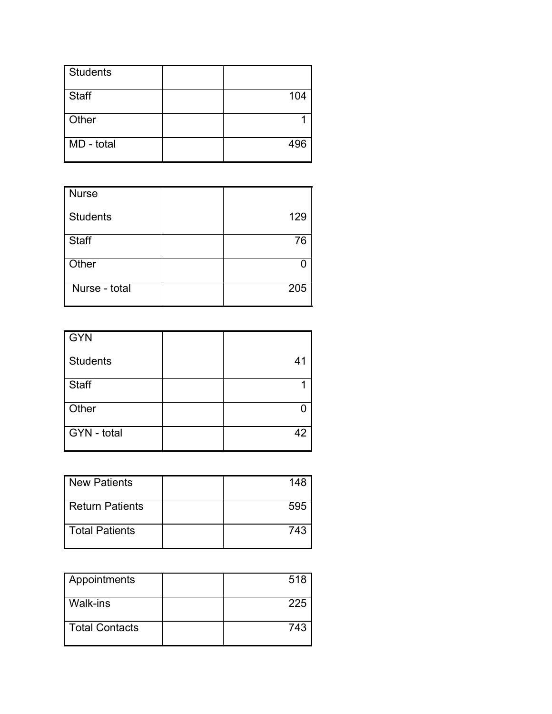| <b>Students</b> |     |
|-----------------|-----|
| Staff           | 104 |
| Other           |     |
| MD - total      | 496 |

| Nurse           |     |
|-----------------|-----|
| <b>Students</b> | 129 |
| Staff           | 76  |
| Other           |     |
| Nurse - total   | 205 |

| GYN             |    |
|-----------------|----|
| <b>Students</b> | 41 |
| Staff           |    |
| Other           |    |
| GYN - total     | 42 |

| New Patients     | 148 |
|------------------|-----|
| Return Patients  | 595 |
| l Total Patients | 743 |

| Appointments          | 518 |
|-----------------------|-----|
| l Walk-ins            | 225 |
| <b>Total Contacts</b> | 743 |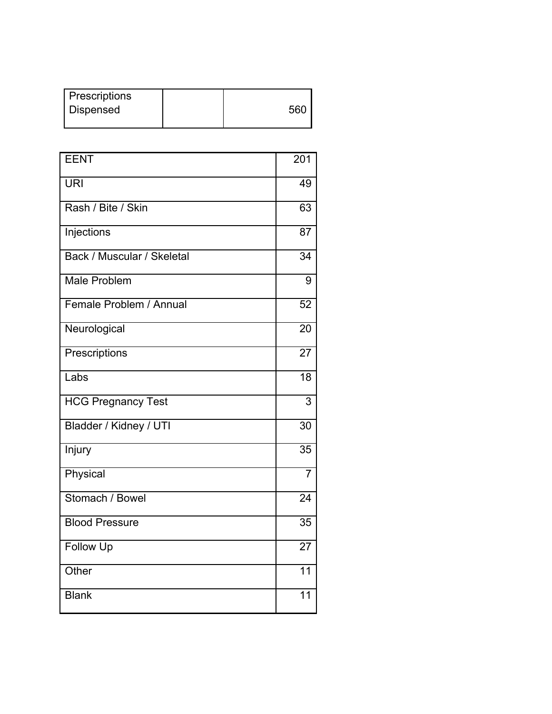| <b>Prescriptions</b> |     |
|----------------------|-----|
| Dispensed            | 560 |
|                      |     |

| <b>EENT</b>                | $\overline{2}01$ |
|----------------------------|------------------|
| <b>URI</b>                 | 49               |
| Rash / Bite / Skin         | 63               |
| Injections                 | 87               |
| Back / Muscular / Skeletal | $\overline{34}$  |
| <b>Male Problem</b>        | 9                |
| Female Problem / Annual    | $\overline{52}$  |
| Neurological               | $\overline{20}$  |
| Prescriptions              | $\overline{27}$  |
| Labs                       | $\overline{18}$  |
| <b>HCG Pregnancy Test</b>  | 3                |
| Bladder / Kidney / UTI     | 30               |
| Injury                     | 35               |
| Physical                   | $\overline{7}$   |
| Stomach / Bowel            | $\overline{24}$  |
| <b>Blood Pressure</b>      | 35               |
| Follow Up                  | $\overline{27}$  |
| Other                      | $\overline{11}$  |
| <b>Blank</b>               | 11               |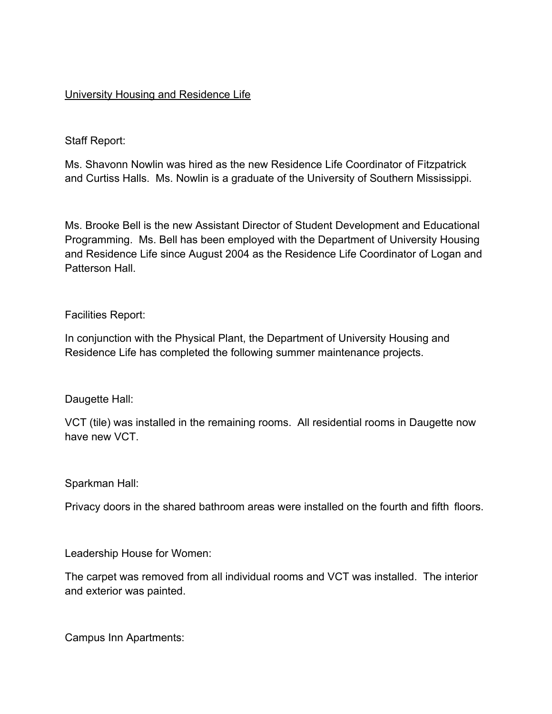## University Housing and Residence Life

Staff Report:

Ms. Shavonn Nowlin was hired as the new Residence Life Coordinator of Fitzpatrick and Curtiss Halls. Ms. Nowlin is a graduate of the University of Southern Mississippi.

Ms. Brooke Bell is the new Assistant Director of Student Development and Educational Programming. Ms. Bell has been employed with the Department of University Housing and Residence Life since August 2004 as the Residence Life Coordinator of Logan and Patterson Hall.

Facilities Report:

In conjunction with the Physical Plant, the Department of University Housing and Residence Life has completed the following summer maintenance projects.

Daugette Hall:

VCT (tile) was installed in the remaining rooms. All residential rooms in Daugette now have new VCT.

Sparkman Hall:

Privacy doors in the shared bathroom areas were installed on the fourth and fifth floors.

Leadership House for Women:

The carpet was removed from all individual rooms and VCT was installed. The interior and exterior was painted.

Campus Inn Apartments: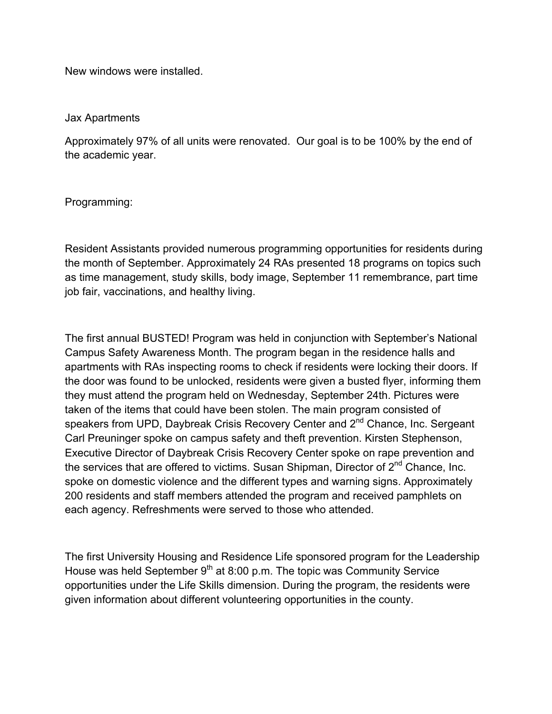New windows were installed.

## Jax Apartments

Approximately 97% of all units were renovated. Our goal is to be 100% by the end of the academic year.

Programming:

Resident Assistants provided numerous programming opportunities for residents during the month of September. Approximately 24 RAs presented 18 programs on topics such as time management, study skills, body image, September 11 remembrance, part time job fair, vaccinations, and healthy living.

The first annual BUSTED! Program was held in conjunction with September's National Campus Safety Awareness Month. The program began in the residence halls and apartments with RAs inspecting rooms to check if residents were locking their doors. If the door was found to be unlocked, residents were given a busted flyer, informing them they must attend the program held on Wednesday, September 24th. Pictures were taken of the items that could have been stolen. The main program consisted of speakers from UPD, Daybreak Crisis Recovery Center and 2<sup>nd</sup> Chance, Inc. Sergeant Carl Preuninger spoke on campus safety and theft prevention. Kirsten Stephenson, Executive Director of Daybreak Crisis Recovery Center spoke on rape prevention and the services that are offered to victims. Susan Shipman, Director of  $2<sup>nd</sup>$  Chance, Inc. spoke on domestic violence and the different types and warning signs. Approximately 200 residents and staff members attended the program and received pamphlets on each agency. Refreshments were served to those who attended.

The first University Housing and Residence Life sponsored program for the Leadership House was held September  $9<sup>th</sup>$  at 8:00 p.m. The topic was Community Service opportunities under the Life Skills dimension. During the program, the residents were given information about different volunteering opportunities in the county.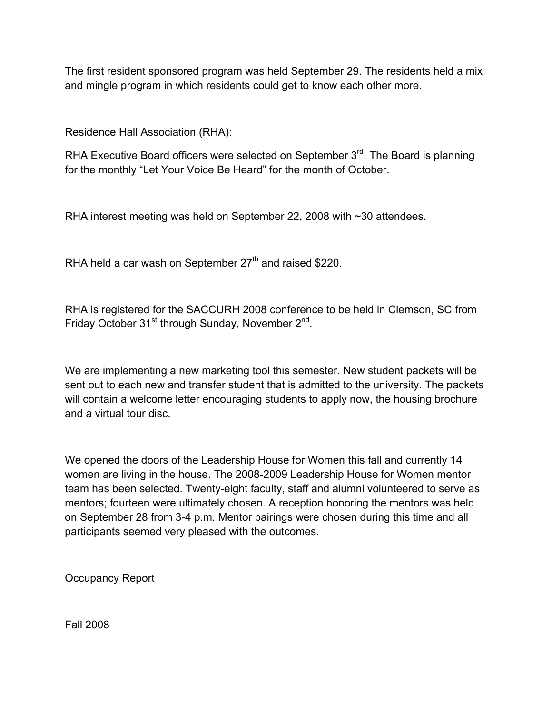The first resident sponsored program was held September 29. The residents held a mix and mingle program in which residents could get to know each other more.

Residence Hall Association (RHA):

RHA Executive Board officers were selected on September 3<sup>rd</sup>. The Board is planning for the monthly "Let Your Voice Be Heard" for the month of October.

RHA interest meeting was held on September 22, 2008 with ~30 attendees.

RHA held a car wash on September  $27<sup>th</sup>$  and raised \$220.

RHA is registered for the SACCURH 2008 conference to be held in Clemson, SC from Friday October 31<sup>st</sup> through Sunday, November 2<sup>nd</sup>.

We are implementing a new marketing tool this semester. New student packets will be sent out to each new and transfer student that is admitted to the university. The packets will contain a welcome letter encouraging students to apply now, the housing brochure and a virtual tour disc.

We opened the doors of the Leadership House for Women this fall and currently 14 women are living in the house. The 2008-2009 Leadership House for Women mentor team has been selected. Twenty-eight faculty, staff and alumni volunteered to serve as mentors; fourteen were ultimately chosen. A reception honoring the mentors was held on September 28 from 3-4 p.m. Mentor pairings were chosen during this time and all participants seemed very pleased with the outcomes.

Occupancy Report

Fall 2008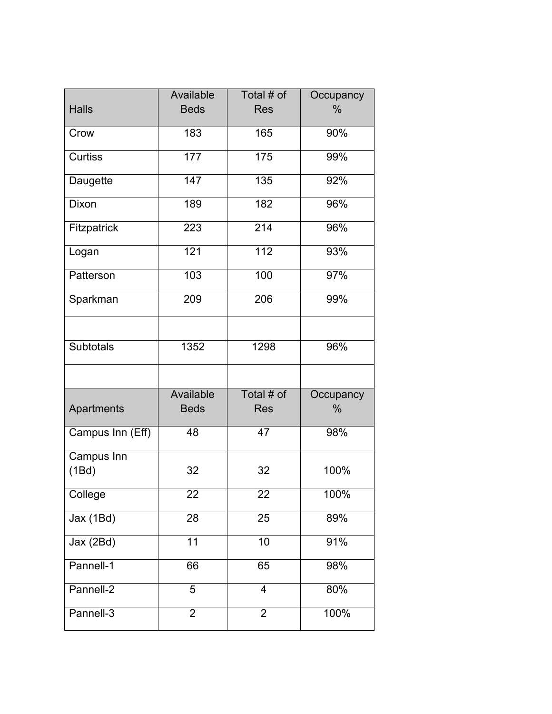|                       | Available       | Total # of               | Occupancy     |
|-----------------------|-----------------|--------------------------|---------------|
| <b>Halls</b>          | <b>Beds</b>     | <b>Res</b>               | $\frac{0}{0}$ |
|                       |                 |                          |               |
| Crow                  | 183             | 165                      | 90%           |
| Curtiss               | 177             | 175                      | 99%           |
| Daugette              | 147             | 135                      | 92%           |
| Dixon                 | 189             | 182                      | 96%           |
| Fitzpatrick           | 223             | $\overline{214}$         | 96%           |
| Logan                 | 121             | $112$                    | 93%           |
| Patterson             | 103             | 100                      | 97%           |
| Sparkman              | 209             | 206                      | 99%           |
|                       |                 |                          |               |
| <b>Subtotals</b>      | 1352            | 1298                     | 96%           |
|                       |                 |                          |               |
|                       | Available       | Total # of               | Occupancy     |
| Apartments            | <b>Beds</b>     | <b>Res</b>               | $\%$          |
| Campus Inn (Eff)      | 48              | 47                       | 98%           |
| Campus Inn            |                 |                          |               |
| (1Bd)                 | 32              | 32                       | 100%          |
| College               | 22              | 22                       | $100\%$       |
| $\overline{Jax(1Bd)}$ | $\overline{28}$ | $\overline{25}$          | 89%           |
| Jax (2Bd)             | $\overline{11}$ | 10                       | 91%           |
| Pannell-1             | 66              | 65                       | 98%           |
| Pannell-2             | 5               | $\overline{\mathcal{L}}$ | 80%           |
| Pannell-3             | $\overline{2}$  | $\overline{2}$           | 100%          |